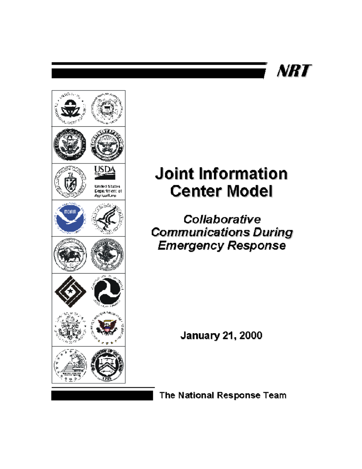## NRT



## **Joint Information Center Model**

Collaborative **Communications During Emergency Response** 

**January 21, 2000** 

The National Response Team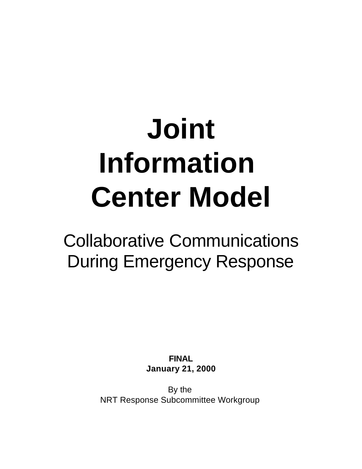# **Joint Information Center Model**

## Collaborative Communications During Emergency Response

**FINAL January 21, 2000**

By the NRT Response Subcommittee Workgroup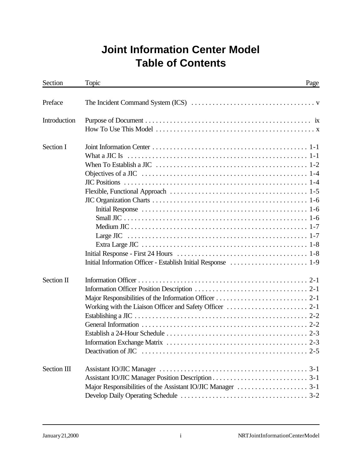## **Joint Information Center Model Table of Contents**

| Section      | Topic                                                                                                                                                         | Page |
|--------------|---------------------------------------------------------------------------------------------------------------------------------------------------------------|------|
| Preface      |                                                                                                                                                               |      |
| Introduction |                                                                                                                                                               |      |
|              |                                                                                                                                                               |      |
| Section I    |                                                                                                                                                               |      |
|              |                                                                                                                                                               |      |
|              |                                                                                                                                                               |      |
|              |                                                                                                                                                               |      |
|              |                                                                                                                                                               |      |
|              |                                                                                                                                                               |      |
|              |                                                                                                                                                               |      |
|              |                                                                                                                                                               |      |
|              |                                                                                                                                                               |      |
|              |                                                                                                                                                               |      |
|              |                                                                                                                                                               |      |
|              |                                                                                                                                                               |      |
|              |                                                                                                                                                               |      |
|              |                                                                                                                                                               |      |
| Section II   |                                                                                                                                                               |      |
|              |                                                                                                                                                               |      |
|              |                                                                                                                                                               |      |
|              |                                                                                                                                                               |      |
|              |                                                                                                                                                               |      |
|              |                                                                                                                                                               |      |
|              |                                                                                                                                                               |      |
|              |                                                                                                                                                               |      |
|              | Deactivation of JIC $\ldots$ , $\ldots$ , $\ldots$ , $\ldots$ , $\ldots$ , $\ldots$ , $\ldots$ , $\ldots$ , $\ldots$ , $\ldots$ , $\ldots$ , $\ldots$ , $2-5$ |      |
| Section III  |                                                                                                                                                               |      |
|              |                                                                                                                                                               |      |
|              |                                                                                                                                                               |      |
|              |                                                                                                                                                               |      |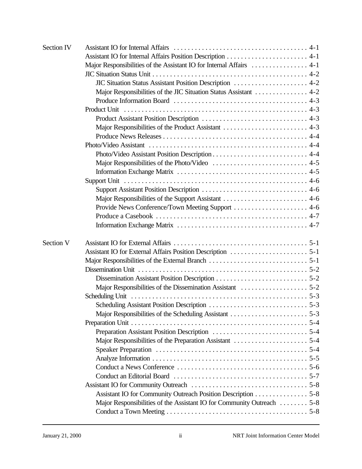| Section IV |                                                                                                                          |  |
|------------|--------------------------------------------------------------------------------------------------------------------------|--|
|            |                                                                                                                          |  |
|            |                                                                                                                          |  |
|            |                                                                                                                          |  |
|            | JIC Situation Status Assistant Position Description  4-2                                                                 |  |
|            | Major Responsibilities of the JIC Situation Status Assistant  4-2                                                        |  |
|            |                                                                                                                          |  |
|            | Product Unit                                                                                                             |  |
|            |                                                                                                                          |  |
|            | Major Responsibilities of the Product Assistant  4-3                                                                     |  |
|            |                                                                                                                          |  |
|            |                                                                                                                          |  |
|            |                                                                                                                          |  |
|            |                                                                                                                          |  |
|            |                                                                                                                          |  |
|            |                                                                                                                          |  |
|            |                                                                                                                          |  |
|            |                                                                                                                          |  |
|            |                                                                                                                          |  |
|            |                                                                                                                          |  |
|            |                                                                                                                          |  |
| Section V  |                                                                                                                          |  |
|            |                                                                                                                          |  |
|            |                                                                                                                          |  |
|            | Dissemination Unit $\dots \dots \dots \dots \dots \dots \dots \dots \dots \dots \dots \dots \dots \dots \dots \dots 5-2$ |  |
|            |                                                                                                                          |  |
|            |                                                                                                                          |  |
|            | <b>Scheduling Unit</b>                                                                                                   |  |
|            |                                                                                                                          |  |
|            |                                                                                                                          |  |
|            |                                                                                                                          |  |
|            |                                                                                                                          |  |
|            |                                                                                                                          |  |
|            |                                                                                                                          |  |
|            |                                                                                                                          |  |
|            |                                                                                                                          |  |
|            |                                                                                                                          |  |
|            |                                                                                                                          |  |
|            | Assistant IO for Community Outreach Position Description 5-8                                                             |  |
|            | Major Responsibilities of the Assistant IO for Community Outreach  5-8                                                   |  |
|            |                                                                                                                          |  |
|            |                                                                                                                          |  |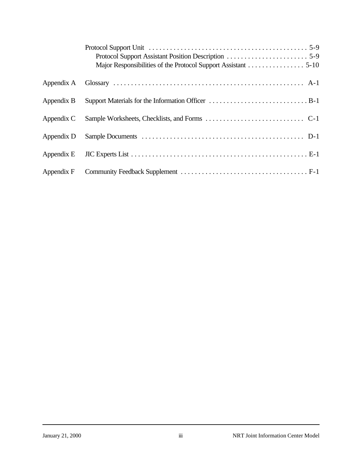|            | Major Responsibilities of the Protocol Support Assistant 5-10 |
|------------|---------------------------------------------------------------|
| Appendix A |                                                               |
| Appendix B |                                                               |
| Appendix C |                                                               |
| Appendix D |                                                               |
| Appendix E |                                                               |
| Appendix F |                                                               |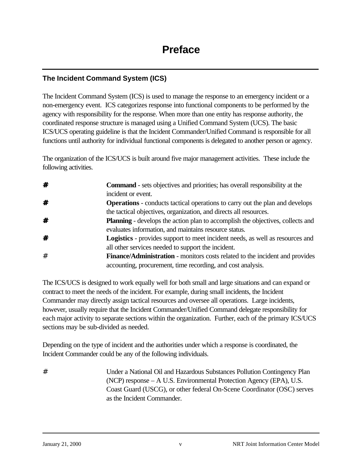## **The Incident Command System (ICS)**

The Incident Command System (ICS) is used to manage the response to an emergency incident or a non-emergency event. ICS categorizes response into functional components to be performed by the agency with responsibility for the response. When more than one entity has response authority, the coordinated response structure is managed using a Unified Command System (UCS). The basic ICS/UCS operating guideline is that the Incident Commander/Unified Command is responsible for all functions until authority for individual functional components is delegated to another person or agency.

The organization of the ICS/UCS is built around five major management activities. These include the following activities.

| # | <b>Command</b> - sets objectives and priorities; has overall responsibility at the    |
|---|---------------------------------------------------------------------------------------|
|   | incident or event.                                                                    |
| # | <b>Operations</b> - conducts tactical operations to carry out the plan and develops   |
|   | the tactical objectives, organization, and directs all resources.                     |
| # | <b>Planning</b> - develops the action plan to accomplish the objectives, collects and |
|   | evaluates information, and maintains resource status.                                 |
| # | <b>Logistics</b> - provides support to meet incident needs, as well as resources and  |
|   | all other services needed to support the incident.                                    |
| # | Finance/Administration - monitors costs related to the incident and provides          |
|   | accounting, procurement, time recording, and cost analysis.                           |

The ICS/UCS is designed to work equally well for both small and large situations and can expand or contract to meet the needs of the incident. For example, during small incidents, the Incident Commander may directly assign tactical resources and oversee all operations. Large incidents, however, usually require that the Incident Commander/Unified Command delegate responsibility for each major activity to separate sections within the organization. Further, each of the primary ICS/UCS sections may be sub-divided as needed.

Depending on the type of incident and the authorities under which a response is coordinated, the Incident Commander could be any of the following individuals.

# Under a National Oil and Hazardous Substances Pollution Contingency Plan (NCP) response – A U.S. Environmental Protection Agency (EPA), U.S. Coast Guard (USCG), or other federal On-Scene Coordinator (OSC) serves as the Incident Commander.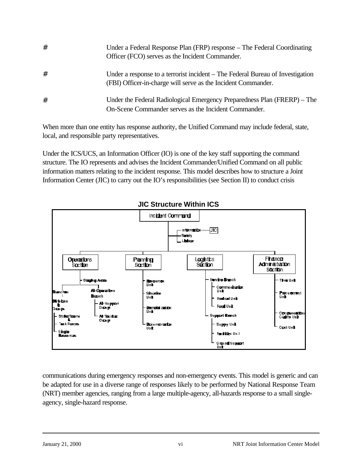| # | Under a Federal Response Plan (FRP) response – The Federal Coordinating<br>Officer (FCO) serves as the Incident Commander.                      |
|---|-------------------------------------------------------------------------------------------------------------------------------------------------|
| # | Under a response to a terrorist incident – The Federal Bureau of Investigation<br>(FBI) Officer-in-charge will serve as the Incident Commander. |
| # | Under the Federal Radiological Emergency Preparedness Plan (FRERP) – The<br>On-Scene Commander serves as the Incident Commander.                |

When more than one entity has response authority, the Unified Command may include federal, state, local, and responsible party representatives.

Under the ICS/UCS, an Information Officer (IO) is one of the key staff supporting the command structure. The IO represents and advises the Incident Commander/Unified Command on all public information matters relating to the incident response. This model describes how to structure a Joint Information Center (JIC) to carry out the IO's responsibilities (see Section II) to conduct crisis



communications during emergency responses and non-emergency events. This model is generic and can be adapted for use in a diverse range of responses likely to be performed by National Response Team (NRT) member agencies, ranging from a large multiple-agency, all-hazards response to a small singleagency, single-hazard response.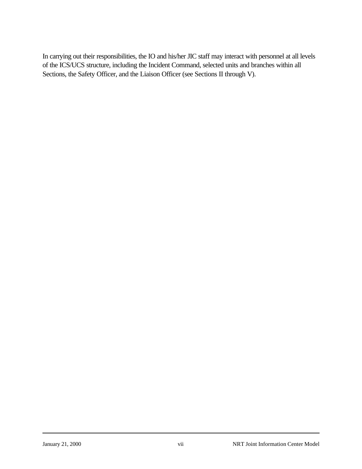In carrying out their responsibilities, the IO and his/her JIC staff may interact with personnel at all levels of the ICS/UCS structure, including the Incident Command, selected units and branches within all Sections, the Safety Officer, and the Liaison Officer (see Sections II through V).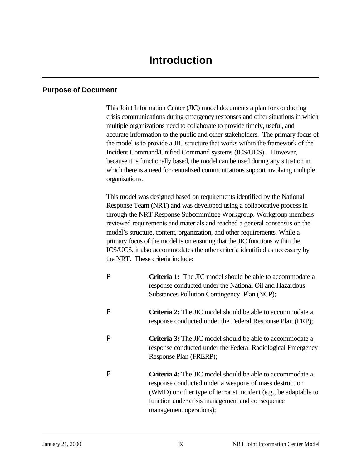#### **Purpose of Document**

This Joint Information Center (JIC) model documents a plan for conducting crisis communications during emergency responses and other situations in which multiple organizations need to collaborate to provide timely, useful, and accurate information to the public and other stakeholders. The primary focus of the model is to provide a JIC structure that works within the framework of the Incident Command/Unified Command systems (ICS/UCS). However, because it is functionally based, the model can be used during any situation in which there is a need for centralized communications support involving multiple organizations.

This model was designed based on requirements identified by the National Response Team (NRT) and was developed using a collaborative process in through the NRT Response Subcommittee Workgroup. Workgroup members reviewed requirements and materials and reached a general consensus on the model's structure, content, organization, and other requirements. While a primary focus of the model is on ensuring that the JIC functions within the ICS/UCS, it also accommodates the other criteria identified as necessary by the NRT. These criteria include:

P **Criteria 1:** The JIC model should be able to accommodate a response conducted under the National Oil and Hazardous Substances Pollution Contingency Plan (NCP); P **Criteria 2:** The JIC model should be able to accommodate a response conducted under the Federal Response Plan (FRP); P **Criteria 3:** The JIC model should be able to accommodate a response conducted under the Federal Radiological Emergency Response Plan (FRERP); P **Criteria 4:** The JIC model should be able to accommodate a response conducted under a weapons of mass destruction (WMD) or other type of terrorist incident (e.g., be adaptable to function under crisis management and consequence management operations);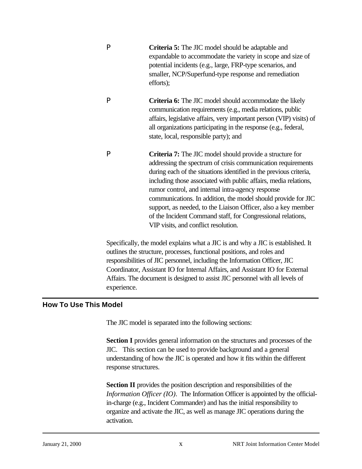| P | <b>Criteria 5:</b> The JIC model should be adaptable and<br>expandable to accommodate the variety in scope and size of<br>potential incidents (e.g., large, FRP-type scenarios, and<br>smaller, NCP/Superfund-type response and remediation<br>efforts);                                                                                                                                                                                                                                                                                                         |
|---|------------------------------------------------------------------------------------------------------------------------------------------------------------------------------------------------------------------------------------------------------------------------------------------------------------------------------------------------------------------------------------------------------------------------------------------------------------------------------------------------------------------------------------------------------------------|
| P | <b>Criteria 6:</b> The JIC model should accommodate the likely<br>communication requirements (e.g., media relations, public<br>affairs, legislative affairs, very important person (VIP) visits) of<br>all organizations participating in the response (e.g., federal,<br>state, local, responsible party); and                                                                                                                                                                                                                                                  |
| P | Criteria 7: The JIC model should provide a structure for<br>addressing the spectrum of crisis communication requirements<br>during each of the situations identified in the previous criteria,<br>including those associated with public affairs, media relations,<br>rumor control, and internal intra-agency response<br>communications. In addition, the model should provide for JIC<br>support, as needed, to the Liaison Officer, also a key member<br>of the Incident Command staff, for Congressional relations,<br>VIP visits, and conflict resolution. |

Specifically, the model explains what a JIC is and why a JIC is established. It outlines the structure, processes, functional positions, and roles and responsibilities of JIC personnel, including the Information Officer, JIC Coordinator, Assistant IO for Internal Affairs, and Assistant IO for External Affairs. The document is designed to assist JIC personnel with all levels of experience.

#### **How To Use This Model**

The JIC model is separated into the following sections:

**Section I** provides general information on the structures and processes of the JIC. This section can be used to provide background and a general understanding of how the JIC is operated and how it fits within the different response structures.

**Section II** provides the position description and responsibilities of the *Information Officer (IO)*. The Information Officer is appointed by the officialin-charge (e.g., Incident Commander) and has the initial responsibility to organize and activate the JIC, as well as manage JIC operations during the activation.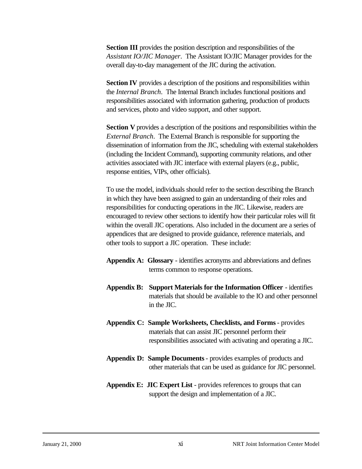**Section III** provides the position description and responsibilities of the *Assistant IO/JIC Manager*. The Assistant IO/JIC Manager provides for the overall day-to-day management of the JIC during the activation.

**Section IV** provides a description of the positions and responsibilities within the *Internal Branch*. The Internal Branch includes functional positions and responsibilities associated with information gathering, production of products and services, photo and video support, and other support.

**Section V** provides a description of the positions and responsibilities within the *External Branch*. The External Branch is responsible for supporting the dissemination of information from the JIC, scheduling with external stakeholders (including the Incident Command), supporting community relations, and other activities associated with JIC interface with external players (e.g., public, response entities, VIPs, other officials).

To use the model, individuals should refer to the section describing the Branch in which they have been assigned to gain an understanding of their roles and responsibilities for conducting operations in the JIC. Likewise, readers are encouraged to review other sections to identify how their particular roles will fit within the overall JIC operations. Also included in the document are a series of appendices that are designed to provide guidance, reference materials, and other tools to support a JIC operation. These include:

- **Appendix A: Glossary**  identifies acronyms and abbreviations and defines terms common to response operations.
- **Appendix B: Support Materials for the Information Officer**  identifies materials that should be available to the IO and other personnel in the JIC.
- **Appendix C: Sample Worksheets, Checklists, and Forms**  provides materials that can assist JIC personnel perform their responsibilities associated with activating and operating a JIC.
- **Appendix D: Sample Documents**  provides examples of products and other materials that can be used as guidance for JIC personnel.
- **Appendix E: JIC Expert List**  provides references to groups that can support the design and implementation of a JIC.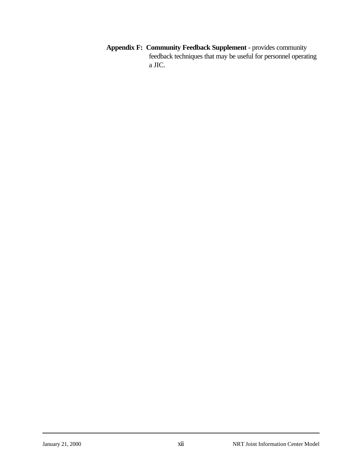**Appendix F: Community Feedback Supplement** - provides community feedback techniques that may be useful for personnel operating a JIC.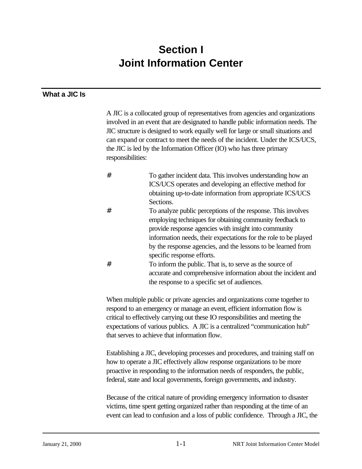## **Section I Joint Information Center**

## **What a JIC Is**

A JIC is a collocated group of representatives from agencies and organizations involved in an event that are designated to handle public information needs. The JIC structure is designed to work equally well for large or small situations and can expand or contract to meet the needs of the incident. Under the ICS/UCS, the JIC is led by the Information Officer (IO) who has three primary responsibilities:

- # To gather incident data. This involves understanding how an ICS/UCS operates and developing an effective method for obtaining up-to-date information from appropriate ICS/UCS Sections.
- # To analyze public perceptions of the response. This involves employing techniques for obtaining community feedback to provide response agencies with insight into community information needs, their expectations for the role to be played by the response agencies, and the lessons to be learned from specific response efforts.
- # To inform the public. That is, to serve as the source of accurate and comprehensive information about the incident and the response to a specific set of audiences.

When multiple public or private agencies and organizations come together to respond to an emergency or manage an event, efficient information flow is critical to effectively carrying out these IO responsibilities and meeting the expectations of various publics. A JIC is a centralized "communication hub" that serves to achieve that information flow.

Establishing a JIC, developing processes and procedures, and training staff on how to operate a JIC effectively allow response organizations to be more proactive in responding to the information needs of responders, the public, federal, state and local governments, foreign governments, and industry.

Because of the critical nature of providing emergency information to disaster victims, time spent getting organized rather than responding at the time of an event can lead to confusion and a loss of public confidence. Through a JIC, the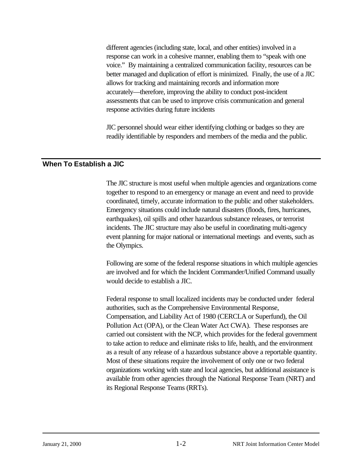different agencies (including state, local, and other entities) involved in a response can work in a cohesive manner, enabling them to "speak with one voice." By maintaining a centralized communication facility, resources can be better managed and duplication of effort is minimized. Finally, the use of a JIC allows for tracking and maintaining records and information more accurately—therefore, improving the ability to conduct post-incident assessments that can be used to improve crisis communication and general response activities during future incidents

JIC personnel should wear either identifying clothing or badges so they are readily identifiable by responders and members of the media and the public.

## **When To Establish a JIC**

The JIC structure is most useful when multiple agencies and organizations come together to respond to an emergency or manage an event and need to provide coordinated, timely, accurate information to the public and other stakeholders. Emergency situations could include natural disasters (floods, fires, hurricanes, earthquakes), oil spills and other hazardous substance releases, or terrorist incidents. The JIC structure may also be useful in coordinating multi-agency event planning for major national or international meetings and events, such as the Olympics.

Following are some of the federal response situations in which multiple agencies are involved and for which the Incident Commander/Unified Command usually would decide to establish a JIC.

Federal response to small localized incidents may be conducted under federal authorities, such as the Comprehensive Environmental Response, Compensation, and Liability Act of 1980 (CERCLA or Superfund), the Oil Pollution Act (OPA), or the Clean Water Act CWA). These responses are carried out consistent with the NCP, which provides for the federal government to take action to reduce and eliminate risks to life, health, and the environment as a result of any release of a hazardous substance above a reportable quantity. Most of these situations require the involvement of only one or two federal organizations working with state and local agencies, but additional assistance is available from other agencies through the National Response Team (NRT) and its Regional Response Teams (RRTs).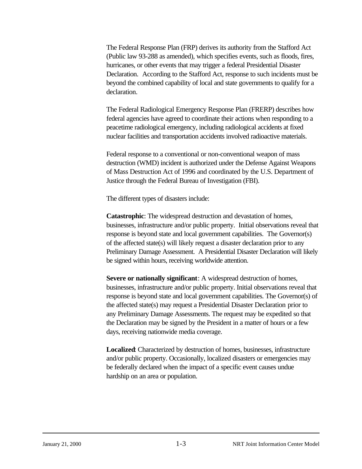The Federal Response Plan (FRP) derives its authority from the Stafford Act (Public law 93-288 as amended), which specifies events, such as floods, fires, hurricanes, or other events that may trigger a federal Presidential Disaster Declaration. According to the Stafford Act, response to such incidents must be beyond the combined capability of local and state governments to qualify for a declaration.

The Federal Radiological Emergency Response Plan (FRERP) describes how federal agencies have agreed to coordinate their actions when responding to a peacetime radiological emergency, including radiological accidents at fixed nuclear facilities and transportation accidents involved radioactive materials.

Federal response to a conventional or non-conventional weapon of mass destruction (WMD) incident is authorized under the Defense Against Weapons of Mass Destruction Act of 1996 and coordinated by the U.S. Department of Justice through the Federal Bureau of Investigation (FBI).

The different types of disasters include:

**Catastrophic**: The widespread destruction and devastation of homes, businesses, infrastructure and/or public property. Initial observations reveal that response is beyond state and local government capabilities. The Governor(s) of the affected state(s) will likely request a disaster declaration prior to any Preliminary Damage Assessment. A Presidential Disaster Declaration will likely be signed within hours, receiving worldwide attention.

**Severe or nationally significant**: A widespread destruction of homes, businesses, infrastructure and/or public property. Initial observations reveal that response is beyond state and local government capabilities. The Governor(s) of the affected state(s) may request a Presidential Disaster Declaration prior to any Preliminary Damage Assessments. The request may be expedited so that the Declaration may be signed by the President in a matter of hours or a few days, receiving nationwide media coverage.

**Localized**: Characterized by destruction of homes, businesses, infrastructure and/or public property. Occasionally, localized disasters or emergencies may be federally declared when the impact of a specific event causes undue hardship on an area or population.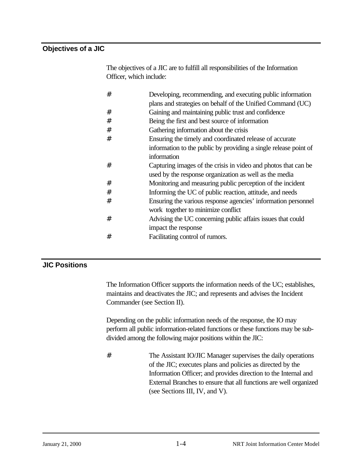## **Objectives of a JIC**

The objectives of a JIC are to fulfill all responsibilities of the Information Officer, which include:

| # | Developing, recommending, and executing public information       |
|---|------------------------------------------------------------------|
|   | plans and strategies on behalf of the Unified Command (UC)       |
| # | Gaining and maintaining public trust and confidence              |
| # | Being the first and best source of information                   |
| # | Gathering information about the crisis                           |
| # | Ensuring the timely and coordinated release of accurate          |
|   | information to the public by providing a single release point of |
|   | information                                                      |
| # | Capturing images of the crisis in video and photos that can be   |
|   | used by the response organization as well as the media           |
| # | Monitoring and measuring public perception of the incident       |
| # | Informing the UC of public reaction, attitude, and needs         |
| # | Ensuring the various response agencies' information personnel    |
|   | work together to minimize conflict                               |
| # | Advising the UC concerning public affairs issues that could      |
|   | impact the response                                              |
| # | Facilitating control of rumors.                                  |

## **JIC Positions**

The Information Officer supports the information needs of the UC; establishes, maintains and deactivates the JIC; and represents and advises the Incident Commander (see Section II).

Depending on the public information needs of the response, the IO may perform all public information-related functions or these functions may be subdivided among the following major positions within the JIC:

# The Assistant IO/JIC Manager supervises the daily operations of the JIC; executes plans and policies as directed by the Information Officer; and provides direction to the Internal and External Branches to ensure that all functions are well organized (see Sections III, IV, and V).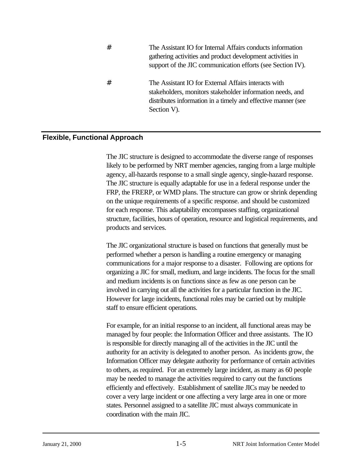| # | The Assistant IO for Internal Affairs conducts information<br>gathering activities and product development activities in<br>support of the JIC communication efforts (see Section IV).            |
|---|---------------------------------------------------------------------------------------------------------------------------------------------------------------------------------------------------|
| # | The Assistant IO for External Affairs interacts with<br>stakeholders, monitors stakeholder information needs, and<br>distributes information in a timely and effective manner (see<br>Section V). |

## **Flexible, Functional Approach**

The JIC structure is designed to accommodate the diverse range of responses likely to be performed by NRT member agencies, ranging from a large multiple agency, all-hazards response to a small single agency, single-hazard response. The JIC structure is equally adaptable for use in a federal response under the FRP, the FRERP, or WMD plans. The structure can grow or shrink depending on the unique requirements of a specific response. and should be customized for each response. This adaptability encompasses staffing, organizational structure, facilities, hours of operation, resource and logistical requirements, and products and services.

The JIC organizational structure is based on functions that generally must be performed whether a person is handling a routine emergency or managing communications for a major response to a disaster. Following are options for organizing a JIC for small, medium, and large incidents. The focus for the small and medium incidents is on functions since as few as one person can be involved in carrying out all the activities for a particular function in the JIC. However for large incidents, functional roles may be carried out by multiple staff to ensure efficient operations.

For example, for an initial response to an incident, all functional areas may be managed by four people: the Information Officer and three assistants. The IO is responsible for directly managing all of the activities in the JIC until the authority for an activity is delegated to another person. As incidents grow, the Information Officer may delegate authority for performance of certain activities to others, as required. For an extremely large incident, as many as 60 people may be needed to manage the activities required to carry out the functions efficiently and effectively. Establishment of satellite JICs may be needed to cover a very large incident or one affecting a very large area in one or more states. Personnel assigned to a satellite JIC must always communicate in coordination with the main JIC.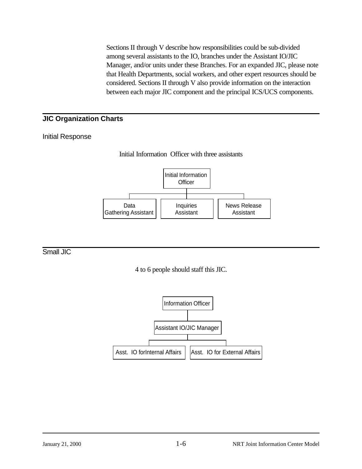Sections II through V describe how responsibilities could be sub-divided among several assistants to the IO, branches under the Assistant IO/JIC Manager, and/or units under these Branches. For an expanded JIC, please note that Health Departments, social workers, and other expert resources should be considered. Sections II through V also provide information on the interaction between each major JIC component and the principal ICS/UCS components.

## **JIC Organization Charts**

## Initial Response



## Small JIC

4 to 6 people should staff this JIC.

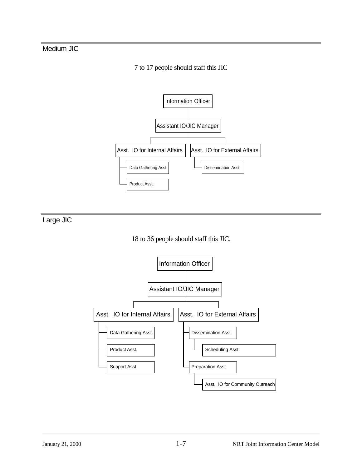## Medium JIC

## 7 to 17 people should staff this JIC



Large JIC



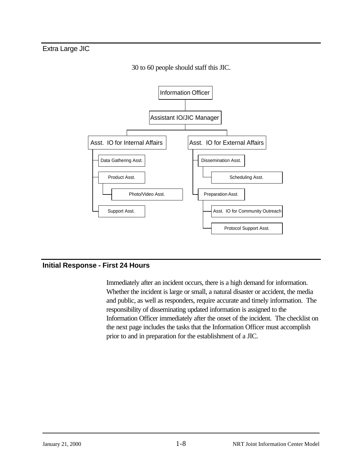Extra Large JIC



30 to 60 people should staff this JIC.

## **Initial Response - First 24 Hours**

Immediately after an incident occurs, there is a high demand for information. Whether the incident is large or small, a natural disaster or accident, the media and public, as well as responders, require accurate and timely information. The responsibility of disseminating updated information is assigned to the Information Officer immediately after the onset of the incident. The checklist on the next page includes the tasks that the Information Officer must accomplish prior to and in preparation for the establishment of a JIC.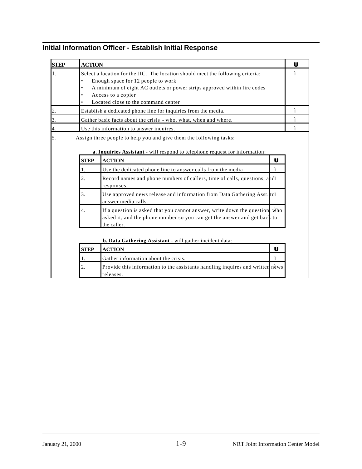| <b>STEP</b> | <b>ACTION</b>           |                                                                                                                                                                                                                                                                |                   |
|-------------|-------------------------|----------------------------------------------------------------------------------------------------------------------------------------------------------------------------------------------------------------------------------------------------------------|-------------------|
|             | $\bullet$<br>$\bullet$  | Select a location for the JIC. The location should meet the following criteria:<br>Enough space for 12 people to work<br>A minimum of eight AC outlets or power strips approved within fire codes<br>Access to a copier<br>Located close to the command center |                   |
|             |                         | Establish a dedicated phone line for inquiries from the media.                                                                                                                                                                                                 |                   |
|             |                         | Gather basic facts about the crisis - who, what, when and where.                                                                                                                                                                                               |                   |
|             |                         | Use this information to answer inquires.                                                                                                                                                                                                                       |                   |
|             | <b>STEP</b><br>1.<br>2. | <b>ACTION</b><br>Use the dedicated phone line to answer calls from the media.<br>Record names and phone numbers of callers, time of calls, questions, and "                                                                                                    | U<br>$\mathbf{u}$ |
|             |                         | responses                                                                                                                                                                                                                                                      |                   |
|             | 3.                      | Use approved news release and information from Data Gathering Asst. to"<br>answer media calls.                                                                                                                                                                 |                   |
|             | 4.                      | If a question is asked that you cannot answer, write down the question, who<br>asked it, and the phone number so you can get the answer and get back to<br>the caller.                                                                                         |                   |
|             |                         | <b>b. Data Gathering Assistant</b> - will gather incident data:                                                                                                                                                                                                |                   |
|             | <b>STEP</b>             | <b>ACTION</b>                                                                                                                                                                                                                                                  | U                 |
|             |                         | $\alpha$ at $\alpha$ and $\alpha$ and $\alpha$                                                                                                                                                                                                                 |                   |

## **Initial Information Officer - Establish Initial Response**

|             | <b>b. Data Gathering Assistant</b> - will gather incident data:                            |                |  |  |
|-------------|--------------------------------------------------------------------------------------------|----------------|--|--|
| <b>STEP</b> | <b>ACTION</b>                                                                              |                |  |  |
|             | Gather information about the crisis.                                                       | $\overline{u}$ |  |  |
|             | Provide this information to the assistants handling inquires and writter news<br>releases. |                |  |  |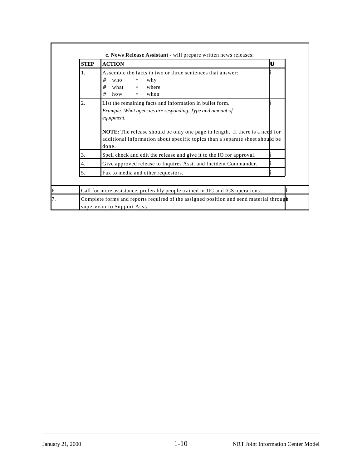| <b>STEP</b> | <b>ACTION</b>                                                                                                                                                                                                                                                                                                      | U            |
|-------------|--------------------------------------------------------------------------------------------------------------------------------------------------------------------------------------------------------------------------------------------------------------------------------------------------------------------|--------------|
| 1.          | Assemble the facts in two or three sentences that answer:<br>#<br>who<br>why<br>#<br>where<br>what<br>when<br>#<br>how<br>$\bullet$                                                                                                                                                                                | $\mathbf{u}$ |
| 2.          | List the remaining facts and information in bullet form.<br>Example: What agencies are responding. Type and amount of<br>equipment.<br><b>NOTE:</b> The release should be only one page in length. If there is a need for<br>additional information about specific topics than a separate sheet should be<br>done. |              |
| 3.          | Spell check and edit the release and give it to the IO for approval.                                                                                                                                                                                                                                               | "            |
| 4.          | Give approved release to Inquires Asst. and Incident Commander.                                                                                                                                                                                                                                                    | $\mathbf{u}$ |
| 5.          | Fax to media and other requestors.                                                                                                                                                                                                                                                                                 | $\mathbf{u}$ |
|             | Call for more assistance, preferably people trained in JIC and ICS operations.                                                                                                                                                                                                                                     |              |
|             | Complete forms and reports required of the assigned position and send material through<br>supervisor to Support Asst.                                                                                                                                                                                              |              |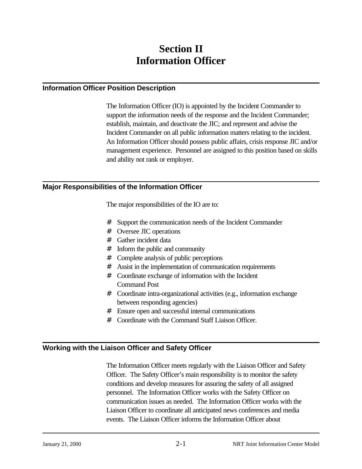## **Section II Information Officer**

## **Information Officer Position Description**

The Information Officer (IO) is appointed by the Incident Commander to support the information needs of the response and the Incident Commander; establish, maintain, and deactivate the JIC; and represent and advise the Incident Commander on all public information matters relating to the incident. An Information Officer should possess public affairs, crisis response JIC and/or management experience. Personnel are assigned to this position based on skills and ability not rank or employer.

## **Major Responsibilities of the Information Officer**

The major responsibilities of the IO are to:

- # Support the communication needs of the Incident Commander
- # Oversee JIC operations
- # Gather incident data
- # Inform the public and community
- # Complete analysis of public perceptions
- # Assist in the implementation of communication requirements
- # Coordinate exchange of information with the Incident Command Post
- # Coordinate intra-organizational activities (e.g., information exchange between responding agencies)
- # Ensure open and successful internal communications
- # Coordinate with the Command Staff Liaison Officer.

## **Working with the Liaison Officer and Safety Officer**

The Information Officer meets regularly with the Liaison Officer and Safety Officer. The Safety Officer's main responsibility is to monitor the safety conditions and develop measures for assuring the safety of all assigned personnel. The Information Officer works with the Safety Officer on communication issues as needed. The Information Officer works with the Liaison Officer to coordinate all anticipated news conferences and media events. The Liaison Officer informs the Information Officer about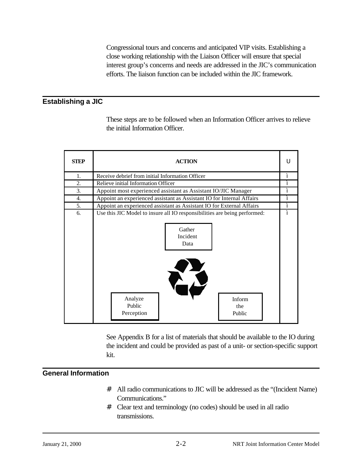Congressional tours and concerns and anticipated VIP visits. Establishing a close working relationship with the Liaison Officer will ensure that special interest group's concerns and needs are addressed in the JIC's communication efforts. The liaison function can be included within the JIC framework.

## **Establishing a JIC**

These steps are to be followed when an Information Officer arrives to relieve the initial Information Officer.

| <b>STEP</b>      | <b>ACTION</b>                                                                                                 |                    |  |  |  |
|------------------|---------------------------------------------------------------------------------------------------------------|--------------------|--|--|--|
| 1.               | Receive debrief from initial Information Officer                                                              | $\boldsymbol{\mu}$ |  |  |  |
| $\overline{2}$ . | Relieve initial Information Officer                                                                           | $\mathbf{u}$       |  |  |  |
| 3.               | Appoint most experienced assistant as Assistant IO/JIC Manager                                                | $\mathbf{u}$       |  |  |  |
| 4.               | Appoint an experienced assistant as Assistant IO for Internal Affairs                                         | $\boldsymbol{\mu}$ |  |  |  |
| 5.               | Appoint an experienced assistant as Assistant IO for External Affairs                                         | $\boldsymbol{u}$   |  |  |  |
| 6.               | Use this JIC Model to insure all IO responsibilities are being performed:<br>Gather<br>Incident<br>Data<br>K7 | $\mathbf{u}$       |  |  |  |
|                  | Analyze<br>Inform<br>Public<br>the<br>Perception<br>Public                                                    |                    |  |  |  |

See Appendix B for a list of materials that should be available to the IO during the incident and could be provided as past of a unit- or section-specific support kit.

## **General Information**

- # All radio communications to JIC will be addressed as the "(Incident Name) Communications."
- # Clear text and terminology (no codes) should be used in all radio transmissions.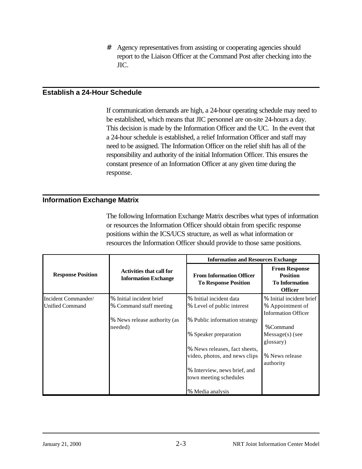# Agency representatives from assisting or cooperating agencies should report to the Liaison Officer at the Command Post after checking into the JIC.

#### **Establish a 24-Hour Schedule**

If communication demands are high, a 24-hour operating schedule may need to be established, which means that JIC personnel are on-site 24-hours a day. This decision is made by the Information Officer and the UC. In the event that a 24-hour schedule is established, a relief Information Officer and staff may need to be assigned. The Information Officer on the relief shift has all of the responsibility and authority of the initial Information Officer. This ensures the constant presence of an Information Officer at any given time during the response.

#### **Information Exchange Matrix**

The following Information Exchange Matrix describes what types of information or resources the Information Officer should obtain from specific response positions within the ICS/UCS structure, as well as what information or resources the Information Officer should provide to those same positions.

|                          |                                                                | <b>Information and Resources Exchange</b>                      |                                                                                    |
|--------------------------|----------------------------------------------------------------|----------------------------------------------------------------|------------------------------------------------------------------------------------|
| <b>Response Position</b> | <b>Activities that call for</b><br><b>Information Exchange</b> | <b>From Information Officer</b><br><b>To Response Position</b> | <b>From Response</b><br><b>Position</b><br><b>To Information</b><br><b>Officer</b> |
| Incident Commander/      | % Initial incident brief                                       | % Initial incident data                                        | % Initial incident brief                                                           |
| <b>Unified Command</b>   | % Command staff meeting                                        | % Level of public interest                                     | % Appointment of<br><b>Information Officer</b>                                     |
|                          | % News release authority (as                                   | % Public information strategy                                  | %Command                                                                           |
|                          | needed)                                                        | % Speaker preparation                                          | $Message(s)$ (see<br>glossary)                                                     |
|                          |                                                                | % News releases, fact sheets,                                  |                                                                                    |
|                          |                                                                | video, photos, and news clips                                  | % News release<br>authority                                                        |
|                          |                                                                | % Interview, news brief, and<br>town meeting schedules         |                                                                                    |
|                          |                                                                | % Media analysis                                               |                                                                                    |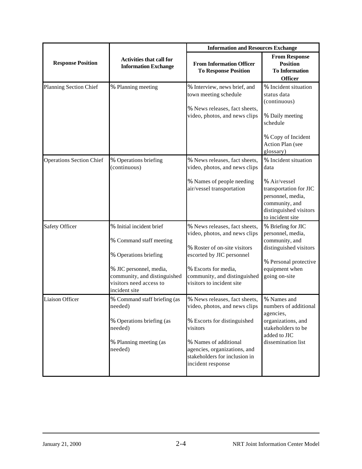|                                 |                                                                                                                                                                                     | <b>Information and Resources Exchange</b>                                                                                                                                                                                |                                                                                                                                                             |
|---------------------------------|-------------------------------------------------------------------------------------------------------------------------------------------------------------------------------------|--------------------------------------------------------------------------------------------------------------------------------------------------------------------------------------------------------------------------|-------------------------------------------------------------------------------------------------------------------------------------------------------------|
| <b>Response Position</b>        | <b>Activities that call for</b><br><b>Information Exchange</b>                                                                                                                      | <b>From Information Officer</b><br><b>To Response Position</b>                                                                                                                                                           | <b>From Response</b><br><b>Position</b><br><b>To Information</b><br><b>Officer</b>                                                                          |
| Planning Section Chief          | % Planning meeting                                                                                                                                                                  | % Interview, news brief, and<br>town meeting schedule<br>% News releases, fact sheets,<br>video, photos, and news clips                                                                                                  | % Incident situation<br>status data<br>(continuous)<br>% Daily meeting<br>schedule<br>% Copy of Incident<br>Action Plan (see<br>glossary)                   |
| <b>Operations Section Chief</b> | % Operations briefing<br>(continuous)                                                                                                                                               | % News releases, fact sheets,<br>video, photos, and news clips<br>% Names of people needing<br>air/vessel transportation                                                                                                 | % Incident situation<br>data<br>% Air/vessel<br>transportation for JIC<br>personnel, media,<br>community, and<br>distinguished visitors<br>to incident site |
| <b>Safety Officer</b>           | % Initial incident brief<br>% Command staff meeting<br>% Operations briefing<br>% JIC personnel, media,<br>community, and distinguished<br>visitors need access to<br>incident site | % News releases, fact sheets,<br>video, photos, and news clips<br>% Roster of on-site visitors<br>escorted by JIC personnel<br>% Escorts for media,<br>community, and distinguished<br>visitors to incident site         | % Briefing for JIC<br>personnel, media,<br>community, and<br>distinguished visitors<br>% Personal protective<br>equipment when<br>going on-site             |
| <b>Liaison Officer</b>          | % Command staff briefing (as<br>needed)<br>% Operations briefing (as<br>needed)<br>% Planning meeting (as<br>needed)                                                                | % News releases, fact sheets,<br>video, photos, and news clips<br>% Escorts for distinguished<br>visitors<br>% Names of additional<br>agencies, organizations, and<br>stakeholders for inclusion in<br>incident response | % Names and<br>numbers of additional<br>agencies,<br>organizations, and<br>stakeholders to be<br>added to JIC<br>dissemination list                         |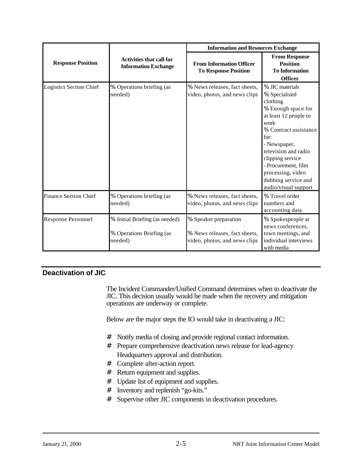|                              |                                                                        | <b>Information and Resources Exchange</b>                                               |                                                                                                                                                                                                                                                                                             |  |
|------------------------------|------------------------------------------------------------------------|-----------------------------------------------------------------------------------------|---------------------------------------------------------------------------------------------------------------------------------------------------------------------------------------------------------------------------------------------------------------------------------------------|--|
| <b>Response Position</b>     | <b>Activities that call for</b><br><b>Information Exchange</b>         | <b>From Information Officer</b><br><b>To Response Position</b>                          | <b>From Response</b><br><b>Position</b><br><b>To Information</b><br><b>Officer</b>                                                                                                                                                                                                          |  |
| Logistics Section Chief      | % Operations briefing (as<br>needed)                                   | % News releases, fact sheets,<br>video, photos, and news clips                          | % JIC materials<br>% Specialized<br>clothing<br>% Enough space for<br>at least 12 people to<br>work<br>% Contract assistance<br>for:<br>- Newspaper,<br>television and radio<br>clipping service<br>- Procurement, film<br>processing, video<br>dubbing service and<br>audio/visual support |  |
| <b>Finance Section Chief</b> | % Operations briefing (as<br>needed)                                   | % News releases, fact sheets,<br>video, photos, and news clips                          | % Travel order<br>numbers and<br>accounting data                                                                                                                                                                                                                                            |  |
| <b>Response Personnel</b>    | % Initial Briefing (as needed)<br>% Operations Briefing (as<br>needed) | % Speaker preparation<br>% News releases, fact sheets,<br>video, photos, and news clips | % Spokespeople at<br>news conferences,<br>town meetings, and<br>individual interviews<br>with media                                                                                                                                                                                         |  |

## **Deactivation of JIC**

The Incident Commander/Unified Command determines when to deactivate the JIC. This decision usually would be made when the recovery and mitigation operations are underway or complete.

Below are the major steps the IO would take in deactivating a JIC:

- # Notify media of closing and provide regional contact information.
- # Prepare comprehensive deactivation news release for lead-agency Headquarters approval and distribution.
- # Complete after-action report.
- # Return equipment and supplies.
- # Update list of equipment and supplies.
- # Inventory and replenish "go-kits."
- # Supervise other JIC components in deactivation procedures.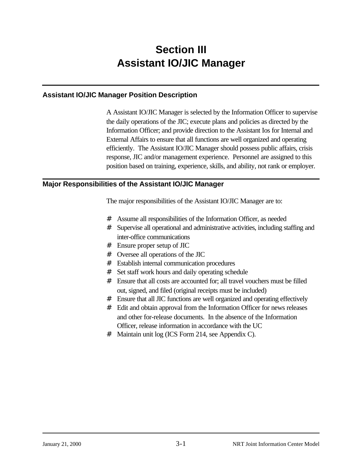## **Section III Assistant IO/JIC Manager**

## **Assistant IO/JIC Manager Position Description**

A Assistant IO/JIC Manager is selected by the Information Officer to supervise the daily operations of the JIC; execute plans and policies as directed by the Information Officer; and provide direction to the Assistant Ios for Internal and External Affairs to ensure that all functions are well organized and operating efficiently. The Assistant IO/JIC Manager should possess public affairs, crisis response, JIC and/or management experience. Personnel are assigned to this position based on training, experience, skills, and ability, not rank or employer.

## **Major Responsibilities of the Assistant IO/JIC Manager**

The major responsibilities of the Assistant IO/JIC Manager are to:

- # Assume all responsibilities of the Information Officer, as needed
- # Supervise all operational and administrative activities, including staffing and inter-office communications
- # Ensure proper setup of JIC
- # Oversee all operations of the JIC
- # Establish internal communication procedures
- # Set staff work hours and daily operating schedule
- # Ensure that all costs are accounted for; all travel vouchers must be filled out, signed, and filed (original receipts must be included)
- # Ensure that all JIC functions are well organized and operating effectively
- # Edit and obtain approval from the Information Officer for news releases and other for-release documents. In the absence of the Information Officer, release information in accordance with the UC
- # Maintain unit log (ICS Form 214, see Appendix C).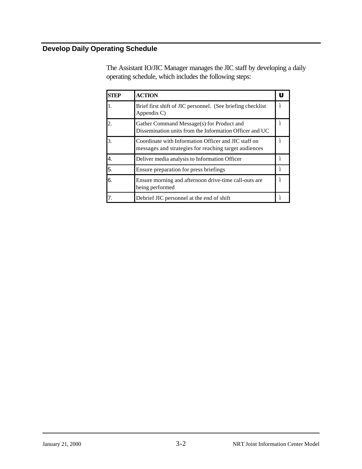## **Develop Daily Operating Schedule**

The Assistant IO/JIC Manager manages the JIC staff by developing a daily operating schedule, which includes the following steps:

| <b>STEP</b> | <b>ACTION</b>                                                                                                 |                    |
|-------------|---------------------------------------------------------------------------------------------------------------|--------------------|
| 1.          | Brief first shift of JIC personnel. (See briefing checklist)<br>Appendix C)                                   | $\boldsymbol{u}$   |
|             | Gather Command Message(s) for Product and<br>Dissemination units from the Information Officer and UC          | $\boldsymbol{\mu}$ |
| 3.          | Coordinate with Information Officer and JIC staff on<br>messages and strategies for reaching target audiences | $\boldsymbol{\mu}$ |
| 4.          | Deliver media analysis to Information Officer                                                                 | $\mathbf{u}$       |
| 5.          | Ensure preparation for press briefings                                                                        | $\boldsymbol{\mu}$ |
| 6.          | Ensure morning and afternoon drive-time call-outs are<br>being performed                                      | $\mathbf{u}$       |
|             | Debrief JIC personnel at the end of shift                                                                     | $\mathbf{u}$       |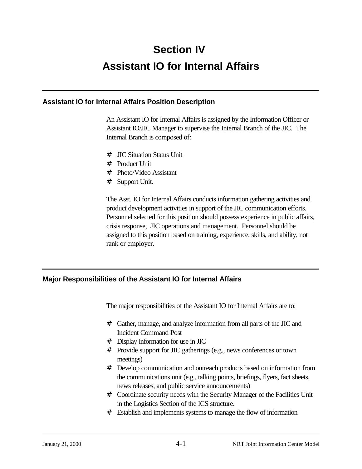## **Section IV Assistant IO for Internal Affairs**

## **Assistant IO for Internal Affairs Position Description**

An Assistant IO for Internal Affairs is assigned by the Information Officer or Assistant IO/JIC Manager to supervise the Internal Branch of the JIC. The Internal Branch is composed of:

- # JIC Situation Status Unit
- # Product Unit
- # Photo/Video Assistant
- # Support Unit.

The Asst. IO for Internal Affairs conducts information gathering activities and product development activities in support of the JIC communication efforts. Personnel selected for this position should possess experience in public affairs, crisis response, JIC operations and management. Personnel should be assigned to this position based on training, experience, skills, and ability, not rank or employer.

## **Major Responsibilities of the Assistant IO for Internal Affairs**

The major responsibilities of the Assistant IO for Internal Affairs are to:

- # Gather, manage, and analyze information from all parts of the JIC and Incident Command Post
- # Display information for use in JIC
- # Provide support for JIC gatherings (e.g., news conferences or town meetings)
- # Develop communication and outreach products based on information from the communications unit (e.g., talking points, briefings, flyers, fact sheets, news releases, and public service announcements)
- # Coordinate security needs with the Security Manager of the Facilities Unit in the Logistics Section of the ICS structure.
- # Establish and implements systems to manage the flow of information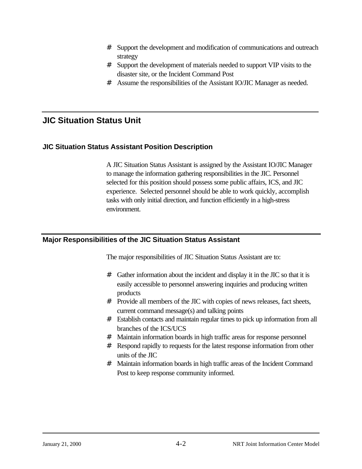- # Support the development and modification of communications and outreach strategy
- # Support the development of materials needed to support VIP visits to the disaster site, or the Incident Command Post
- # Assume the responsibilities of the Assistant IO/JIC Manager as needed.

## **JIC Situation Status Unit**

## **JIC Situation Status Assistant Position Description**

A JIC Situation Status Assistant is assigned by the Assistant IO/JIC Manager to manage the information gathering responsibilities in the JIC. Personnel selected for this position should possess some public affairs, ICS, and JIC experience. Selected personnel should be able to work quickly, accomplish tasks with only initial direction, and function efficiently in a high-stress environment.

## **Major Responsibilities of the JIC Situation Status Assistant**

The major responsibilities of JIC Situation Status Assistant are to:

- # Gather information about the incident and display it in the JIC so that it is easily accessible to personnel answering inquiries and producing written products
- # Provide all members of the JIC with copies of news releases, fact sheets, current command message(s) and talking points
- # Establish contacts and maintain regular times to pick up information from all branches of the ICS/UCS
- # Maintain information boards in high traffic areas for response personnel
- # Respond rapidly to requests for the latest response information from other units of the JIC
- # Maintain information boards in high traffic areas of the Incident Command Post to keep response community informed.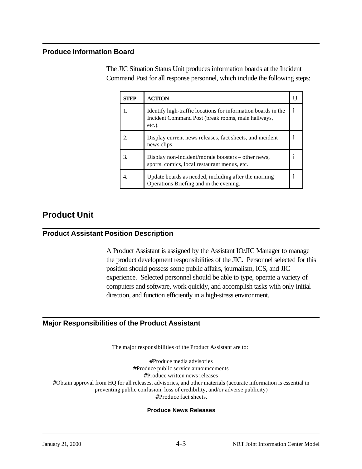### **Produce Information Board**

The JIC Situation Status Unit produces information boards at the Incident Command Post for all response personnel, which include the following steps:

| <b>STEP</b> | <b>ACTION</b>                                                                                                                    |                |
|-------------|----------------------------------------------------------------------------------------------------------------------------------|----------------|
|             | Identify high-traffic locations for information boards in the<br>Incident Command Post (break rooms, main hallways,<br>$etc.$ ). | $\bf{u}$       |
|             | Display current news releases, fact sheets, and incident<br>news clips.                                                          | $\overline{u}$ |
| 3.          | Display non-incident/morale boosters – other news,<br>sports, comics, local restaurant menus, etc.                               | "              |
|             | Update boards as needed, including after the morning<br>Operations Briefing and in the evening.                                  | $\bf{u}$       |

## **Product Unit**

## **Product Assistant Position Description**

A Product Assistant is assigned by the Assistant IO/JIC Manager to manage the product development responsibilities of the JIC. Personnel selected for this position should possess some public affairs, journalism, ICS, and JIC experience. Selected personnel should be able to type, operate a variety of computers and software, work quickly, and accomplish tasks with only initial direction, and function efficiently in a high-stress environment.

## **Major Responsibilities of the Product Assistant**

The major responsibilities of the Product Assistant are to:

#Produce media advisories #Produce public service announcements #Produce written news releases #Obtain approval from HQ for all releases, advisories, and other materials (accurate information is essential in preventing public confusion, loss of credibility, and/or adverse publicity) #Produce fact sheets.

#### **Produce News Releases**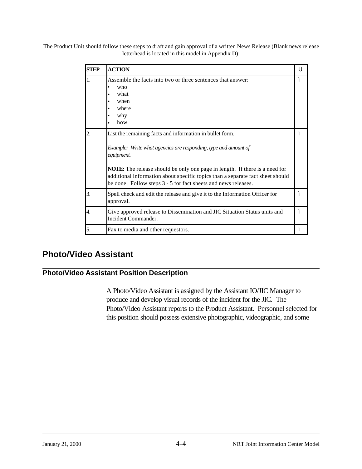The Product Unit should follow these steps to draft and gain approval of a written News Release (Blank news release letterhead is located in this model in Appendix D):

| <b>STEP</b>      | <b>ACTION</b>                                                                                                                                                                                                                                                                                                                                                                       | U                  |
|------------------|-------------------------------------------------------------------------------------------------------------------------------------------------------------------------------------------------------------------------------------------------------------------------------------------------------------------------------------------------------------------------------------|--------------------|
| 1.               | Assemble the facts into two or three sentences that answer:<br>who<br>what<br>when<br>where<br>why<br>how                                                                                                                                                                                                                                                                           | $\mathbf{u}$       |
| $\overline{2}$ . | List the remaining facts and information in bullet form.<br>Example: Write what agencies are responding, type and amount of<br>equipment.<br><b>NOTE:</b> The release should be only one page in length. If there is a need for<br>additional information about specific topics than a separate fact sheet should<br>be done. Follow steps 3 - 5 for fact sheets and news releases. | $\mathbf{u}$       |
| 3.               | Spell check and edit the release and give it to the Information Officer for<br>approval.                                                                                                                                                                                                                                                                                            | $\mathbf{u}$       |
| 4.               | Give approved release to Dissemination and JIC Situation Status units and<br>Incident Commander.                                                                                                                                                                                                                                                                                    | $\mathbf{u}$       |
| 5.               | Fax to media and other requestors.                                                                                                                                                                                                                                                                                                                                                  | $\boldsymbol{\mu}$ |

## **Photo/Video Assistant**

## **Photo/Video Assistant Position Description**

A Photo/Video Assistant is assigned by the Assistant IO/JIC Manager to produce and develop visual records of the incident for the JIC. The Photo/Video Assistant reports to the Product Assistant. Personnel selected for this position should possess extensive photographic, videographic, and some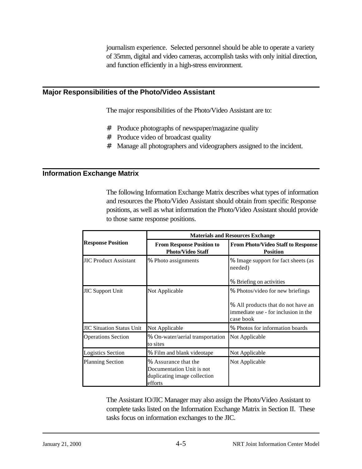journalism experience. Selected personnel should be able to operate a variety of 35mm, digital and video cameras, accomplish tasks with only initial direction, and function efficiently in a high-stress environment.

### **Major Responsibilities of the Photo/Video Assistant**

The major responsibilities of the Photo/Video Assistant are to:

- # Produce photographs of newspaper/magazine quality
- # Produce video of broadcast quality
- # Manage all photographers and videographers assigned to the incident.

#### **Information Exchange Matrix**

The following Information Exchange Matrix describes what types of information and resources the Photo/Video Assistant should obtain from specific Response positions, as well as what information the Photo/Video Assistant should provide to those same response positions.

|                                  | <b>Materials and Resources Exchange</b>                                                      |                                                                                         |  |
|----------------------------------|----------------------------------------------------------------------------------------------|-----------------------------------------------------------------------------------------|--|
| <b>Response Position</b>         | <b>From Response Position to</b><br><b>Photo/Video Staff</b>                                 | <b>From Photo/Video Staff to Response</b><br><b>Position</b>                            |  |
| <b>JIC Product Assistant</b>     | % Photo assignments                                                                          | % Image support for fact sheets (as<br>needed)                                          |  |
|                                  |                                                                                              | % Briefing on activities                                                                |  |
| <b>JIC Support Unit</b>          | Not Applicable                                                                               | % Photos/video for new briefings                                                        |  |
|                                  |                                                                                              | % All products that do not have an<br>immediate use - for inclusion in the<br>case book |  |
| <b>JIC Situation Status Unit</b> | Not Applicable                                                                               | % Photos for information boards                                                         |  |
| <b>Operations Section</b>        | % On-water/aerial transportation<br>to sites                                                 | Not Applicable                                                                          |  |
| <b>Logistics Section</b>         | % Film and blank videotape                                                                   | Not Applicable                                                                          |  |
| <b>Planning Section</b>          | % Assurance that the<br>Documentation Unit is not<br>duplicating image collection<br>efforts | Not Applicable                                                                          |  |

The Assistant IO/JIC Manager may also assign the Photo/Video Assistant to complete tasks listed on the Information Exchange Matrix in Section II. These tasks focus on information exchanges to the JIC.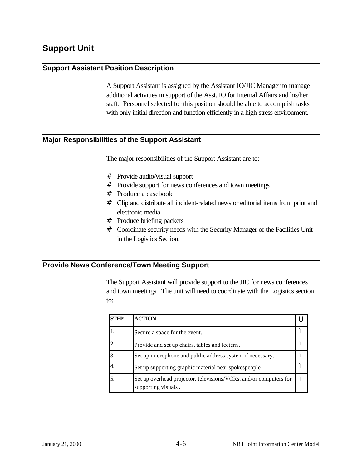## **Support Unit**

### **Support Assistant Position Description**

A Support Assistant is assigned by the Assistant IO/JIC Manager to manage additional activities in support of the Asst. IO for Internal Affairs and his/her staff. Personnel selected for this position should be able to accomplish tasks with only initial direction and function efficiently in a high-stress environment.

#### **Major Responsibilities of the Support Assistant**

The major responsibilities of the Support Assistant are to:

- # Provide audio/visual support
- # Provide support for news conferences and town meetings
- # Produce a casebook
- # Clip and distribute all incident-related news or editorial items from print and electronic media
- # Produce briefing packets
- # Coordinate security needs with the Security Manager of the Facilities Unit in the Logistics Section.

## **Provide News Conference/Town Meeting Support**

The Support Assistant will provide support to the JIC for news conferences and town meetings. The unit will need to coordinate with the Logistics section to:

| <b>STEP</b> | <b>ACTION</b>                                                                            |                  |
|-------------|------------------------------------------------------------------------------------------|------------------|
|             | Secure a space for the event.                                                            | $\prime$         |
|             | Provide and set up chairs, tables and lectern.                                           | $\mathbf{u}$     |
|             | Set up microphone and public address system if necessary.                                | $\mathbf{u}$     |
|             | Set up supporting graphic material near spokespeople.                                    | $\mathbf{u}$     |
|             | Set up overhead projector, televisions/VCRs, and/or computers for<br>supporting visuals. | $\boldsymbol{u}$ |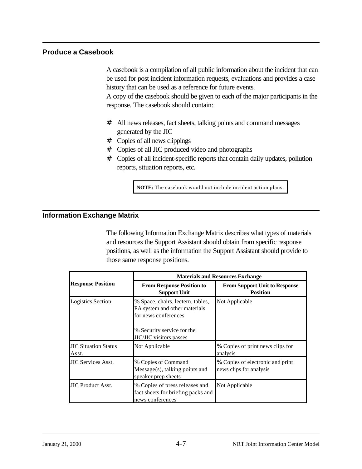## **Produce a Casebook**

A casebook is a compilation of all public information about the incident that can be used for post incident information requests, evaluations and provides a case history that can be used as a reference for future events.

A copy of the casebook should be given to each of the major participants in the response. The casebook should contain:

- # All news releases, fact sheets, talking points and command messages generated by the JIC
- # Copies of all news clippings
- # Copies of all JIC produced video and photographs
- # Copies of all incident-specific reports that contain daily updates, pollution reports, situation reports, etc.

**NOTE:** The casebook would not include incident action plans.

## **Information Exchange Matrix**

The following Information Exchange Matrix describes what types of materials and resources the Support Assistant should obtain from specific response positions, as well as the information the Support Assistant should provide to those same response positions.

|                                      | <b>Materials and Resources Exchange</b>                                                                                                                    |                                                             |  |
|--------------------------------------|------------------------------------------------------------------------------------------------------------------------------------------------------------|-------------------------------------------------------------|--|
| <b>Response Position</b>             | <b>From Response Position to</b><br><b>Support Unit</b>                                                                                                    | <b>From Support Unit to Response</b><br><b>Position</b>     |  |
| <b>Logistics Section</b>             | % Space, chairs, lectern, tables,<br>PA system and other materials<br>for news conferences<br>% Security service for the<br><b>JIC/JIC</b> visitors passes | Not Applicable                                              |  |
| <b>JIC Situation Status</b><br>Asst. | Not Applicable                                                                                                                                             | % Copies of print news clips for<br>analysis                |  |
| <b>JIC Services Asst.</b>            | % Copies of Command<br>$Message(s)$ , talking points and<br>speaker prep sheets                                                                            | % Copies of electronic and print<br>news clips for analysis |  |
| <b>JIC Product Asst.</b>             | % Copies of press releases and<br>fact sheets for briefing packs and<br>news conferences                                                                   | Not Applicable                                              |  |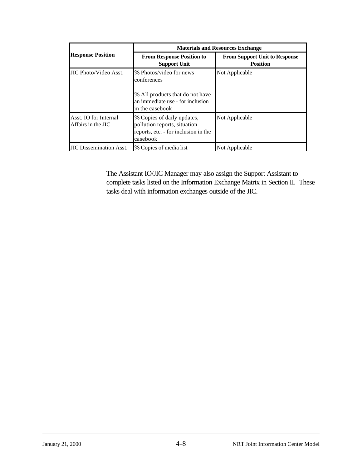|                                             | <b>Materials and Resources Exchange</b>                                                                        |                                                         |  |
|---------------------------------------------|----------------------------------------------------------------------------------------------------------------|---------------------------------------------------------|--|
| <b>Response Position</b>                    | <b>From Response Position to</b><br><b>Support Unit</b>                                                        | <b>From Support Unit to Response</b><br><b>Position</b> |  |
| JIC Photo/Video Asst.                       | % Photos/video for news<br>conferences<br>% All products that do not have<br>an immediate use - for inclusion  | Not Applicable                                          |  |
|                                             | in the casebook                                                                                                |                                                         |  |
| Asst. IO for Internal<br>Affairs in the JIC | % Copies of daily updates,<br>pollution reports, situation<br>reports, etc. - for inclusion in the<br>casebook | Not Applicable                                          |  |
| <b>JIC Dissemination Asst.</b>              | % Copies of media list                                                                                         | Not Applicable                                          |  |

The Assistant IO/JIC Manager may also assign the Support Assistant to complete tasks listed on the Information Exchange Matrix in Section II. These tasks deal with information exchanges outside of the JIC.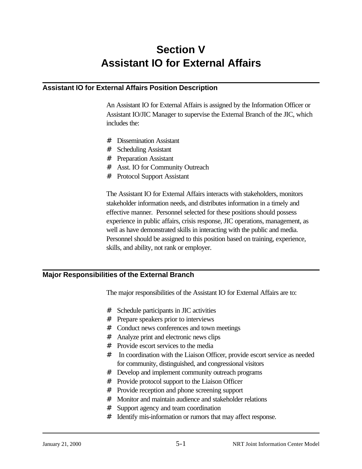# **Section V Assistant IO for External Affairs**

## **Assistant IO for External Affairs Position Description**

An Assistant IO for External Affairs is assigned by the Information Officer or Assistant IO/JIC Manager to supervise the External Branch of the JIC, which includes the:

- # Dissemination Assistant
- # Scheduling Assistant
- # Preparation Assistant
- # Asst. IO for Community Outreach
- # Protocol Support Assistant

The Assistant IO for External Affairs interacts with stakeholders, monitors stakeholder information needs, and distributes information in a timely and effective manner. Personnel selected for these positions should possess experience in public affairs, crisis response, JIC operations, management, as well as have demonstrated skills in interacting with the public and media. Personnel should be assigned to this position based on training, experience, skills, and ability, not rank or employer.

## **Major Responsibilities of the External Branch**

The major responsibilities of the Assistant IO for External Affairs are to:

- # Schedule participants in JIC activities
- # Prepare speakers prior to interviews
- # Conduct news conferences and town meetings
- # Analyze print and electronic news clips
- # Provide escort services to the media
- # In coordination with the Liaison Officer, provide escort service as needed for community, distinguished, and congressional visitors
- # Develop and implement community outreach programs
- # Provide protocol support to the Liaison Officer
- # Provide reception and phone screening support
- # Monitor and maintain audience and stakeholder relations
- # Support agency and team coordination
- # Identify mis-information or rumors that may affect response.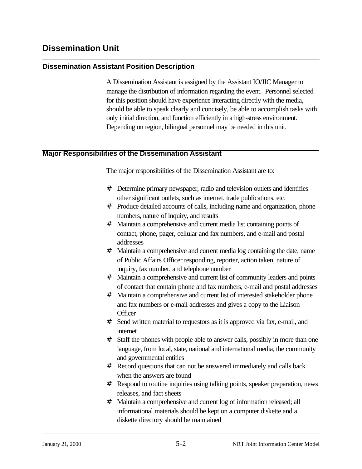## **Dissemination Assistant Position Description**

A Dissemination Assistant is assigned by the Assistant IO/JIC Manager to manage the distribution of information regarding the event. Personnel selected for this position should have experience interacting directly with the media, should be able to speak clearly and concisely, be able to accomplish tasks with only initial direction, and function efficiently in a high-stress environment. Depending on region, bilingual personnel may be needed in this unit.

## **Major Responsibilities of the Dissemination Assistant**

The major responsibilities of the Dissemination Assistant are to:

- # Determine primary newspaper, radio and television outlets and identifies other significant outlets, such as internet, trade publications, etc.
- # Produce detailed accounts of calls, including name and organization, phone numbers, nature of inquiry, and results
- # Maintain a comprehensive and current media list containing points of contact, phone, pager, cellular and fax numbers, and e-mail and postal addresses
- # Maintain a comprehensive and current media log containing the date, name of Public Affairs Officer responding, reporter, action taken, nature of inquiry, fax number, and telephone number
- # Maintain a comprehensive and current list of community leaders and points of contact that contain phone and fax numbers, e-mail and postal addresses
- # Maintain a comprehensive and current list of interested stakeholder phone and fax numbers or e-mail addresses and gives a copy to the Liaison **Officer**
- # Send written material to requestors as it is approved via fax, e-mail, and internet
- # Staff the phones with people able to answer calls, possibly in more than one language, from local, state, national and international media, the community and governmental entities
- # Record questions that can not be answered immediately and calls back when the answers are found
- # Respond to routine inquiries using talking points, speaker preparation, news releases, and fact sheets
- # Maintain a comprehensive and current log of information released; all informational materials should be kept on a computer diskette and a diskette directory should be maintained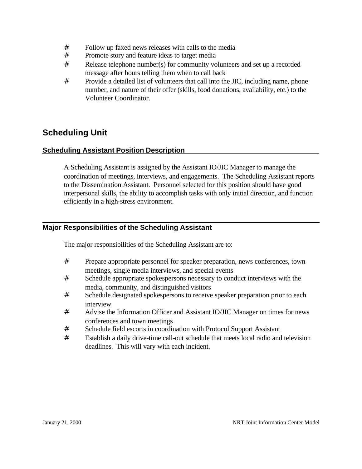- # Follow up faxed news releases with calls to the media
- # Promote story and feature ideas to target media
- # Release telephone number(s) for community volunteers and set up a recorded message after hours telling them when to call back
- # Provide a detailed list of volunteers that call into the JIC, including name, phone number, and nature of their offer (skills, food donations, availability, etc.) to the Volunteer Coordinator.

## **Scheduling Unit**

## **Scheduling Assistant Position Description**

A Scheduling Assistant is assigned by the Assistant IO/JIC Manager to manage the coordination of meetings, interviews, and engagements. The Scheduling Assistant reports to the Dissemination Assistant. Personnel selected for this position should have good interpersonal skills, the ability to accomplish tasks with only initial direction, and function efficiently in a high-stress environment.

## **Major Responsibilities of the Scheduling Assistant**

The major responsibilities of the Scheduling Assistant are to:

- # Prepare appropriate personnel for speaker preparation, news conferences, town meetings, single media interviews, and special events
- # Schedule appropriate spokespersons necessary to conduct interviews with the media, community, and distinguished visitors
- # Schedule designated spokespersons to receive speaker preparation prior to each interview
- # Advise the Information Officer and Assistant IO/JIC Manager on times for news conferences and town meetings
- # Schedule field escorts in coordination with Protocol Support Assistant
- # Establish a daily drive-time call-out schedule that meets local radio and television deadlines. This will vary with each incident.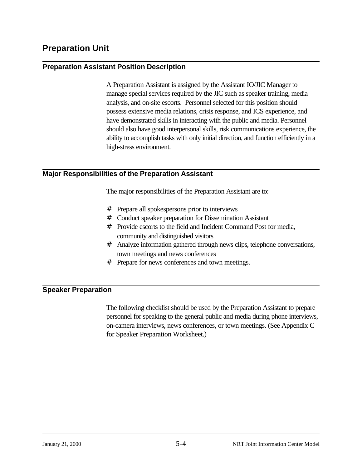## **Preparation Unit**

## **Preparation Assistant Position Description**

A Preparation Assistant is assigned by the Assistant IO/JIC Manager to manage special services required by the JIC such as speaker training, media analysis, and on-site escorts. Personnel selected for this position should possess extensive media relations, crisis response, and ICS experience, and have demonstrated skills in interacting with the public and media. Personnel should also have good interpersonal skills, risk communications experience, the ability to accomplish tasks with only initial direction, and function efficiently in a high-stress environment.

## **Major Responsibilities of the Preparation Assistant**

The major responsibilities of the Preparation Assistant are to:

- # Prepare all spokespersons prior to interviews
- # Conduct speaker preparation for Dissemination Assistant
- # Provide escorts to the field and Incident Command Post for media, community and distinguished visitors
- # Analyze information gathered through news clips, telephone conversations, town meetings and news conferences
- # Prepare for news conferences and town meetings.

## **Speaker Preparation**

The following checklist should be used by the Preparation Assistant to prepare personnel for speaking to the general public and media during phone interviews, on-camera interviews, news conferences, or town meetings. (See Appendix C for Speaker Preparation Worksheet.)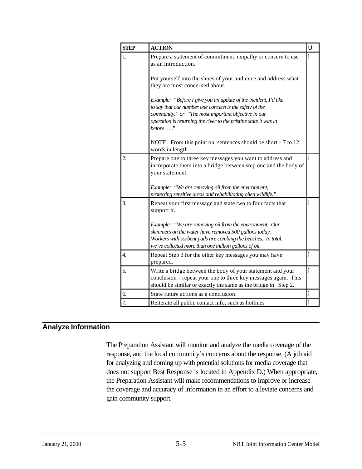| <b>STEP</b>      | <b>ACTION</b>                                                                                                                                                                                                                             | U                  |
|------------------|-------------------------------------------------------------------------------------------------------------------------------------------------------------------------------------------------------------------------------------------|--------------------|
| 1.               | Prepare a statement of commitment, empathy or concern to use<br>as an introduction.                                                                                                                                                       | $\boldsymbol{\mu}$ |
|                  | Put yourself into the shoes of your audience and address what<br>they are most concerned about.                                                                                                                                           |                    |
|                  | Example: "Before I give you an update of the incident, I'd like<br>to say that our number one concern is the safety of the                                                                                                                |                    |
|                  | community." or "The most important objective in our<br>operation is returning the river to the pristine state it was in<br>before  ."                                                                                                     |                    |
|                  | NOTE: From this point on, sentences should be short $-7$ to 12<br>words in length.                                                                                                                                                        |                    |
| 2.               | Prepare one to three key messages you want to address and<br>incorporate them into a bridge between step one and the body of<br>your statement.                                                                                           | $\mathbf{u}$       |
|                  | Example: "We are removing oil from the environment,<br>protecting sensitive areas and rehabilitating oiled wildlife."                                                                                                                     |                    |
| $\overline{3}$ . | Repeat your first message and state two to four facts that<br>support it.                                                                                                                                                                 | $\mathbf{u}$       |
|                  | Example: "We are removing oil from the environment. Our<br>skimmers on the water have removed 500 gallons today.<br>Workers with sorbent pads are combing the beaches. In total,<br>we've collected more than one million gallons of oil. |                    |
| $\overline{4}$ . | Repeat Step 3 for the other key messages you may have<br>prepared.                                                                                                                                                                        | $\pmb{\mathit{u}}$ |
| 5.               | Write a bridge between the body of your statement and your<br>conclusion – repeat your one to three key messages again. This<br>should be similar or exactly the same as the bridge in Step 2.                                            | $\boldsymbol{u}$   |
| 6.               | State future actions as a conclusion.                                                                                                                                                                                                     | $\boldsymbol{u}$   |
| 7.               | Reiterate all public contact info, such as hotlines                                                                                                                                                                                       | $\mathbf{u}$       |

## **Analyze Information**

The Preparation Assistant will monitor and analyze the media coverage of the response, and the local community's concerns about the response. (A job aid for analyzing and coming up with potential solutions for media coverage that does not support Best Response is located in Appendix D.) When appropriate, the Preparation Assistant will make recommendations to improve or increase the coverage and accuracy of information in an effort to alleviate concerns and gain community support.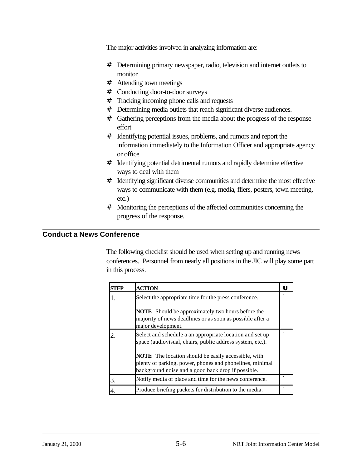The major activities involved in analyzing information are:

- # Determining primary newspaper, radio, television and internet outlets to monitor
- # Attending town meetings
- # Conducting door-to-door surveys
- # Tracking incoming phone calls and requests
- # Determining media outlets that reach significant diverse audiences.
- # Gathering perceptions from the media about the progress of the response effort
- # Identifying potential issues, problems, and rumors and report the information immediately to the Information Officer and appropriate agency or office
- # Identifying potential detrimental rumors and rapidly determine effective ways to deal with them
- # Identifying significant diverse communities and determine the most effective ways to communicate with them (e.g. media, fliers, posters, town meeting, etc.)
- # Monitoring the perceptions of the affected communities concerning the progress of the response.

## **Conduct a News Conference**

The following checklist should be used when setting up and running news conferences. Personnel from nearly all positions in the JIC will play some part in this process.

| TEP | <b>ACTION</b>                                                                                                                                                                 |              |
|-----|-------------------------------------------------------------------------------------------------------------------------------------------------------------------------------|--------------|
|     | Select the appropriate time for the press conference.                                                                                                                         | $\prime$     |
|     | <b>NOTE:</b> Should be approximately two hours before the<br>majority of news deadlines or as soon as possible after a<br>major development.                                  |              |
|     | Select and schedule a an appropriate location and set up<br>space (audiovisual, chairs, public address system, etc.).                                                         | $\mathbf{u}$ |
|     | <b>NOTE:</b> The location should be easily accessible, with<br>plenty of parking, power, phones and phonelines, minimal<br>background noise and a good back drop if possible. |              |
|     | Notify media of place and time for the news conference.                                                                                                                       | $\mathbf{u}$ |
|     | Produce briefing packets for distribution to the media.                                                                                                                       | $\mathbf{u}$ |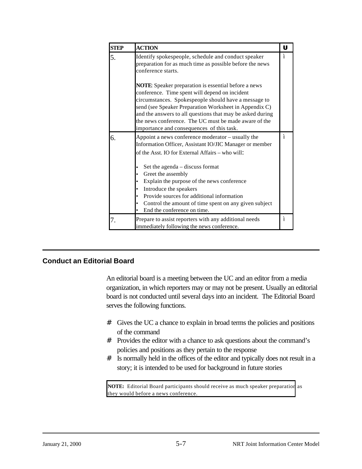| <b>STEP</b> | <b>ACTION</b>                                                                                                                                                                                                                                                                                                                                                                                      | U            |
|-------------|----------------------------------------------------------------------------------------------------------------------------------------------------------------------------------------------------------------------------------------------------------------------------------------------------------------------------------------------------------------------------------------------------|--------------|
| 5.          | Identify spokespeople, schedule and conduct speaker<br>preparation for as much time as possible before the news<br>conference starts.                                                                                                                                                                                                                                                              | $\mathbf{u}$ |
|             | <b>NOTE:</b> Speaker preparation is essential before a news<br>conference. Time spent will depend on incident<br>circumstances. Spokespeople should have a message to<br>send (see Speaker Preparation Worksheet in Appendix C)<br>and the answers to all questions that may be asked during<br>the news conference. The UC must be made aware of the<br>importance and consequences of this task. |              |
| 6.          | Appoint a news conference moderator – usually the<br>Information Officer, Assistant IO/JIC Manager or member<br>of the Asst. IO for External Affairs – who will:                                                                                                                                                                                                                                   | $\mathbf{u}$ |
|             | Set the agenda – discuss format<br>Greet the assembly<br>Explain the purpose of the news conference<br>Introduce the speakers<br>Provide sources for additional information<br>Control the amount of time spent on any given subject<br>٠<br>End the conference on time.                                                                                                                           |              |
| 7.          | Prepare to assist reporters with any additional needs<br>immediately following the news conference.                                                                                                                                                                                                                                                                                                | $\mathbf{u}$ |

## **Conduct an Editorial Board**

An editorial board is a meeting between the UC and an editor from a media organization, in which reporters may or may not be present. Usually an editorial board is not conducted until several days into an incident. The Editorial Board serves the following functions.

- # Gives the UC a chance to explain in broad terms the policies and positions of the command
- # Provides the editor with a chance to ask questions about the command's policies and positions as they pertain to the response
- # Is normally held in the offices of the editor and typically does not result in a story; it is intended to be used for background in future stories

**NOTE:** Editorial Board participants should receive as much speaker preparation as they would before a news conference.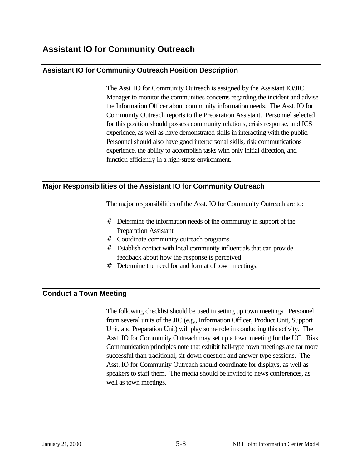## **Assistant IO for Community Outreach**

## **Assistant IO for Community Outreach Position Description**

The Asst. IO for Community Outreach is assigned by the Assistant IO/JIC Manager to monitor the communities concerns regarding the incident and advise the Information Officer about community information needs. The Asst. IO for Community Outreach reports to the Preparation Assistant. Personnel selected for this position should possess community relations, crisis response, and ICS experience, as well as have demonstrated skills in interacting with the public. Personnel should also have good interpersonal skills, risk communications experience, the ability to accomplish tasks with only initial direction, and function efficiently in a high-stress environment.

## **Major Responsibilities of the Assistant IO for Community Outreach**

The major responsibilities of the Asst. IO for Community Outreach are to:

- # Determine the information needs of the community in support of the Preparation Assistant
- # Coordinate community outreach programs
- # Establish contact with local community influentials that can provide feedback about how the response is perceived
- # Determine the need for and format of town meetings.

## **Conduct a Town Meeting**

The following checklist should be used in setting up town meetings. Personnel from several units of the JIC (e.g., Information Officer, Product Unit, Support Unit, and Preparation Unit) will play some role in conducting this activity. The Asst. IO for Community Outreach may set up a town meeting for the UC. Risk Communication principles note that exhibit hall-type town meetings are far more successful than traditional, sit-down question and answer-type sessions. The Asst. IO for Community Outreach should coordinate for displays, as well as speakers to staff them. The media should be invited to news conferences, as well as town meetings.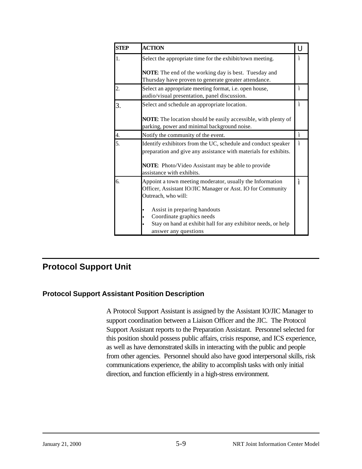| <b>STEP</b> | <b>ACTION</b>                                                                                                                                                                                  | U                         |
|-------------|------------------------------------------------------------------------------------------------------------------------------------------------------------------------------------------------|---------------------------|
| 1.          | Select the appropriate time for the exhibit/town meeting.                                                                                                                                      |                           |
|             | <b>NOTE:</b> The end of the working day is best. Tuesday and<br>Thursday have proven to generate greater attendance.                                                                           |                           |
| 2.          | Select an appropriate meeting format, i.e. open house,<br>audio/visual presentation, panel discussion.                                                                                         | $\mathbf{u}$              |
| 3.          | Select and schedule an appropriate location.                                                                                                                                                   | $\mathbf{u}$              |
|             | <b>NOTE:</b> The location should be easily accessible, with plenty of<br>parking, power and minimal background noise.                                                                          |                           |
| 4.          | Notify the community of the event.                                                                                                                                                             | $\boldsymbol{\mathit{u}}$ |
| 5.          | Identify exhibitors from the UC, schedule and conduct speaker<br>preparation and give any assistance with materials for exhibits.<br><b>NOTE:</b> Photo/Video Assistant may be able to provide | $\mathbf{u}$              |
|             | assistance with exhibits.                                                                                                                                                                      |                           |
| 6.          | Appoint a town meeting moderator, usually the Information<br>Officer, Assistant IO/JIC Manager or Asst. IO for Community<br>Outreach, who will:                                                | $\prime$                  |
|             | Assist in preparing handouts<br>Coordinate graphics needs<br>Stay on hand at exhibit hall for any exhibitor needs, or help                                                                     |                           |
|             | answer any questions                                                                                                                                                                           |                           |

## **Protocol Support Unit**

## **Protocol Support Assistant Position Description**

A Protocol Support Assistant is assigned by the Assistant IO/JIC Manager to support coordination between a Liaison Officer and the JIC. The Protocol Support Assistant reports to the Preparation Assistant. Personnel selected for this position should possess public affairs, crisis response, and ICS experience, as well as have demonstrated skills in interacting with the public and people from other agencies. Personnel should also have good interpersonal skills, risk communications experience, the ability to accomplish tasks with only initial direction, and function efficiently in a high-stress environment.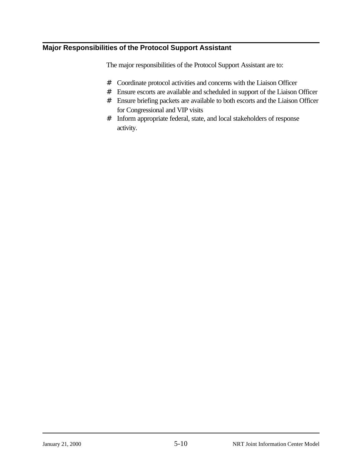## **Major Responsibilities of the Protocol Support Assistant**

The major responsibilities of the Protocol Support Assistant are to:

- # Coordinate protocol activities and concerns with the Liaison Officer
- # Ensure escorts are available and scheduled in support of the Liaison Officer
- # Ensure briefing packets are available to both escorts and the Liaison Officer for Congressional and VIP visits
- # Inform appropriate federal, state, and local stakeholders of response activity.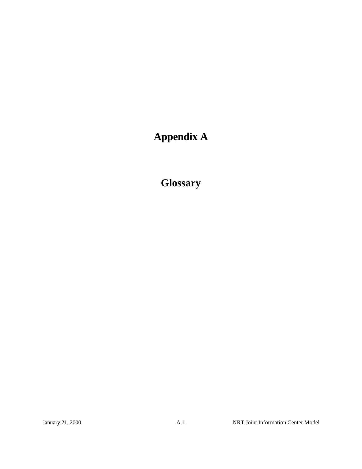# **Appendix A**

**Glossary**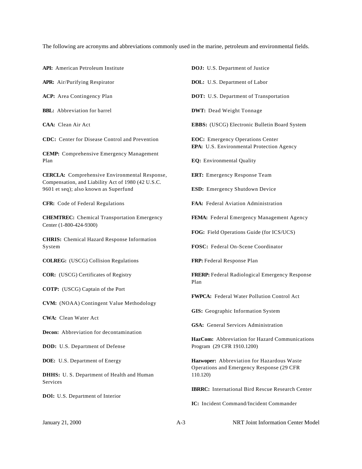The following are acronyms and abbreviations commonly used in the marine, petroleum and environmental fields.

**API:** American Petroleum Institute

**APR:** Air/Purifying Respirator

**ACP:** Area Contingency Plan

**BBL:** Abbreviation for barrel

**CAA:** Clean Air Act

**CDC:** Center for Disease Control and Prevention

**CEMP:** Comprehensive Emergency Management Plan

**CERCLA:** Comprehensive Environmental Response, Compensation, and Liability Act of 1980 (42 U.S.C. 9601 et seq); also known as Superfund

**CFR:** Code of Federal Regulations

**CHEMTREC:** Chemical Transportation Emergency Center (1-800-424-9300)

**CHRIS:** Chemical Hazard Response Information System

**COLREG:** (USCG) Collision Regulations

**COR:** (USCG) Certificates of Registry

**COTP:** (USCG) Captain of the Port

**CVM:** (NOAA) Contingent Value Methodology

**CWA:** Clean Water Act

**Decon:** Abbreviation for decontamination

**DOD:** U.S. Department of Defense

**DOE:** U.S. Department of Energy

**DHHS:** U. S. Department of Health and Human Services

**DOl:** U.S. Department of Interior

**DOJ:** U.S. Department of Justice

**DOL:** U.S. Department of Labor

**DOT:** U.S. Department of Transportation

**DWT:** Dead Weight Tonnage

**EBBS:** (USCG) Electronic Bulletin Board System

**EOC:** Emergency Operations Center **EPA:** U.S. Environmental Protection Agency

**EQ:** Environmental Quality

**ERT:** Emergency Response Team

**ESD:** Emergency Shutdown Device

**FAA:** Federal Aviation Administration

**FEMA:** Federal Emergency Management Agency

**FOG:** Field Operations Guide (for ICS/UCS)

**FOSC:** Federal On-Scene Coordinator

**FRP:** Federal Response Plan

**FRERP:** Federal Radiological Emergency Response Plan

**FWPCA:** Federal Water Pollution Control Act

**GIS:** Geographic Information System

**GSA:** General Services Administration

**HazCom:** Abbreviation for Hazard Communications Program (29 CFR 1910.1200)

**Hazwoper:** Abbreviation for Hazardous Waste Operations and Emergency Response (29 CFR 110.120)

**IBRRC:** International Bird Rescue Research Center

**IC:** Incident Command/Incident Commander

January 21, 2000 A-3 NRT Joint Information Center Model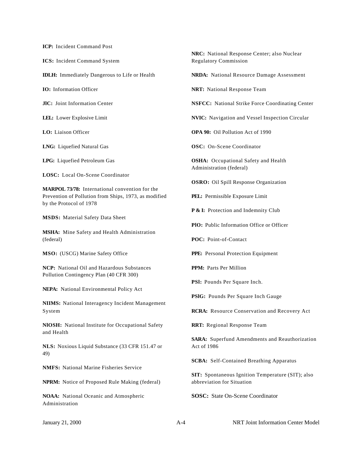**ICP:** Incident Command Post

**ICS:** Incident Command System

**IDLH:** Immediately Dangerous to Life or Health

**IO:** Information Officer

**JlC:** Joint Information Center

**LEL:** Lower Explosive Limit

**LO:** Liaison Officer

**LNG:** Liquefied Natural Gas

**LPG:** Liquefied Petroleum Gas

**LOSC:** Local On-Scene Coordinator

**MARPOL 73/78:** International convention for the Prevention of Pollution from Ships, 1973, as modified by the Protocol of 1978

**MSDS:** Material Safety Data Sheet

**MSHA:** Mine Safety and Health Administration (federal)

**MSO:** (USCG) Marine Safety Office

**NCP:** National Oil and Hazardous Substances Pollution Contingency Plan (40 CFR 300)

**NEPA:** National Environmental Policy Act

**NIIMS:** National Interagency Incident Management System

**NlOSH:** National Institute for Occupational Safety and Health

**NLS:** Noxious Liquid Substance (33 CFR 151.47 or 49)

**NMFS:** National Marine Fisheries Service

**NPRM:** Notice of Proposed Rule Making (federal)

**NOAA:** National Oceanic and Atmospheric Administration

**NRC:** National Response Center; also Nuclear Regulatory Commission

**NRDA:** National Resource Damage Assessment

**NRT:** National Response Team

**NSFCC:** National Strike Force Coordinating Center

**NVIC:** Navigation and Vessel Inspection Circular

**OPA 90:** Oil Pollution Act of 1990

**OSC:** On-Scene Coordinator

**OSHA:** Occupational Safety and Health Administration (federal)

**OSRO:** Oil Spill Response Organization

**PEL:** Permissible Exposure Limit

**P & I:** Protection and Indemnity Club

**PlO:** Public Information Office or Officer

**POC:** Point-of-Contact

**PPE:** Personal Protection Equipment

**PPM:** Parts Per Million

**PSl:** Pounds Per Square Inch.

**PSlG:** Pounds Per Square Inch Gauge

**RCRA:** Resource Conservation and Recovery Act

**RRT:** Regional Response Team

**SARA:** Superfund Amendments and Reauthorization Act of 1986

**SCBA:** Self-Contained Breathing Apparatus

**SIT:** Spontaneous Ignition Temperature (SIT); also abbreviation for Situation

**SOSC:** State On-Scene Coordinator

January 21, 2000 A-4 NRT Joint Information Center Model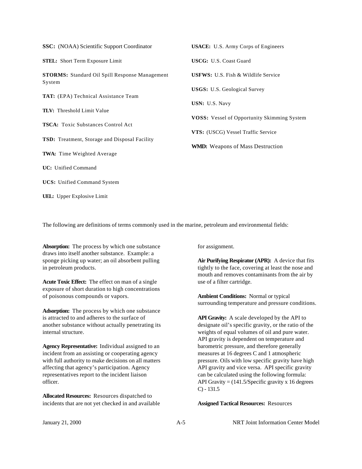| <b>SSC:</b> (NOAA) Scientific Support Coordinator               | <b>USACE:</b> U.S. Army Corps of Engineers         |
|-----------------------------------------------------------------|----------------------------------------------------|
| <b>STEL:</b> Short Term Exposure Limit                          | <b>USCG: U.S. Coast Guard</b>                      |
| <b>STORMS:</b> Standard Oil Spill Response Management<br>System | <b>USFWS:</b> U.S. Fish & Wildlife Service         |
| <b>TAT:</b> (EPA) Technical Assistance Team                     | <b>USGS:</b> U.S. Geological Survey                |
| <b>TLV:</b> Threshold Limit Value                               | USN: U.S. Navy                                     |
| <b>TSCA:</b> Toxic Substances Control Act                       | <b>VOSS:</b> Vessel of Opportunity Skimming System |
| <b>TSD:</b> Treatment, Storage and Disposal Facility            | VTS: (USCG) Vessel Traffic Service                 |
| <b>TWA:</b> Time Weighted Average                               | <b>WMD:</b> Weapons of Mass Destruction            |
| UC: Unified Command                                             |                                                    |
| <b>UCS:</b> Unified Command System                              |                                                    |

**UEL:** Upper Explosive Limit

The following are definitions of terms commonly used in the marine, petroleum and environmental fields:

**Absorption:** The process by which one substance draws into itself another substance. Example: a sponge picking up water; an oil absorbent pulling in petroleum products.

**Acute Toxic Effect:** The effect on man of a single exposure of short duration to high concentrations of poisonous compounds or vapors.

**Adsorption:** The process by which one substance is attracted to and adheres to the surface of another substance without actually penetrating its internal structure.

**Agency Representative:** Individual assigned to an incident from an assisting or cooperating agency with full authority to make decisions on all matters affecting that agency's participation. Agency representatives report to the incident liaison officer.

**Allocated Resources:** Resources dispatched to incidents that are not yet checked in and available for assignment.

**Air Purifying Respirator (APR):** A device that fits tightly to the face, covering at least the nose and mouth and removes contaminants from the air by use of a filter cartridge.

**Ambient Conditions:** Normal or typical surrounding temperature and pressure conditions.

**API Gravity:** A scale developed by the API to designate oil's specific gravity, or the ratio of the weights of equal volumes of oil and pure water. API gravity is dependent on temperature and barometric pressure, and therefore generally measures at 16 degrees C and 1 atmospheric pressure. Oils with low specific gravity have high API gravity and vice versa. API specific gravity can be calculated using the following formula: API Gravity  $= (141.5/\text{Specific gravity x } 16 \text{ degrees})$  $C$ ) - 131.5

**Assigned Tactical Resources:** Resources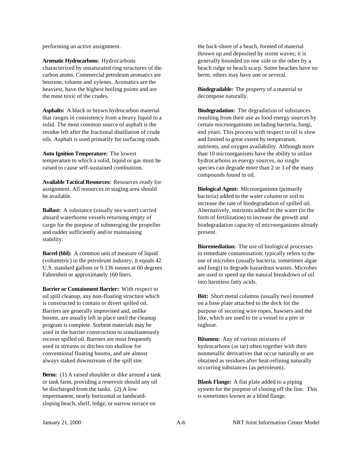performing an active assignment.

**Aromatic Hydrocarbons:** Hydrocarbons characterized by unsaturated ring structures of the carbon atoms. Commercial petroleum aromatics are benzene, toluene and xylenes. Aromatics are the heaviest, have the highest boiling points and are the most toxic of the crudes.

**Asphalts:** A black or brown hydrocarbon material that ranges in consistency from a heavy liquid to a solid. The most common source of asphalt is the residue left after the fractional distillation of crude oils. Asphalt is used primarily for surfacing roads.

**Auto Ignition Temperature:** The lowest temperature to which a solid, liquid or gas must be raised to cause self-sustained combustion.

**Available Tactical Resources:** Resources ready for assignment. All resources in staging area should be available.

**Ballast:** A substance (usually sea water) carried aboard waterborne vessels returning empty of cargo for the purpose of submerging the propeller and rudder sufficiently and/or maintaining stability.

**Barrel (bbl):** A common unit of measure of liquid (volumetric) in the petroleum industry; it equals 42 U.S. standard gallons or 0.136 tonnes at 60 degrees Fahrenheit or approximately 160 liters.

**Barrier or Containment Barrier:** With respect to oil spill cleanup, any non-floating structure which is constructed to contain or divert spilled oil. Barriers are generally improvised and, unlike booms, are usually left in place until the cleanup program is complete. Sorbent materials may be used in the barrier construction to simultaneously recover spilled oil. Barriers are most frequently used in streams or ditches too shallow for conventional floating booms, and are almost always staked downstream of the spill site.

**Berm:** (1) A raised shoulder or dike around a tank or tank farm, providing a reservoir should any oil be discharged from the tanks. (2) A low impermanent, nearly horizontal or landwardsloping beach, shelf, ledge, or narrow terrace on

the back-shore of a beach, formed of material thrown up and deposited by storm waves; it is generally bounded on one side or the other by a beach ridge or beach scarp. Some beaches have no berm, others may have one or several.

**Biodegradable:** The property of a material to decompose naturally.

**Biodegradation:** The degradation of substances resulting from their use as food energy sources by certain microorganisms including bacteria, fungi, and yeast. This process with respect to oil is slow and limited to great extent by temperature, nutrients, and oxygen availability. Although more than 10 microorganisms have the ability to utilize hydrocarbons as energy sources, no single species can degrade more than 2 or 3 of the many compounds found in oil.

**Biological Agent:** Microorganisms (primarily bacteria) added to the water column or soil to increase the rate of biodegradation of spilled oil. Alternatively, nutrients added to the water (in the form of fertilization) to increase the growth and biodegradation capacity of microorganisms already present.

**Bioremediation:** The use of biological processes to remediate contamination; typically refers to the use of microbes (usually bacteria; sometimes algae and fungi) to degrade hazardous wastes. Microbes are used to speed up the natural breakdown of oil into harmless fatty acids.

**Bitt:** Short metal columns (usually two) mounted on a base plate attached to the deck for the purpose of securing wire ropes, hawsers and the like, which are used to tie a vessel to a pier or tugboat.

**Bitumen:** Any of various mixtures of hydrocarbons (as tar) often together with their nonmetallic derivatives that occur naturally or are obtained as residues after heat-refining naturally occurring substances (as petroleum).

**Blank Flange:** A flat plate added to a piping system for the purpose of closing off the line. This is sometimes known as a blind flange.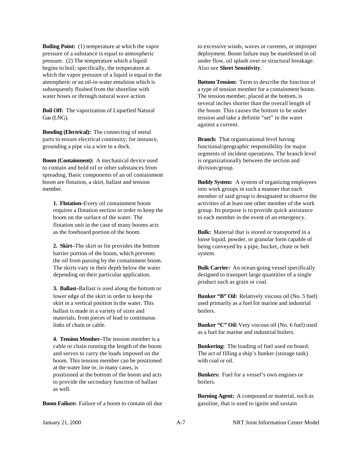**Boiling Point:** (1) temperature at which the vapor pressure of a substance is equal to atmospheric pressure. (2) The temperature which a liquid begins to boil; specifically, the temperature at which the vapor pressure of a liquid is equal to the atmospheric or an oil-in-water emulsion which is subsequently flushed from the shoreline with water hoses or through natural wave action.

**Boil Off:** The vaporization of Liquefied Natural Gas (LNG).

**Bonding (Electrical):** The connecting of metal parts to ensure electrical continuity; for instance, grounding a pipe via a wire to a dock.

**Boom (Containment):** A mechanical device used to contain and hold oil or other substances from spreading. Basic components of an oil containment boom are flotation, a skirt, ballast and tension member.

**1. Flotation–**Every oil containment boom requires a flotation section in order to keep the boom on the surface of the water. The flotation unit in the case of many booms acts as the freeboard portion of the boom.

**2. Skirt–**The skirt or fin provides the bottom barrier portion of the boom, which prevents the oil from passing by the containment boom. The skirts vary in their depth below the water depending on their particular application.

**3. Ballast–**Ballast is used along the bottom or lower edge of the skirt in order to keep the skirt in a vertical position in the water. This ballast is made in a variety of sizes and materials, from pieces of lead to continuous links of chain or cable.

**4. Tension Member–**The tension member is a cable or chain running the length of the boom and serves to carry the loads imposed on the boom. This tension member can be positioned at the water line or, in many cases, is positioned at the bottom of the boom and acts to provide the secondary function of ballast as well.

**Boom Failure:** Failure of a boom to contain oil due

to excessive winds, waves or currents, or improper deployment. Boom failure may be manifested in oil under flow, oil splash over or structural breakage. Also see **Sheet Sensitivity**.

**Bottom Tension:** Term to describe the function of a type of tension member for a containment boom. The tension member, placed at the bottom, is several inches shorter than the overall length of the boom. This causes the bottom to be under tension and take a definite "set" in the water against a current.

**Branch:** That organizational level having functional/geographic responsibility for major segments of incident operations. The branch level is organizationally between the section and division/group.

**Buddy System:** A system of organizing employees into work groups in such a manner that each member of said group is designated to observe the activities of at least one other member of the work group. Its purpose is to provide quick assistance to each member in the event of an emergency.

**Bulk:** Material that is stored or transported in a loose liquid, powder, or granular form capable of being conveyed by a pipe, bucket, chute or belt system.

**Bulk Carrier:** An ocean-going vessel specifically designed to transport large quantities of a single product such as grain or coal.

**Bunker "B" Oil:** Relatively viscous oil (No. 5 fuel) used primarily as a fuel for marine and industrial boilers.

**Bunker "C" Oil:** Very viscous oil (No. 6 fuel) used as a fuel for marine and industrial boilers.

**Bunkering:** The loading of fuel used on board. The act of filling a ship's bunker (storage tank) with coal or oil.

**Bunkers:** Fuel for a vessel's own engines or boilers.

**Burning Agent:** A compound or material, such as gasoline, that is used to ignite and sustain

January 21, 2000 A-7 NRT Joint Information Center Model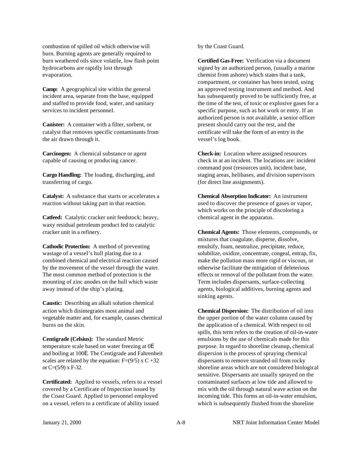combustion of spilled oil which otherwise will burn. Burning agents are generally required to burn weathered oils since volatile, low flash point hydrocarbons are rapidly lost through evaporation.

**Camp:** A geographical site within the general incident area, separate from the base, equipped and staffed to provide food, water, and sanitary services to incident personnel.

**Canister:** A container with a filter, sorbent, or catalyst that removes specific contaminants from the air drawn through it.

**Carcinogen:** A chemical substance or agent capable of causing or producing cancer.

**Cargo Handling:** The loading, discharging, and transferring of cargo.

**Catalyst:** A substance that starts or accelerates a reaction without taking part in that reaction.

**Catfeed:** Catalytic cracker unit feedstock; heavy, waxy residual petroleum product fed to catalytic cracker unit in a refinery.

**Cathodic Protection:** A method of preventing wastage of a vessel's hull plating due to a combined chemical and electrical reaction caused by the movement of the vessel through the water. The most common method of protection is the mounting of zinc anodes on the hull which waste away instead of the ship's plating.

**Caustic:** Describing an alkali solution chemical action which disintegrates most animal and vegetable matter and, for example, causes chemical burns on the skin.

**Centigrade (Celsius):** The standard Metric temperature scale based on water freezing at 0E and boiling at 100E. The Centigrade and Fahrenheit scales are related by the equation:  $F=(9/5) \times C +32$ or  $C=(5/9)$  x F-32.

**Certificated:** Applied to vessels, refers to a vessel covered by a Certificate of Inspection issued by the Coast Guard. Applied to personnel employed on a vessel, refers to a certificate of ability issued

by the Coast Guard.

**Certified Gas-Free:** Verification via a document signed by an authorized person, (usually a marine chemist from ashore) which states that a tank, compartment, or container has been tested, using an approved testing instrument and method. And has subsequently proved to be sufficiently free, at the time of the test, of toxic or explosive gases for a specific purpose, such as hot work or entry. If an authorized person is not available, a senior officer present should carry out the test, and the certificate will take the form of an entry in the vessel's log book.

**Check-in:** Location where assigned resources check in at an incident. The locations are: incident command post (resources unit), incident base, staging areas, helibases, and division supervisors (for direct line assignments).

**Chemical Absorption Indicator:** An instrument used to discover the presence of gases or vapor, which works on the principle of discoloring a chemical agent in the apparatus.

**Chemical Agents:** Those elements, compounds, or mixtures that coagulate, disperse, dissolve, emulsify, foam, neutralize, precipitate, reduce, solubilize, oxidize, concentrate, congeal, entrap, fix, make the pollution mass more rigid or viscous, or otherwise facilitate the mitigation of deleterious effects or removal of the pollutant from the water. Term includes dispersants, surface-collecting agents, biological additives, burning agents and sinking agents.

**Chemical Dispersion:** The distribution of oil into the upper portion of the water column caused by the application of a chemical. With respect to oil spills, this term refers to the creation of oil-in-water emulsions by the use of chemicals made for this purpose. In regard to shoreline cleanup, chemical dispersion is the process of spraying chemical dispersants to remove stranded oil from rocky shoreline areas which are not considered biological sensitive. Dispersants are usually sprayed on the contaminated surfaces at low tide and allowed to mix with the oil through natural wave action on the incoming tide. This forms an oil-in-water emulsion, which is subsequently flushed from the shoreline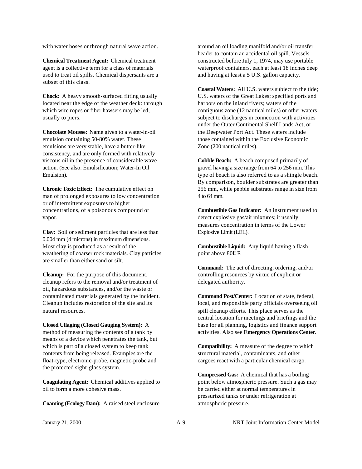with water hoses or through natural wave action.

**Chemical Treatment Agent:** Chemical treatment agent is a collective term for a class of materials used to treat oil spills. Chemical dispersants are a subset of this class.

**Chock:** A heavy smooth-surfaced fitting usually located near the edge of the weather deck: through which wire ropes or fiber hawsers may be led, usually to piers.

**Chocolate Mousse:** Name given to a water-in-oil emulsion containing 50-80% water. These emulsions are very stable, have a butter-like consistency, and are only formed with relatively viscous oil in the presence of considerable wave action. (See also: Emulsification; Water-In Oil Emulsion).

**Chronic Toxic Effect:** The cumulative effect on man of prolonged exposures to low concentration or of intermittent exposures to higher concentrations, of a poisonous compound or vapor.

**Clay:** Soil or sediment particles that are less than 0.004 mm (4 microns) in maximum dimensions. Most clay is produced as a result of the weathering of coarser rock materials. Clay particles are smaller than either sand or silt.

**Cleanup:** For the purpose of this document, cleanup refers to the removal and/or treatment of oil, hazardous substances, and/or the waste or contaminated materials generated by the incident. Cleanup includes restoration of the site and its natural resources.

**Closed Ullaging (Closed Gauging System):** A method of measuring the contents of a tank by means of a device which penetrates the tank, but which is part of a closed system to keep tank contents from being released. Examples are the float-type, electronic-probe, magnetic-probe and the protected sight-glass system.

**Coagulating Agent:** Chemical additives applied to oil to form a more cohesive mass.

**Coaming (Ecology Dam):** A raised steel enclosure

around an oil loading manifold and/or oil transfer header to contain an accidental oil spill. Vessels constructed before July 1, 1974, may use portable waterproof containers, each at least 18 inches deep and having at least a 5 U.S. gallon capacity.

**Coastal Waters:** All U.S. waters subject to the tide; U.S. waters of the Great Lakes; specified ports and harbors on the inland rivers; waters of the contiguous zone (12 nautical miles) or other waters subject to discharges in connection with activities under the Outer Continental Shelf Lands Act, or the Deepwater Port Act. These waters include those contained within the Exclusive Economic Zone (200 nautical miles).

**Cobble Beach:** A beach composed primarily of gravel having a size range from 64 to 256 mm. This type of beach is also referred to as a shingle beach. By comparison, boulder substrates are greater than 256 mm, while pebble substrates range in size from 4 to 64 mm.

**Combustible Gas Indicator:** An instrument used to detect explosive gas/air mixtures; it usually measures concentration in terms of the Lower Explosive Limit (LEL).

**Combustible Liquid:** Any liquid having a flash point above 80E F.

**Command:** The act of directing, ordering, and/or controlling resources by virtue of explicit or delegated authority.

**Command Post/Center:** Location of state, federal, local, and responsible party officials overseeing oil spill cleanup efforts. This place serves as the central location for meetings and briefings and the base for all planning, logistics and finance support activities. Also see **Emergency Operations Center**.

**Compatibility:** A measure of the degree to which structural material, contaminants, and other cargoes react with a particular chemical cargo.

**Compressed Gas:** A chemical that has a boiling point below atmospheric pressure. Such a gas may be carried either at normal temperatures in pressurized tanks or under refrigeration at atmospheric pressure.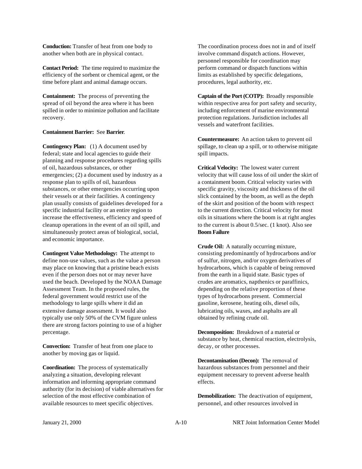**Conduction:** Transfer of heat from one body to another when both are in physical contact.

**Contact Period:** The time required to maximize the efficiency of the sorbent or chemical agent, or the time before plant and animal damage occurs.

**Containment:** The process of preventing the spread of oil beyond the area where it has been spilled in order to minimize pollution and facilitate recovery.

#### **Containment Barrier:** See **Barrier**.

**Contingency Plan:** (1) A document used by federal; state and local agencies to guide their planning and response procedures regarding spills of oil, hazardous substances, or other emergencies; (2) a document used by industry as a response plan to spills of oil, hazardous substances, or other emergencies occurring upon their vessels or at their facilities. A contingency plan usually consists of guidelines developed for a specific industrial facility or an entire region to increase the effectiveness, efficiency and speed of cleanup operations in the event of an oil spill, and simultaneously protect areas of biological, social, and economic importance.

**Contingent Value Methodology:** The attempt to define non-use values, such as the value a person may place on knowing that a pristine beach exists even if the person does not or may never have used the beach. Developed by the NOAA Damage Assessment Team. In the proposed rules, the federal government would restrict use of the methodology to large spills where it did an extensive damage assessment. It would also typically use only 50% of the CVM figure unless there are strong factors pointing to use of a higher percentage.

**Convection:** Transfer of heat from one place to another by moving gas or liquid.

**Coordination:** The process of systematically analyzing a situation, developing relevant information and informing appropriate command authority (for its decision) of viable alternatives for selection of the most effective combination of available resources to meet specific objectives.

The coordination process does not in and of itself involve command dispatch actions. However, personnel responsible for coordination may perform command or dispatch functions within limits as established by specific delegations, procedures, legal authority, etc.

**Captain of the Port (COTP):** Broadly responsible within respective area for port safety and security, including enforcement of marine environmental protection regulations. Jurisdiction includes all vessels and waterfront facilities.

**Countermeasure:** An action taken to prevent oil spillage, to clean up a spill, or to otherwise mitigate spill impacts.

**Critical Velocity:** The lowest water current velocity that will cause loss of oil under the skirt of a containment boom. Critical velocity varies with specific gravity, viscosity and thickness of the oil slick contained by the boom, as well as the depth of the skirt and position of the boom with respect to the current direction. Critical velocity for most oils in situations where the boom is at right angles to the current is about 0.5/sec. (1 knot). Also see **Boom Failure**

**Crude Oil:** A naturally occurring mixture, consisting predominantly of hydrocarbons and/or of sulfur, nitrogen, and/or oxygen derivatives of hydrocarbons, which is capable of being removed from the earth in a liquid state. Basic types of crudes are aromatics, napthenics or paraffinics, depending on the relative proportion of these types of hydrocarbons present. Commercial gasoline, kerosene, heating oils, diesel oils, lubricating oils, waxes, and asphalts are all obtained by refining crude oil.

**Decomposition:** Breakdown of a material or substance by heat, chemical reaction, electrolysis, decay, or other processes.

**Decontamination (Decon):** The removal of hazardous substances from personnel and their equipment necessary to prevent adverse health effects.

**Demobilization:** The deactivation of equipment, personnel, and other resources involved in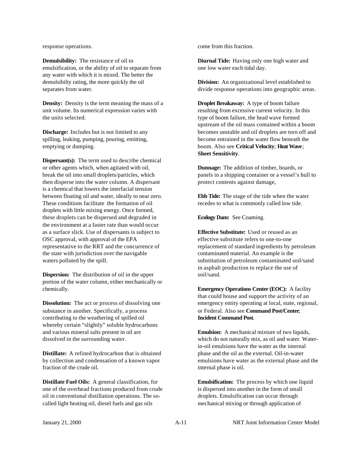response operations.

**Demulsibility:** The resistance of oil to emulsification, or the ability of oil to separate from any water with which it is mixed. The better the demulsibilty rating, the more quickly the oil separates from water.

**Density:** Density is the term meaning the mass of a unit volume. Its numerical expression varies with the units selected.

**Discharge:** Includes but is not limited to any spilling, leaking, pumping, pouring, emitting, emptying or dumping.

**Dispersant(s):** The term used to describe chemical or other agents which, when agitated with oil, break the oil into small droplets/particles, which then disperse into the water column. A dispersant is a chemical that lowers the interfacial tension between floating oil and water, ideally to near zero. These conditions facilitate the formation of oil droplets with little mixing energy. Once formed, these droplets can be dispersed and degraded in the environment at a faster rate than would occur as a surface slick. Use of dispersants is subject to OSC approval, with approval of the EPA representative to the RRT and the concurrence of the state with jurisdiction over the navigable waters polluted by the spill.

**Dispersion:** The distribution of oil in the upper portion of the water column, either mechanically or chemically.

**Dissolution:** The act or process of dissolving one substance in another. Specifically, a process contributing to the weathering of spilled oil whereby certain "slightly" soluble hydrocarbons and various mineral salts present in oil are dissolved in the surrounding water.

**Distillate:** A refined hydrocarbon that is obtained by collection and condensation of a known vapor fraction of the crude oil.

**Distillate Fuel Oils:** A general classification, for one of the overhead fractions produced from crude oil in conventional distillation operations. The socalled light heating oil, diesel fuels and gas oils

come from this fraction.

**Diurnal Tide:** Having only one high water and one low water each tidal day.

**Division:** An organizational level established to divide response operations into geographic areas.

**Droplet Breakaway:** A type of boom failure resulting from excessive current velocity. In this type of boom failure, the head wave formed upstream of the oil mass contained within a boom becomes unstable and oil droplets are torn off and become entrained in the water flow beneath the boom. Also see **Critical Velocity**; **Heat Wave**; **Sheet Sensitivity**.

**Dunnage:** The addition of timber, boards, or panels in a shipping container or a vessel's hull to protect contents against damage,

**Ebb Tide:** The stage of the tide when the water recedes to what is commonly called low tide.

**Ecology Dam:** See Coaming.

**Effective Substitute:** Used or reused as an effective substitute refers to one-to-one replacement of standard ingredients by petroleum contaminated material. An example is the substitution of petroleum contaminated soil/sand in asphalt production to replace the use of soil/sand.

**Emergency Operations Center (EOC):** A facility that could house and support the activity of an emergency entity operating at local, state, regional, or Federal. Also see **Command Post/Center**; **Incident Command Post**.

**Emulsion:** A mechanical mixture of two liquids, which do not naturally mix, as oil and water. Waterin-oil emulsions have the water as the internal phase and the oil as the external. Oil-in-water emulsions have water as the external phase and the internal phase is oil.

**Emulsification:** The process by which one liquid is dispersed into another in the form of small droplets. Emulsification can occur through mechanical mixing or through application of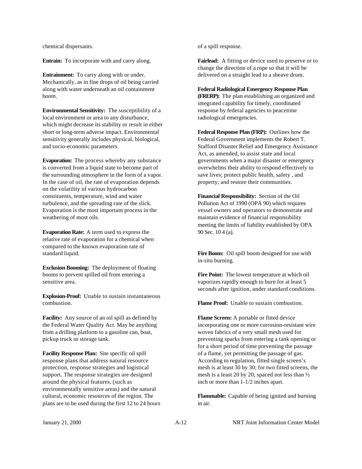chemical dispersants.

**Entrain:** To incorporate with and carry along.

**Entrainment:** To carry along with or under. Mechanically, as in fine drops of oil being carried along with water underneath an oil containment boom.

**Environmental Sensitivity:** The susceptibility of a local environment or area to any disturbance, which might decrease its stability or result in either short or long-term adverse impact. Environmental sensitivity generally includes physical, biological, and socio-economic parameters.

**Evaporation:** The process whereby any substance is converted from a liquid state to become part of the surrounding atmosphere in the form of a vapor. In the case of oil, the rate of evaporation depends on the volatility of various hydrocarbon constituents, temperature, wind and water turbulence, and the spreading rate of the slick. Evaporation is the most important process in the weathering of most oils.

**Evaporation Rate:** A term used to express the relative rate of evaporation for a chemical when compared to the known evaporation rate of standard liquid.

**Exclusion Booming:** The deployment of floating booms to prevent spilled oil from entering a sensitive area.

**Explosion-Proof:** Unable to sustain instantaneous combustion.

**Facility:** Any source of an oil spill as defined by the Federal Water Quality Act. May be anything from a drilling platform to a gasoline can, boat, pickup truck or storage tank.

**Facility Response Plan:** Site specific oil spill response plans that address natural resource protection, response strategies and logistical support. The response strategies are designed around the physical features, (such as environmentally sensitive areas) and the natural cultural, economic resources of the region. The plans are to be used during the first 12 to 24 hours of a spill response.

**Fairlead:** A fitting or device used to preserve or to change the direction of a rope so that it will be delivered on a straight lead to a sheave drum.

**Federal Radiological Emergency Response Plan (FRERP):** The plan establishing an organized and integrated capability for timely, coordinated response by federal agencies to peacetime radiological emergencies.

**Federal Response Plan (FRP):** Outlines how the Federal Government implements the Robert T. Stafford Disaster Relief and Emergency Assistance Act, as amended, to assist state and local governments when a major disaster or emergency overwhelms their ability to respond effectively to save lives; protect public health, safety , and property; and restore their communities.

**Financial Responsibility:** Section of the Oil Pollution Act of 1990 (OPA 90) which requires vessel owners and operators to demonstrate and maintain evidence of financial responsibility meeting the limits of liability established by OPA 90 Sec. 10 4 (a).

Fire Boom: Oil spill boom designed for use with in-situ burning.

**Fire Point:** The lowest temperature at which oil vaporizes rapidly enough to burn for at least 5 seconds after ignition, under standard conditions.

**Flame Proof:** Unable to sustain combustion.

**Flame Screen:** A portable or fitted device incorporating one or more corrosion-resistant wire woven fabrics of a very small mesh used for preventing sparks from entering a tank opening or for a short period of time preventing the passage of a flame, yet permitting the passage of gas. According to regulation, fitted single screen's mesh is at least 30 by 30; for two fitted screens, the mesh is a least 20 by 20, spaced not less than ½ inch or more than 1-1/2 inches apart.

**Flammable:** Capable of being ignited and burning in air.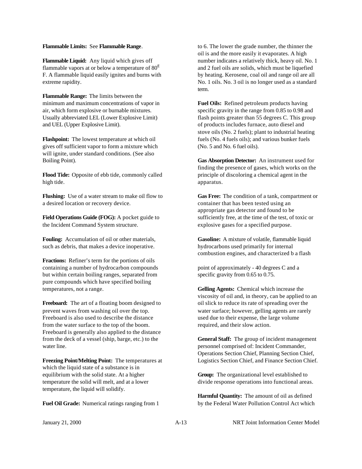#### **Flammable Limits:** See **Flammable Range**.

**Flammable Liquid:** Any liquid which gives off flammable vapors at or below a temperature of  $80^E$ F. A flammable liquid easily ignites and burns with extreme rapidity.

**Flammable Range:** The limits between the minimum and maximum concentrations of vapor in air, which form explosive or burnable mixtures. Usually abbreviated LEL (Lower Explosive Limit) and UEL (Upper Explosive Limit).

**Flashpoint:** The lowest temperature at which oil gives off sufficient vapor to form a mixture which will ignite, under standard conditions. (See also Boiling Point).

**Flood Tide:** Opposite of ebb tide, commonly called high tide.

**Flushing:** Use of a water stream to make oil flow to a desired location or recovery device.

**Field Operations Guide (FOG):** A pocket guide to the Incident Command System structure.

**Fouling:** Accumulation of oil or other materials, such as debris, that makes a device inoperative.

**Fractions:** Refiner's term for the portions of oils containing a number of hydrocarbon compounds but within certain boiling ranges, separated from pure compounds which have specified boiling temperatures, not a range.

**Freeboard:** The art of a floating boom designed to prevent waves from washing oil over the top. Freeboard is also used to describe the distance from the water surface to the top of the boom. Freeboard is generally also applied to the distance from the deck of a vessel (ship, barge, etc.) to the water line.

**Freezing Point/Melting Point:** The temperatures at which the liquid state of a substance is in equilibrium with the solid state. At a higher temperature the solid will melt, and at a lower temperature, the liquid will solidify.

**Fuel Oil Grade:** Numerical ratings ranging from 1

to 6. The lower the grade number, the thinner the oil is and the more easily it evaporates. A high number indicates a relatively thick, heavy oil. No. 1 and 2 fuel oils are solids, which must be liquefied by heating. Kerosene, coal oil and range oil are all No. 1 oils. No. 3 oil is no longer used as a standard term.

**Fuel Oils:** Refined petroleum products having specific gravity in the range from 0.85 to 0.98 and flash points greater than 55 degrees C. This group of products includes furnace, auto diesel and stove oils (No. 2 fuels); plant to industrial heating fuels (No. 4 fuels oils); and various bunker fuels (No. 5 and No. 6 fuel oils).

**Gas Absorption Detector:** An instrument used for finding the presence of gases, which works on the principle of discoloring a chemical agent in the apparatus.

**Gas Free:** The condition of a tank, compartment or container that has been tested using an appropriate gas detector and found to be sufficiently free, at the time of the test, of toxic or explosive gases for a specified purpose.

**Gasoline:** A mixture of volatile, flammable liquid hydrocarbons used primarily for internal combustion engines, and characterized b a flash

point of approximately - 40 degrees C and a specific gravity from 0.65 to 0.75.

**Gelling Agents:** Chemical which increase the viscosity of oil and, in theory, can be applied to an oil slick to reduce its rate of spreading over the water surface; however, gelling agents are rarely used due to their expense, the large volume required, and their slow action.

**General Staff:** The group of incident management personnel comprised of: Incident Commander, Operations Section Chief, Planning Section Chief, Logistics Section Chief, and Finance Section Chief.

**Group:** The organizational level established to divide response operations into functional areas.

**Harmful Quantity:** The amount of oil as defined by the Federal Water Pollution Control Act which

January 21, 2000 A-13 NRT Joint Information Center Model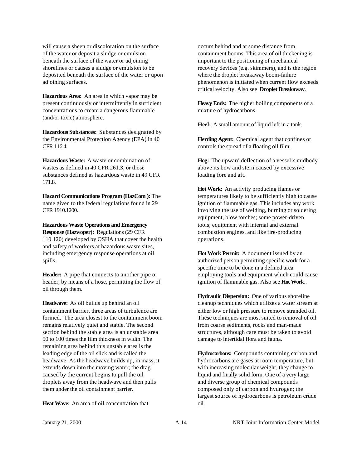will cause a sheen or discoloration on the surface of the water or deposit a sludge or emulsion beneath the surface of the water or adjoining shorelines or causes a sludge or emulsion to be deposited beneath the surface of the water or upon adjoining surfaces.

**Hazardous Area:** An area in which vapor may be present continuously or intermittently in sufficient concentrations to create a dangerous flammable (and/or toxic) atmosphere.

**Hazardous Substances:** Substances designated by the Environmental Protection Agency (EPA) in 40 CFR 116.4.

**Hazardous Waste:** A waste or combination of wastes as defined in 40 CFR 261.3, or those substances defined as hazardous waste in 49 CFR 171.8.

**Hazard Communications Program (HazCom ):** The name given to the federal regulations found in 29 CFR 1910.1200.

**Hazardous Waste Operations and Emergency Response (Hazwoper):** Regulations (29 CFR 110.120) developed by OSHA that cover the health and safety of workers at hazardous waste sites, including emergency response operations at oil spills.

**Header:** A pipe that connects to another pipe or header, by means of a hose, permitting the flow of oil through them.

**Headwave:** As oil builds up behind an oil containment barrier, three areas of turbulence are formed. The area closest to the containment boom remains relatively quiet and stable. The second section behind the stable area is an unstable area 50 to 100 times the film thickness in width. The remaining area behind this unstable area is the leading edge of the oil slick and is called the headwave. As the headwave builds up, in mass, it extends down into the moving water; the drag caused by the current begins to pull the oil droplets away from the headwave and then pulls them under the oil containment barrier.

**Heat Wave:** An area of oil concentration that

occurs behind and at some distance from containment booms. This area of oil thickening is important to the positioning of mechanical recovery devices (e.g. skimmers), and is the region where the droplet breakaway boom-failure phenomenon is initiated when current flow exceeds critical velocity. Also see **Droplet Breakaway**.

**Heavy Ends:** The higher boiling components of a mixture of hydrocarbons.

**Heel:** A small amount of liquid left in a tank.

**Herding Agent:** Chemical agent that confines or controls the spread of a floating oil film.

**Hog:** The upward deflection of a vessel's midbody above its bow and stern caused by excessive loading fore and aft.

**Hot Work:** An activity producing flames or temperatures likely to be sufficiently high to cause ignition of flammable gas. This includes any work involving the use of welding, burning or soldering equipment, blow torches; some power-driven tools; equipment with internal and external combustion engines, and like fire-producing operations.

**Hot Work Permit:** A document issued by an authorized person permitting specific work for a specific time to be done in a defined area employing tools and equipment which could cause ignition of flammable gas. Also see **Hot Work**..

**Hydraulic Dispersion:** One of various shoreline cleanup techniques which utilizes a water stream at either low or high pressure to remove stranded oil. These techniques are most suited to removal of oil from coarse sediments, rocks and man-made structures, although care must be taken to avoid damage to intertidal flora and fauna.

**Hydrocarbons:** Compounds containing carbon and hydrocarbons are gases at room temperature, but with increasing molecular weight, they change to liquid and finally solid form. One of a very large and diverse group of chemical compounds composed only of carbon and hydrogen; the largest source of hydrocarbons is petroleum crude oil.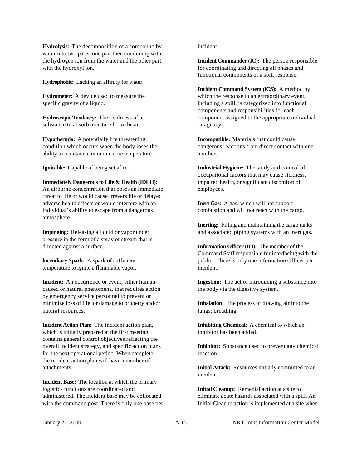**Hydrolysis:** The decomposition of a compound by water into two parts, one part then combining with the hydrogen ion from the water and the other part with the hydroxyl ion.

**Hydrophobic:** Lacking an affinity for water.

**Hydrometer:** A device used to measure the specific gravity of a liquid.

**Hydroscopic Tendency:** The readiness of a substance to absorb moisture from the air.

**Hypothermia:** A potentially life threatening condition which occurs when the body loses the ability to maintain a minimum core temperature.

**Ignitable:** Capable of being set afire.

**Immediately Dangerous to Life & Health (IDLH):**

An airborne concentration that poses an immediate threat to life or would cause irreversible or delayed adverse health effects or would interfere with an individual's ability to escape from a dangerous atmosphere.

**Impinging:** Releasing a liquid or vapor under pressure in the form of a spray or stream that is directed against a surface.

**lncendiary Spark:** A spark of sufficient temperature to ignite a flammable vapor.

**Incident:** An occurrence or event, either humancaused or natural phenomena, that requires action by emergency service personnel to prevent or minimize loss of life or damage to property and/or natural resources.

**Incident Action Plan:** The incident action plan, which is initially prepared at the first meeting, contains general control objectives reflecting the overall incident strategy, and specific action plans for the next operational period. When complete, the incident action plan will have a number of attachments.

**Incident Base:** The location at which the primary logistics functions are coordinated and administered. The incident base may be collocated with the command post. There is only one base per incident.

**Incident Commander (IC):** The person responsible for coordinating and directing all phases and functional components of a spill response.

**Incident Command System (lCS):** A method by which the response to an extraordinary event, including a spill, is categorized into functional components and responsibilities for each component assigned to the appropriate individual or agency.

**Incompatible:** Materials that could cause dangerous reactions from direct contact with one another.

**Industrial Hygiene:** The study and control of occupational factors that may cause sickness, impaired health, or significant discomfort of employees.

**Inert Gas:** A gas, which will not support combustion and will not react with the cargo.

**Inerting:** Filling and maintaining the cargo tanks and associated piping systems with an inert gas.

**Information Officer (IO):** The member of the Command Staff responsible for interfacing with the public. There is only one Information Officer per incident.

**Ingestion:** The act of introducing a substance into the body via the digestive system.

**Inhalation:** The process of drawing air into the lungs; breathing.

**Inhibiting Chemical:** A chemical to which an inhibitor has been added.

**Inhibitor:** Substance used to prevent any chemical reaction.

**Initial Attack:** Resources initially committed to an incident.

**Initial Cleanup:** Remedial action at a site to eliminate acute hazards associated with a spill. An Initial Cleanup action is implemented at a site when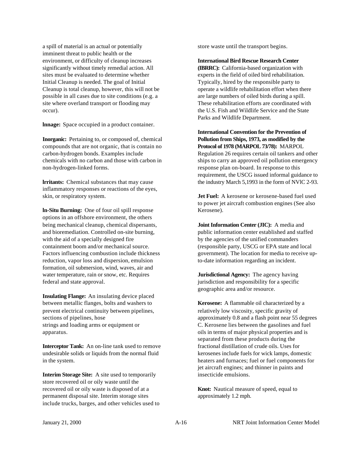a spill of material is an actual or potentially imminent threat to public health or the environment, or difficulty of cleanup increases significantly without timely remedial action. All sites must be evaluated to determine whether Initial Cleanup is needed. The goal of Initial Cleanup is total cleanup, however, this will not be possible in all cases due to site conditions (e.g. a site where overland transport or flooding may occur).

**lnnage:** Space occupied in a product container.

**Inorganic:** Pertaining to, or composed of, chemical compounds that are not organic, that is contain no carbon-hydrogen bonds. Examples include chemicals with no carbon and those with carbon in non-hydrogen-linked forms.

**lrritants:** Chemical substances that may cause inflammatory responses or reactions of the eyes, skin, or respiratory system.

**ln-Situ Burning:** One of four oil spill response options in an offshore environment, the others being mechanical cleanup, chemical dispersants, and bioremediation. Controlled on-site burning, with the aid of a specially designed fire containment boom and/or mechanical source. Factors influencing combustion include thickness reduction, vapor loss and dispersion, emulsion formation, oil submersion, wind, waves, air and water temperature, rain or snow, etc. Requires federal and state approval.

**Insulating Flange:** An insulating device placed between metallic flanges, bolts and washers to prevent electrical continuity between pipelines, sections of pipelines, hose strings and loading arms or equipment or apparatus.

**Interceptor Tank:** An on-line tank used to remove undesirable solids or liquids from the normal fluid in the system.

**Interim Storage Site:** A site used to temporarily store recovered oil or oily waste until the recovered oil or oily waste is disposed of at a permanent disposal site. Interim storage sites include trucks, barges, and other vehicles used to store waste until the transport begins.

**International Bird Rescue Research Center**

**(IBRRC):** California-based organization with experts in the field of oiled bird rehabilitation. Typically, hired by the responsible party to operate a wildlife rehabilitation effort when there are large numbers of oiled birds during a spill. These rehabilitation efforts are coordinated with the U.S. Fish and Wildlife Service and the State Parks and Wildlife Department.

**International Convention for the Prevention of Pollution from Ships, 1973, as modified by the Protocol of 1978 (MARPOL 73/78):** MARPOL

Regulation 26 requires certain oil tankers and other ships to carry an approved oil pollution emergency response plan on-board. In response to this requirement, the USCG issued informal guidance to the industry March 5,1993 in the form of NVlC 2-93.

**Jet Fuel:** A kerosene or kerosene-based fuel used to power jet aircraft combustion engines (See also Kerosene).

**Joint Information Center (JIC):** A media and public information center established and staffed by the agencies of the unified commanders (responsible party, USCG or EPA state and local government). The location for media to receive upto-date information regarding an incident.

**Jurisdictional Agency:** The agency having jurisdiction and responsibility for a specific geographic area and/or resource.

**Kerosene:** A flammable oil characterized by a relatively low viscosity, specific gravity of approximately 0.8 and a flash point near 55 degrees C. Kerosene lies between the gasolines and fuel oils in terms of major physical properties and is separated from these products during the fractional distillation of crude oils. Uses for kerosenes include fuels for wick lamps, domestic heaters and furnaces; fuel or fuel components for jet aircraft engines; and thinner in paints and insecticide emulsions.

**Knot:** Nautical measure of speed, equal to approximately 1.2 mph.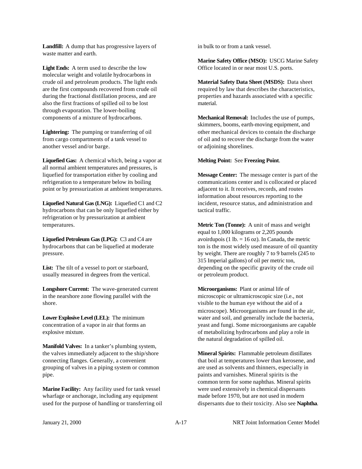**Landfill:** A dump that has progressive layers of waste matter and earth.

**Light Ends:** A term used to describe the low molecular weight and volatile hydrocarbons in crude oil and petroleum products. The light ends are the first compounds recovered from crude oil during the fractional distillation process, and are also the first fractions of spilled oil to be lost through evaporation. The lower-boiling components of a mixture of hydrocarbons.

**Lightering:** The pumping or transferring of oil from cargo compartments of a tank vessel to another vessel and/or barge.

**Liquefied Gas:** A chemical which, being a vapor at all normal ambient temperatures and pressures, is liquefied for transportation either by cooling and refrigeration to a temperature below its boiling point or by pressurization at ambient temperatures.

**Liquefied Natural Gas (LNG):** Liquefied C1 and C2 hydrocarbons that can be only liquefied either by refrigeration or by pressurization at ambient temperatures.

**Liquefied Petroleum Gas (LPG):** C3 and C4 are hydrocarbons that can be liquefied at moderate pressure.

**List:** The tilt of a vessel to port or starboard, usually measured in degrees from the vertical.

**Longshore Current:** The wave-generated current in the nearshore zone flowing parallel with the shore.

**Lower Explosive Level (LEL):** The minimum concentration of a vapor in air that forms an explosive mixture.

**Manifold Valves:** In a tanker's plumbing system, the valves immediately adjacent to the ship/shore connecting flanges. Generally, a convenient grouping of valves in a piping system or common pipe.

**Marine Facility:** Any facility used for tank vessel wharfage or anchorage, including any equipment used for the purpose of handling or transferring oil in bulk to or from a tank vessel.

**Marine Safety Office (MSO):** USCG Marine Safety Office located in or near most U.S. ports.

**Material Safety Data Sheet (MSDS):** Data sheet required by law that describes the characteristics, properties and hazards associated with a specific material.

**Mechanical Removal:** Includes the use of pumps, skimmers, booms, earth-moving equipment, and other mechanical devices to contain the discharge of oil and to recover the discharge from the water or adjoining shorelines.

#### **Melting Point:** See **Freezing Point**.

**Message Center:** The message center is part of the communications center and is collocated or placed adjacent to it. It receives, records, and routes information about resources reporting to the incident, resource status, and administration and tactical traffic.

**Metric Ton (Tonne):** A unit of mass and weight equal to 1,000 kilograms or 2,205 pounds avoirdupois (1 lb.  $= 16$  oz). In Canada, the metric ton is the most widely used measure of oil quantity by weight. There are roughly 7 to 9 barrels (245 to 315 Imperial gallons) of oil per metric ton, depending on the specific gravity of the crude oil or petroleum product.

**Microorganisms:** Plant or animal life of microscopic or ultramicroscopic size (i.e., not visible to the human eye without the aid of a microscope). Microorganisms are found in the air, water and soil, and generally include the bacteria, yeast and fungi. Some microorganisms are capable of metabolizing hydrocarbons and play a role in the natural degradation of spilled oil.

**Mineral Spirits:** Flammable petroleum distillates that boil at temperatures lower than kerosene, and are used as solvents and thinners, especially in paints and varnishes. Mineral spirits is the common term for some naphthas. Mineral spirits were used extensively in chemical dispersants made before 1970, but are not used in modern dispersants due to their toxicity. Also see **Naphtha**.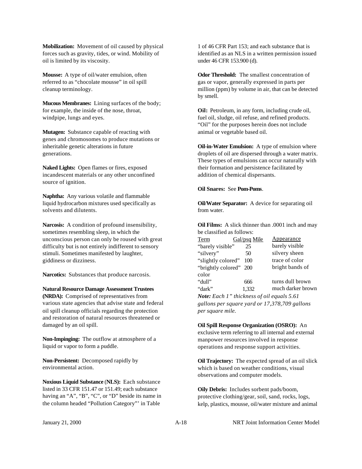**Mobilization:** Movement of oil caused by physical forces such as gravity, tides, or wind. Mobility of oil is limited by its viscosity.

**Mousse:** A type of oil/water emulsion, often referred to as "chocolate mousse" in oil spill cleanup terminology.

**Mucous Membranes:** Lining surfaces of the body; for example, the inside of the nose, throat, windpipe, lungs and eyes.

**Mutagen:** Substance capable of reacting with genes and chromosomes to produce mutations or inheritable genetic alterations in future generations.

**Naked Lights:** Open flames or fires, exposed incandescent materials or any other unconfined source of ignition.

**Naphtha:** Any various volatile and flammable liquid hydrocarbon mixtures used specifically as solvents and dilutents.

**Narcosis:** A condition of profound insensibility, sometimes resembling sleep, in which the unconscious person can only be roused with great difficulty but is not entirely indifferent to sensory stimuli. Sometimes manifested by laughter, giddiness or dizziness.

**Narcotics:** Substances that produce narcosis.

#### **Natural Resource Damage Assessment Trustees**

**(NRDA):** Comprised of representatives from various state agencies that advise state and federal oil spill cleanup officials regarding the protection and restoration of natural resources threatened or damaged by an oil spill.

**Non-Impinging:** The outflow at atmosphere of a liquid or vapor to form a puddle.

**Non-Persistent:** Decomposed rapidly by environmental action.

**Noxious Liquid Substance** (**NLS):** Each substance listed in 33 CFR 151.47 or 151.49; each substance having an "A", "B", "C", or "D" beside its name in the column headed "Pollution Category"' in Table

1 of 46 CFR Part 153; and each substance that is identified as an NLS in a written permission issued under 46 CFR 153.900 (d).

**Odor Threshold:** The smallest concentration of gas or vapor, generally expressed in parts per million (ppm) by volume in air, that can be detected by smell.

**Oil:** Petroleum, in any form, including crude oil, fuel oil, sludge, oil refuse, and refined products. "Oil" for the purposes herein does not include animal or vegetable based oil.

**Oil-in-Water Emulsion:** A type of emulsion where droplets of oil are dispersed through a water matrix. These types of emulsions can occur naturally with their formation and persistence facilitated by addition of chemical dispersants.

**Oil Snares:** See **Pom-Poms**.

**Oil/Water Separator:** A device for separating oil from water.

**Oil Films:** A slick thinner than .0001 inch and may be classified as follows:

| Term                   | Gal/psq Mile | <b>Appearance</b> |
|------------------------|--------------|-------------------|
| "barely visible"       | 25           | barely visible    |
| "silvery"              | 50           | silvery sheen     |
| "slightly colored"     | 100          | trace of color    |
| "brightly colored" 200 |              | bright bands of   |
| color                  |              |                   |
| "dull"                 | 666          | turns dull brown  |
| "dark"                 | 1.332        | much darker brown |

*Note: Each 1" thickness of oil equals 5.61 gallons per square yard or 17,378,709 gallons per square mile.*

**Oil Spill Response Organization (OSRO):** An exclusive term referring to all internal and external manpower resources involved in response operations and response support activities.

**Oil Trajectory:** The expected spread of an oil slick which is based on weather conditions, visual observations and computer models.

**Oily Debris:** Includes sorbent pads/boom, protective clothing/gear, soil, sand, rocks, logs, kelp, plastics, mousse, oil/water mixture and animal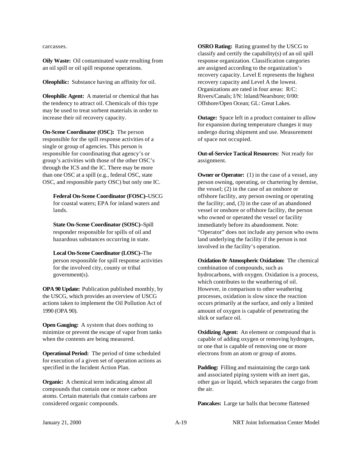carcasses.

**Oily Waste:** Oil contaminated waste resulting from an oil spill or oil spill response operations.

**Oleophilic:** Substance having an affinity for oil.

**Oleophilic Agent:** A material or chemical that has the tendency to attract oil. Chemicals of this type may be used to treat sorbent materials in order to increase their oil recovery capacity.

**On-Scene Coordinator (OSC):** The person responsible for the spill response activities of a single or group of agencies. This person is responsible for coordinating that agency's or group's activities with those of the other OSC's through the ICS and the IC. There may be more than one OSC at a spill (e.g., federal OSC, state OSC, and responsible party OSC) but only one IC.

**Federal On-Scene Coordinator (FOSC)–**USCG for coastal waters; EPA for inland waters and lands.

**State On-Scene Coordinator (SOSC)–**Spill responder responsible for spills of oil and hazardous substances occurring in state.

**Local On-Scene Coordinator (LOSC)–**The person responsible for spill response activities for the involved city, county or tribal government(s).

**OPA 90 Update:** Publication published monthly, by the USCG, which provides an overview of USCG actions taken to implement the Oil Pollution Act of 1990 (OPA 90).

**Open Gauging:** A system that does nothing to minimize or prevent the escape of vapor from tanks when the contents are being measured.

**Operational Period:** The period of time scheduled for execution of a given set of operation actions as specified in the Incident Action Plan.

**Organic:** A chemical term indicating almost all compounds that contain one or more carbon atoms. Certain materials that contain carbons are considered organic compounds.

**OSRO Rating:** Rating granted by the USCG to classify and certify the capability(s) of an oil spill response organization. Classification categories are assigned according to the organization's recovery capacity. Level E represents the highest recovery capacity and Level A the lowest. Organizations are rated in four areas: R/C: Rivers/Canals; I/N: lnland/Nearshore; 0/00: Offshore/Open Ocean; GL: Great Lakes.

**Outage:** Space left in a product container to allow for expansion during temperature changes it may undergo during shipment and use. Measurement of space not occupied.

**Out-of-Service Tactical Resources:** Not ready for assignment.

**Owner or Operator:** (1) in the case of a vessel, any person owning, operating, or chartering by demise, the vessel; (2) in the case of an onshore or offshore facility, any person owning or operating the facility; and, (3) in the case of an abandoned vessel or onshore or offshore facility, the person who owned or operated the vessel or facility immediately before its abandonment. Note: "Operator" does not include any person who owns land underlying the facility if the person is not involved in the facility's operation.

**Oxidation 0r Atmospheric Oxidation:** The chemical combination of compounds, such as hydrocarbons, with oxygen. Oxidation is a process, which contributes to the weathering of oil. However, in comparison to other weathering processes, oxidation is slow since the reaction occurs primarily at the surface, and only a limited amount of oxygen is capable of penetrating the slick or surface oil.

**Oxidizing Agent:** An element or compound that is capable of adding oxygen or removing hydrogen, or one that is capable of removing one or more electrons from an atom or group of atoms.

**Padding:** Filling and maintaining the cargo tank and associated piping system with an inert gas, other gas or liquid, which separates the cargo from the air.

**Pancakes:** Large tar balls that become flattened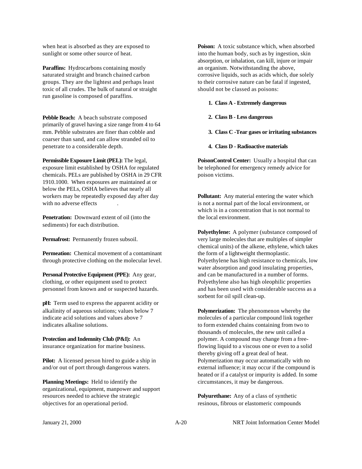when heat is absorbed as they are exposed to sunlight or some other source of heat.

**Paraffins:** Hydrocarbons containing mostly saturated straight and branch chained carbon groups. They are the lightest and perhaps least toxic of all crudes. The bulk of natural or straight run gasoline is composed of paraffins.

**Pebble Beach:** A beach substrate composed primarily of gravel having a size range from 4 to 64 mm. Pebble substrates are finer than cobble and coarser than sand, and can allow stranded oil to penetrate to a considerable depth.

**Permissible Exposure Limit (PEL):** The legal, exposure limit established by OSHA for regulated chemicals. PELs are published by OSHA in 29 CFR 1910.1000. When exposures are maintained at or below the PELs, OSHA believes that nearly all workers may be repeatedly exposed day after day with no adverse effects

**Penetration:** Downward extent of oil (into the sediments) for each distribution.

**Permafrost:** Permanently frozen subsoil.

**Permeation:** Chemical movement of a contaminant through protective clothing on the molecular level.

**Personal Protective Equipment (PPE):** Any gear, clothing, or other equipment used to protect personnel from known and or suspected hazards.

**pH:** Term used to express the apparent acidity or alkalinity of aqueous solutions; values below 7 indicate acid solutions and values above 7 indicates alkaline solutions.

**Protection and Indemnity Club (P&I):** An insurance organization for marine business.

**Pilot:** A licensed person hired to guide a ship in and/or out of port through dangerous waters.

**Planning Meetings:** Held to identify the organizational, equipment, manpower and support resources needed to achieve the strategic objectives for an operational period.

**Poison:** A toxic substance which, when absorbed into the human body, such as by ingestion, skin absorption, or inhalation, can kill, injure or impair an organism. Notwithstanding the above, corrosive liquids, such as acids which, due solely to their corrosive nature can be fatal if ingested, should not be classed as poisons:

#### **1. Class A - Extremely dangerous**

- **2. Class B Less dangerous**
- **3. Class C -Tear gases or irritating substances**
- **4. Class D Radioactive materials**

**PoisonControl Center:** Usually a hospital that can be telephoned for emergency remedy advice for poison victims.

**Pollutant:** Any material entering the water which is not a normal part of the local environment, or which is in a concentration that is not normal to the local environment.

**Polyethylene:** A polymer (substance composed of very large molecules that are multiples of simpler chemical units) of the alkene, ethylene, which takes the form of a lightweight thermoplastic. Polyethylene has high resistance to chemicals, low water absorption and good insulating properties, and can be manufactured in a number of forms. Polyethylene also has high oleophilic properties and has been used with considerable success as a sorbent for oil spill clean-up.

**Polymerization:** The phenomenon whereby the molecules of a particular compound link together to form extended chains containing from two to thousands of molecules, the new unit called a polymer. A compound may change from a freeflowing liquid to a viscous one or even to a solid thereby giving off a great deal of heat. Polymerization may occur automatically with no external influence; it may occur if the compound is heated or if a catalyst or impurity is added. In some circumstances, it may be dangerous.

**Polyurethane:** Any of a class of synthetic resinous, fibrous or elastomeric compounds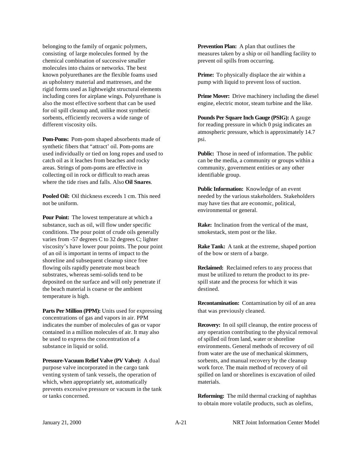belonging to the family of organic polymers, consisting of large molecules formed by the chemical combination of successive smaller molecules into chains or networks. The best known polyurethanes are the flexible foams used as upholstery material and mattresses, and the rigid forms used as Iightweight structural elements including cores for airplane wings. Polyurethane is also the most effective sorbent that can be used for oil spill cleanup and, unlike most synthetic sorbents, efficiently recovers a wide range of different viscosity oils.

**Pom-Poms:** Pom-pom shaped absorbents made of synthetic fibers that "attract' oil. Pom-poms are used individually or tied on long ropes and used to catch oil as it leaches from beaches and rocky areas. Strings of pom-poms are effective in collecting oil in rock or difficult to reach areas where the tide rises and falls. Also **Oil Snares**.

**Pooled Oil:** Oil thickness exceeds 1 cm. This need not be uniform.

**Pour Point:** The lowest temperature at which a substance, such as oil, will flow under specific conditions. The pour point of crude oils generally varies from -57 degrees C to 32 degrees C; lighter viscosity's have lower pour points. The pour point of an oil is important in terms of impact to the shoreline and subsequent cleanup since free flowing oils rapidly penetrate most beach substrates, whereas semi-solids tend to be deposited on the surface and will only penetrate if the beach material is coarse or the ambient temperature is high.

**Parts Per Million (PPM):** Units used for expressing concentrations of gas and vapors in air. PPM indicates the number of molecules of gas or vapor contained in a million molecules of air. It may also be used to express the concentration of a substance in liquid or solid.

Pressure-Vacuum Relief Valve (PV Valve): A dual purpose valve incorporated in the cargo tank venting system of tank vessels, the operation of which, when appropriately set, automatically prevents excessive pressure or vacuum in the tank or tanks concerned.

**Prevention Plan:** A plan that outlines the measures taken by a ship or oil handling facility to prevent oil spills from occurring.

**Prime:** To physically displace the air within a pump with liquid to prevent loss of suction.

**Prime Mover:** Drive machinery including the diesel engine, electric motor, steam turbine and the like.

**Pounds Per Square Inch Gauge (PSIG):** A gauge for reading pressure in which 0 psig indicates an atmospheric pressure, which is approximately 14.7 psi.

**Public:** Those in need of information. The public can be the media, a community or groups within a community, government entities or any other identifiable group.

**Public Information:** Knowledge of an event needed by the various stakeholders. Stakeholders may have ties that are economic, political, environmental or general.

**Rake:** Inclination from the vertical of the mast, smokestack, stem post or the like.

**Rake Tank:** A tank at the extreme, shaped portion of the bow or stern of a barge.

**Reclaimed:** Reclaimed refers to any process that must be utilized to return the product to its prespill state and the process for which it was destined.

**Recontamination:** Contamination by oil of an area that was previously cleaned.

**Recovery:** In oil spill cleanup, the entire process of any operation contributing to the physical removal of spilled oil from land, water or shoreline environments. General methods of recovery of oil from water are the use of mechanical skimmers, sorbents, and manual recovery by the cleanup work force. The main method of recovery of oil spilled on land or shorelines is excavation of oiled materials.

**Reforming:** The mild thermal cracking of naphthas to obtain more volatile products, such as olefins,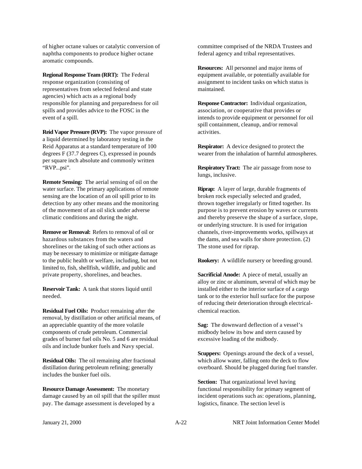of higher octane values or catalytic conversion of naphtha components to produce higher octane aromatic compounds.

**Regional Response Team (RRT):** The Federal response organization (consisting of representatives from selected federal and state agencies) which acts as a regional body responsible for planning and preparedness for oil spills and provides advice to the FOSC in the event of a spill.

**Reid Vapor Pressure (RVP):** The vapor pressure of a liquid determined by laboratory testing in the Reid Apparatus at a standard temperature of 100 degrees F (37.7 degrees C), expressed in pounds per square inch absolute and commonly written "RVP...psi".

**Remote Sensing:** The aerial sensing of oil on the water surface. The primary applications of remote sensing are the location of an oil spill prior to its detection by any other means and the monitoring of the movement of an oil slick under adverse climatic conditions and during the night.

**Remove or Removal:** Refers to removal of oil or hazardous substances from the waters and shorelines or the taking of such other actions as may be necessary to minimize or mitigate damage to the public health or welfare, including, but not limited to, fish, shellfish, wildlife, and public and private property, shorelines, and beaches.

**Reservoir Tank:** A tank that stores liquid until needed.

**Residual Fuel Oils:** Product remaining after the removal, by distillation or other artificial means, of an appreciable quantity of the more volatile components of crude petroleum. Commercial grades of burner fuel oils No. 5 and 6 are residual oils and include bunker fuels and Navy special.

**Residual Oils:** The oil remaining after fractional distillation during petroleum refining; generally includes the bunker fuel oils.

**Resource Damage Assessment:** The monetary damage caused by an oil spill that the spiller must pay. The damage assessment is developed by a

committee comprised of the NRDA Trustees and federal agency and tribal representatives.

**Resources:** All personnel and major items of equipment available, or potentially available for assignment to incident tasks on which status is maintained.

**Response Contractor:** Individual organization, association, or cooperative that provides or intends to provide equipment or personnel for oil spill containment, cleanup, and/or removal activities.

**Respirator:** A device designed to protect the wearer from the inhalation of harmful atmospheres.

**Respiratory Tract:** The air passage from nose to lungs, inclusive.

**Riprap:** A layer of large, durable fragments of broken rock especially selected and graded, thrown together irregularly or fitted together. Its purpose is to prevent erosion by waves or currents and thereby preserve the shape of a surface, slope, or underlying structure. It is used for irrigation channels, river-improvements works, spillways at the dams, and sea walls for shore protection. (2) The stone used for riprap.

**Rookery:** A wildlife nursery or breeding ground.

**Sacrificial Anode:** A piece of metal, usually an alloy or zinc or aluminum, several of which may be installed either to the interior surface of a cargo tank or to the exterior hull surface for the purpose of reducing their deterioration through electricalchemical reaction.

**Sag:** The downward deflection of a vessel's midbody below its bow and stern caused by excessive loading of the midbody.

**Scuppers:** Openings around the deck of a vessel, which allow water, falling onto the deck to flow overboard. Should be plugged during fuel transfer.

**Section:** That organizational level having functional responsibility for primary segment of incident operations such as: operations, planning, logistics, finance. The section level is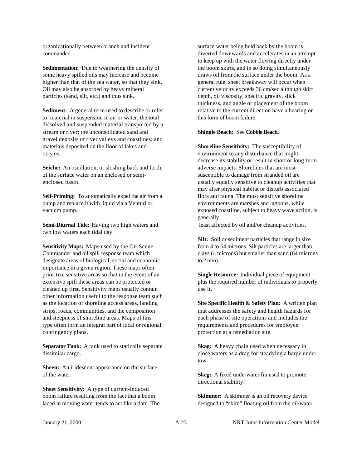organizationally between branch and incident commander.

**Sedimentation:** Due to weathering the density of some heavy spilled oils may increase and become higher than that of the sea water, so that they sink. Oil may also be absorbed by heavy mineral particles (sand, silt, etc.) and thus sink.

**Sediment:** A general term used to describe or refer to: material in suspension in air or water; the total dissolved and suspended material transported by a stream or river; the unconsolidated sand and gravel deposits of river valleys and coastlines; and materials deposited on the floor of lakes and oceans.

**Seiche:** An oscillation, or sloshing back and forth, of the surface water on an enclosed or semienclosed basin.

**Self-Priming:** To automatically expel the air from a pump and replace it with liquid via a Venturi or vacuum pump.

**Semi-Diurnal Tide:** Having two high waters and two low waters each tidal day.

**Sensitivity Maps:** Maps used by the On-Scene Commander and oil spill response team which designate areas of biological, social and economic importance in a given region. These maps often prioritize sensitive areas so that in the event of an extensive spill these areas can be protected or cleaned up first. Sensitivity maps usually contain other information useful to the response team such as the location of shoreline access areas, landing strips, roads, communities, and the composition and steepness of shoreline areas. Maps of this type often form an integral part of local or regional contingency plans.

**Separator Tank:** A tank used to statically separate dissimilar cargo.

**Sheen:** An iridescent appearance on the surface of the water.

**Sheet Sensitivity:** A type of current-induced boom failure resulting from the fact that a boom laced in moving water tends to act like a dam. The surface water being held back by the boom is diverted downwards and accelerates in an attempt to keep up with the water flowing directly under the boom skirts, and in so doing simultaneously draws oil from the surface under the boom. As a general rule, sheet breakaway will occur when current velocity exceeds 36 cm/sec although skirt depth, oil viscosity, specific gravity, slick thickness, and angle or placement of the boom relative to the current direction have a bearing on this form of boom failure.

#### **Shingle Beach:** See **Cobble Beach**.

**Shoreline Sensitivity:** The susceptibility of environment to any disturbance that might decrease its stability or result in short or long-term adverse impacts. Shorelines that are most susceptible to damage from stranded oil are usually equally sensitive to cleanup activities that may alter physical habitat or disturb associated flora and fauna. The most sensitive shoreline environments are marshes and lagoons, while exposed coastline, subject to heavy wave action, is generally

least affected by oil and/or cleanup activities.

**Silt:** Soil or sediment particles that range in size from 4 to 64 microns. Silt particles are larger than clays (4 microns) but smaller than sand (64 microns to 2 mm).

**Single Resource:** Individual piece of equipment plus the required number of individuals to properly use it.

**Site Specific Health & Safety Plan:** A written plan that addresses the safety and health hazards for each phase of site operations and includes the requirements and procedures for employee protection at a remediation site.

**Skag:** A heavy chain used when necessary in close waters as a drag for steadying a barge under tow.

**Skeg:** A fixed underwater fin used to promote directional stability.

**Skimmer:** A skimmer is an oil recovery device designed to "skim" floating oil from the oil/water

January 21, 2000 A-23 NRT Joint Information Center Model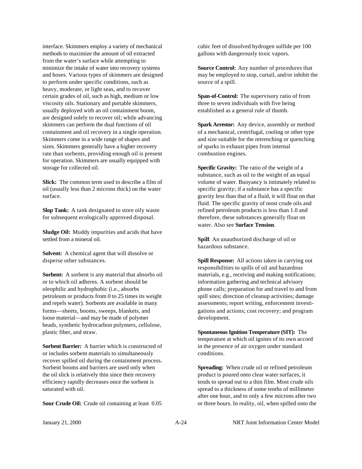interface. Skimmers employ a variety of mechanical methods to maximize the amount of oil extracted from the water's surface while attempting to minimize the intake of water into recovery systems and hoses. Various types of skimmers are designed to perform under specific conditions, such as heavy, moderate, or light seas, and to recover certain grades of oil, such as high, medium or low viscosity oils. Stationary and portable skimmers, usually deployed with an oil containment boom, are designed solely to recover oil; while advancing skimmers can perform the dual functions of oil containment and oil recovery in a single operation. Skimmers come in a wide range of shapes and sizes. Skimmers generally have a higher recovery rate than sorbents, providing enough oil is present for operation. Skimmers are usually equipped with storage for collected oil.

**Slick:** The common term used to describe a film of oil (usually less than 2 microns thick) on the water surface.

**Slop Tank:** A tank designated to store oily waste for subsequent ecologically approved disposal.

**Sludge Oil:** Muddy impurities and acids that have settled from a mineral oil.

**Solvent:** A chemical agent that will dissolve or disperse other substances.

**Sorbent:** A sorbent is any material that absorbs oil or to which oil adheres. A sorbent should be oleophilic and hydrophobic (i.e., absorbs petroleum or products from 0 to 25 times its weight and repels water). Sorbents are available in many forms—sheets, booms, sweeps, blankets, and loose material—and may be made of polymer beads, synthetic hydrocarbon polymers, cellulose, plastic fiber, and straw.

**Sorbent Barrier:** A barrier which is constructed of or includes sorbent materials to simultaneously recover spilled oil during the containment process. Sorbent booms and barriers are used only when the oil slick is relatively thin since their recovery efficiency rapidly decreases once the sorbent is saturated with oil.

**Sour Crude Oil:** Crude oil containing at least 0.05

cubic feet of dissolved hydrogen sulfide per 100 gallons with dangerously toxic vapors.

**Source Control:** Any number of procedures that may be employed to stop, curtail, and/or inhibit the source of a spill.

**Span-of-Control:** The supervisory ratio of from three to seven individuals with five being established as a general rule of thumb.

**Spark Arrestor:** Any device, assembly or method of a mechanical, centrifugal, cooling or other type and size suitable for the retrenching or quenching of sparks in exhaust pipes from internal combustion engines.

**Specific Gravity:** The ratio of the weight of a substance, such as oil to the weight of an equal volume of water. Buoyancy is intimately related to specific gravity; if a substance has a specific gravity less than that of a fluid, it will float on that fluid. The specific gravity of most crude oils and refined petroleum products is less than 1.0 and therefore, these substances generally float on water. Also see **Surface Tension**.

**Spill**: An unauthorized discharge of oil or hazardous substance.

**Spill Response:** All actions taken in carrying out responsibilities to spills of oil and hazardous materials, e.g., receiving and making notifications; information gathering and technical advisory phone calls; preparation for and travel to and from spill sites; direction of cleanup activities; damage assessments; report writing, enforcement investigations and actions; cost recovery; and program development.

**Spontaneous Ignition Temperature (SIT):** The temperature at which oil ignites of its own accord in the presence of air oxygen under standard conditions.

**Spreading:** When crude oil or refined petroleum product is poured onto clear water surfaces, it tends to spread out to a thin film. Most crude oils spread to a thickness of some tenths of millimeter after one hour, and to only a few microns after two or three hours. In reality, oil, when spilled onto the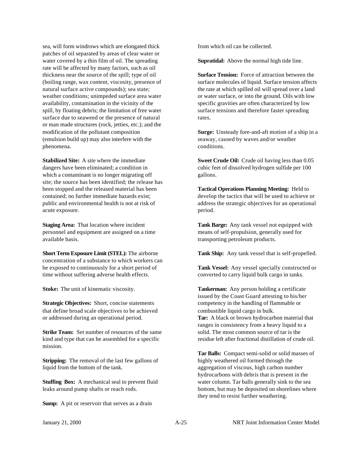sea, will form windrows which are elongated thick patches of oil separated by areas of clear water or water covered by a thin film of oil. The spreading rate will be affected by many factors, such as oil thickness near the source of the spill; type of oil (boiling range, wax content, viscosity, presence of natural surface active compounds); sea state; weather conditions; unimpeded surface area water availability, contamination in the vicinity of the spill, by floating debris; the limitation of free water surface due to seaweed or the presence of natural or man made structures (rock, jetties, etc.); and the modification of the pollutant composition (emulsion build up) may also interfere with the phenomena.

**Stabilized Site:** A site where the immediate dangers have been eliminated; a condition in which a contaminant is no longer migrating off site; the source has been identified; the release has been stopped and the released material has been contained; no further immediate hazards exist; public and environmental health is not at risk of acute exposure.

**Staging Area:** That location where incident personnel and equipment are assigned on a time available basis.

**Short Term Exposure Limit (STEL):** The airborne concentration of a substance to which workers can be exposed to continuously for a short period of time without suffering adverse health effects.

**Stoke:** The unit of kinematic viscosity.

**Strategic Objectives:** Short, concise statements that define broad scale objectives to be achieved or addressed during an operational period.

**Strike Team:** Set number of resources of the same kind and type that can be assembled for a specific mission.

**Stripping:** The removal of the last few gallons of liquid from the bottom of the tank.

**Stuffing Box:** A mechanical seal to prevent fluid leaks around pump shafts or reach rods.

**Sump:** A pit or reservoir that serves as a drain

from which oil can be collected.

**Supratidal:** Above the normal high tide line.

**Surface Tension:** Force of attraction between the surface molecules of liquid. Surface tension affects the rate at which spilled oil will spread over a land or water surface, or into the ground. Oils with low specific gravities are often characterized by low surface tensions and therefore faster spreading rates.

**Surge:** Unsteady fore-and-aft motion of a ship in a seaway, caused by waves and/or weather conditions.

**Sweet Crude Oil:** Crude oil having less than 0.05 cubic feet of dissolved hydrogen sulfide per 100 gallons.

**Tactical Operations Planning Meeting:** Held to develop the tactics that will be used to achieve or address the strategic objectives for an operational period.

**Tank Barge:** Any tank vessel not equipped with means of self-propulsion, generally used for transporting petroleum products.

**Tank Ship:** Any tank vessel that is self-propelled.

**Tank Vessel:** Any vessel specially constructed or converted to carry liquid bulk cargo in tanks.

**Tankerman:** Any person holding a certificate issued by the Coast Guard attesting to his/her competency in the handling of flammable or combustible liquid cargo in bulk. **Tar:** A black or brown hydrocarbon material that ranges in consistency from a heavy liquid to a solid. The most common source of tar is the residue left after fractional distillation of crude oil.

**Tar Balls:** Compact semi-solid or solid masses of highly weathered oil formed through the aggregation of viscous, high carbon number hydrocarbons with debris that is present in the water column. Tar balls generally sink to the sea bottom, but may be deposited on shorelines where they tend to resist further weathering.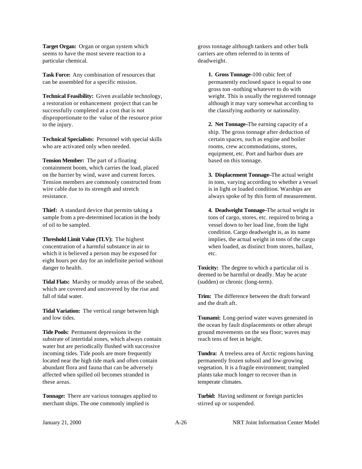**Target Organ:** Organ or organ system which seems to have the most severe reaction to a particular chemical.

**Task Force:** Any combination of resources that can be assembled for a specific mission.

**Technical Feasibility:** Given available technology, a restoration or enhancement project that can be successfully completed at a cost that is not disproportionate to the value of the resource prior to the injury.

**Technical Specialists:** Personnel with special skills who are activated only when needed.

**Tension Member:** The part of a floating containment boom, which carries the load, placed on the barrier by wind, wave and current forces. Tension members are commonly constructed from wire cable due to its strength and stretch resistance.

**Thief:** A standard device that permits taking a sample from a pre-determined location in the body of oil to be sampled.

**Threshold Limit Value (TLV):** The highest concentration of a harmful substance in air to which it is believed a person may be exposed for eight hours per day for an indefinite period without danger to health.

**Tidal Flats:** Marshy or muddy areas of the seabed, which are covered and uncovered by the rise and fall of tidal water.

**Tidal Variation:** The vertical range between high and low tides.

**Tide Pools:** Permanent depressions in the substrate of intertidal zones, which always contain water but are periodically flushed with successive incoming tides. Tide pools are more frequently located near the high tide mark and often contain abundant flora and fauna that can be adversely affected when spilled oil becomes stranded in these areas.

**Tonnage:** There are various tonnages applied to merchant ships. The one commonly implied is

gross tonnage although tankers and other bulk carriers are often referred to in terms of deadweight.

**1. Gross Tonnage–**100 cubic feet of permanently enclosed space is equal to one gross ton -nothing whatever to do with weight. This is usually the registered tonnage although it may vary somewhat according to the classifying authority or nationality.

**2. Net Tonnage–**The earning capacity of a ship. The gross tonnage after deduction of certain spaces, such as engine and boiler rooms, crew accommodations, stores, equipment, etc. Port and harbor dues are based on this tonnage.

**3. Displacement Tonnage–**The actual weight in tons, varying according to whether a vessel is in light or loaded condition. Warships are always spoke of by this form of measurement.

**4. Deadweight Tonnage–**The actual weight in tons of cargo, stores, etc. required to bring a vessel down to her load line, from the light condition. Cargo deadweight is, as its name implies, the actual weight in tons of the cargo when loaded, as distinct from stores, ballast, etc.

**Toxicity:** The degree to which a particular oil is deemed to be harmful or deadly. May be acute (sudden) or chronic (long-term).

**Trim:** The difference between the draft forward and the draft aft.

**Tsunami:** Long-period water waves generated in the ocean by fault displacements or other abrupt ground movements on the sea floor; waves may reach tens of feet in height.

**Tundra:** A treeless area of Arctic regions having permanently frozen subsoil and low-growing vegetation. It is a fragile environment; trampled plants take much longer to recover than in temperate climates.

**Turbid:** Having sediment or foreign particles stirred up or suspended.

January 21, 2000 A-26 NRT Joint Information Center Model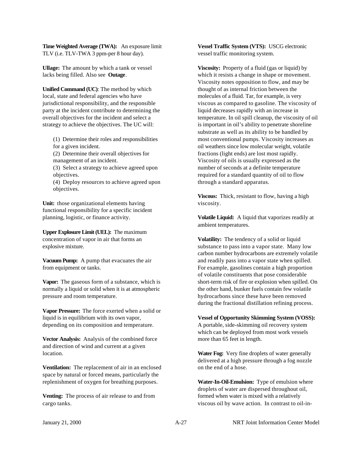**Time Weighted Average (TWA):** An exposure limit TLV (i.e. TLV-TWA 3 ppm-per 8 hour day).

**Ullage:** The amount by which a tank or vessel lacks being filled. Also see **Outage**.

**Unified Command (UC)**: The method by which local, state and federal agencies who have jurisdictional responsibility, and the responsible party at the incident contribute to determining the overall objectives for the incident and select a strategy to achieve the objectives. The UC will:

(1) Determine their roles and responsibilities for a given incident.

(2) Determine their overall objectives for management of an incident.

(3) Select a strategy to achieve agreed upon objectives.

(4) Deploy resources to achieve agreed upon objectives.

**Unit:** those organizational elements having functional responsibility for a specific incident planning, logistic, or finance activity.

**Upper Explosure Limit (UEL):** The maximum concentration of vapor in air that forms an explosive mixture.

**Vacuum Pump:** A pump that evacuates the air from equipment or tanks.

**Vapor:** The gaseous form of a substance, which is normally a liquid or solid when it is at atmospheric pressure and room temperature.

**Vapor Pressure:** The force exerted when a solid or liquid is in equilibrium with its own vapor, depending on its composition and temperature.

**Vector Analysis:** Analysis of the combined force and direction of wind and current at a given location.

**Ventilation:** The replacement of air in an enclosed space by natural or forced means, particularly the replenishment of oxygen for breathing purposes.

**Venting:** The process of air release to and from cargo tanks.

**Vessel Traffic System (VTS):** USCG electronic vessel traffic monitoring system.

**Viscosity:** Property of a fluid (gas or liquid) by which it resists a change in shape or movement. Viscosity notes opposition to flow, and may be thought of as internal friction between the molecules of a fluid. Tar, for example, is very viscous as compared to gasoline. The viscosity of liquid decreases rapidly with an increase in temperature. In oil spill cleanup, the viscosity of oil is important in oil's ability to penetrate shoreline substrate as well as its ability to be handled by most conventional pumps. Viscosity increases as oil weathers since low molecular weight, volatile fractions (light ends) are lost most rapidly. Viscosity of oils is usually expressed as the number of seconds at a definite temperature required for a standard quantity of oil to flow through a standard apparatus.

**Viscous:** Thick, resistant to flow, having a high viscosity.

**Volatile Liquid:** A liquid that vaporizes readily at ambient temperatures.

**Volatility:** The tendency of a solid or liquid substance to pass into a vapor state. Many low carbon number hydrocarbons are extremely volatile and readily pass into a vapor state when spilled. For example, gasolines contain a high proportion of volatile constituents that pose considerable short-term risk of fire or explosion when spilled. On the other hand, bunker fuels contain few volatile hydrocarbons since these have been removed during the fractional distillation refining process.

**Vessel of Opportunity Skimming System (VOSS):** A portable, side-skimming oil recovery system which can be deployed from most work vessels more than 65 feet in length.

**Water Fog:** Very fine droplets of water generally delivered at a high pressure through a fog nozzle on the end of a hose.

**Water-In-Oil-Emulsion:** Type of emulsion where droplets of water are dispersed throughout oil, formed when water is mixed with a relatively viscous oil by wave action. In contrast to oil-in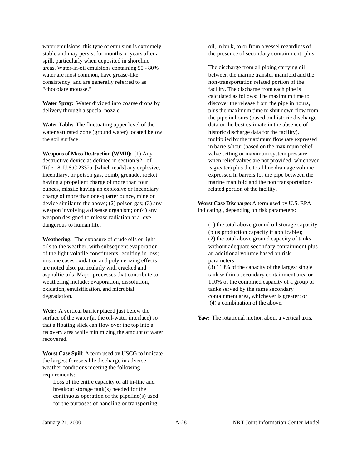water emulsions, this type of emulsion is extremely stable and may persist for months or years after a spill, particularly when deposited in shoreline areas. Water-in-oil emulsions containing 50 - 80% water are most common, have grease-like consistency, and are generally referred to as "chocolate mousse."

**Water Spray:** Water divided into coarse drops by delivery through a special nozzle.

**Water Table:** The fluctuating upper level of the water saturated zone (ground water) located below the soil surface.

**Weapons of Mass Destruction (WMD):** (1) Any destructive device as defined in section 921 of Title 18, U.S.C 2332a, [which reads] any explosive, incendiary, or poison gas, bomb, grenade, rocket having a propellent charge of more than four ounces, missile having an explosive or incendiary charge of more than one-quarter ounce, mine or device similar to the above; (2) poison gas; (3) any weapon involving a disease organism; or (4) any weapon designed to release radiation at a level dangerous to human life.

**Weathering:** The exposure of crude oils or light oils to the weather, with subsequent evaporation of the light volatile constituents resulting in loss; in some cases oxidation and polymerizing effects are noted also, particularly with cracked and asphaltic oils. Major processes that contribute to weathering include: evaporation, dissolution, oxidation, emulsification, and microbial degradation.

**Weir:** A vertical barrier placed just below the surface of the water (at the oil-water interface) so that a floating slick can flow over the top into a recovery area while minimizing the amount of water recovered.

**Worst Case Spill**: A term used by USCG to indicate the largest foreseeable discharge in adverse weather conditions meeting the following requirements:

Loss of the entire capacity of all in-line and breakout storage tank(s) needed for the continuous operation of the pipeline(s) used for the purposes of handling or transporting

oil, in bulk, to or from a vessel regardless of the presence of secondary containment: plus

The discharge from all piping carrying oil between the marine transfer manifold and the non-transportation related portion of the facility. The discharge from each pipe is calculated as follows: The maximum time to discover the release from the pipe in hours, plus the maximum time to shut down flow from the pipe in hours (based on historic discharge data or the best estimate in the absence of historic discharge data for the facility), multiplied by the maximum flow rate expressed in barrels/hour (based on the maximum relief valve setting or maximum system pressure when relief valves are not provided, whichever is greater) plus the total line drainage volume expressed in barrels for the pipe between the marine manifold and the non transportationrelated portion of the facility.

**Worst Case Discharge:** A term used by U.S. EPA indicating,, depending on risk parameters:

(1) the total above ground oil storage capacity (plus production capacity if applicable); (2) the total above ground capacity of tanks without adequate secondary containment plus an additional volume based on risk parameters;

(3) 110% of the capacity of the largest single tank within a secondary containment area or 110% of the combined capacity of a group of tanks served by the same secondary containment area, whichever is greater; or (4) a combination of the above.

**Yaw:** The rotational motion about a vertical axis.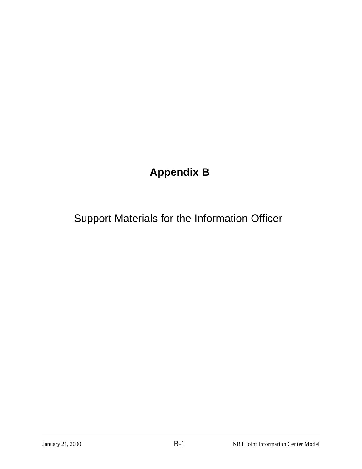### **Appendix B**

### Support Materials for the Information Officer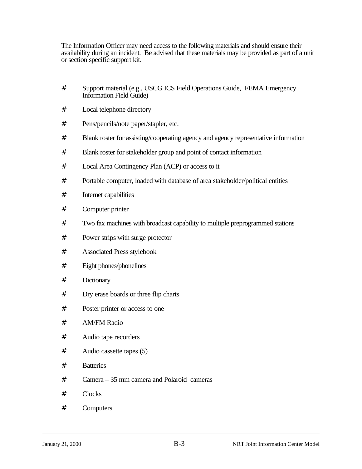The Information Officer may need access to the following materials and should ensure their availability during an incident. Be advised that these materials may be provided as part of a unit or section specific support kit.

- # Support material (e.g., USCG ICS Field Operations Guide, FEMA Emergency Information Field Guide)
- # Local telephone directory
- # Pens/pencils/note paper/stapler, etc.
- # Blank roster for assisting/cooperating agency and agency representative information
- # Blank roster for stakeholder group and point of contact information
- # Local Area Contingency Plan (ACP) or access to it
- # Portable computer, loaded with database of area stakeholder/political entities
- # Internet capabilities
- # Computer printer
- # Two fax machines with broadcast capability to multiple preprogrammed stations
- # Power strips with surge protector
- # Associated Press stylebook
- # Eight phones/phonelines
- # Dictionary
- # Dry erase boards or three flip charts
- # Poster printer or access to one
- # AM/FM Radio
- # Audio tape recorders
- # Audio cassette tapes (5)
- # Batteries
- # Camera 35 mm camera and Polaroid cameras
- # Clocks
- # Computers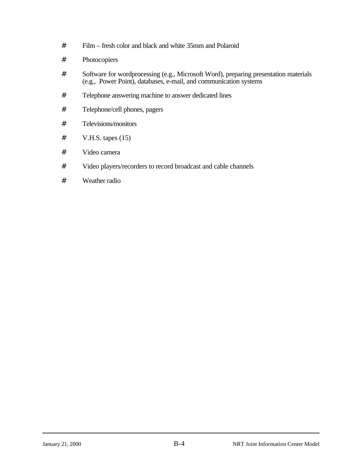- # Film fresh color and black and white 35mm and Polaroid
- # Photocopiers
- # Software for wordprocessing (e.g., Microsoft Word), preparing presentation materials (e.g., Power Point), databases, e-mail, and communication systems
- # Telephone answering machine to answer dedicated lines
- # Telephone/cell phones, pagers
- # Televisions/monitors
- $#$  V.H.S. tapes  $(15)$
- # Video camera
- # Video players/recorders to record broadcast and cable channels
- # Weather radio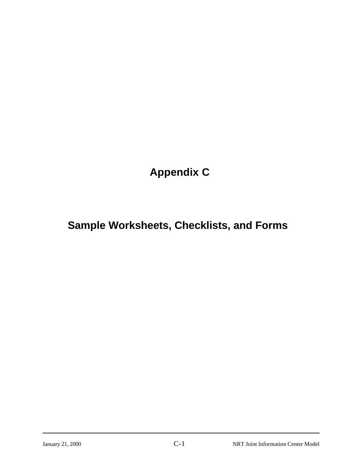**Appendix C**

### **Sample Worksheets, Checklists, and Forms**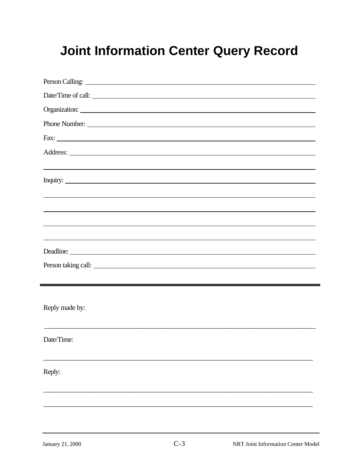# **Joint Information Center Query Record**

| Person Calling: 2008. Calling: 2008. Calling: 2008. Calling: 2008. Calling: 2008. Calling: 2008. Calling: 2008. Calling: 2008. Calling: 2008. Calling: 2008. Calling: 2008. Calling: 2008. Calling: 2008. Calling: 2008. Calli       |  |
|--------------------------------------------------------------------------------------------------------------------------------------------------------------------------------------------------------------------------------------|--|
| Date/Time of call:                                                                                                                                                                                                                   |  |
|                                                                                                                                                                                                                                      |  |
| Phone Number:                                                                                                                                                                                                                        |  |
|                                                                                                                                                                                                                                      |  |
|                                                                                                                                                                                                                                      |  |
| <u> 1989 - Andrea Santa Andrea Santa Andrea Santa Andrea Santa Andrea Santa Andrea Santa Andrea Santa Andrea San</u>                                                                                                                 |  |
| Inquiry: <u>contract the contract of the contract of the contract of the contract of the contract of the contract of the contract of the contract of the contract of the contract of the contract of the contract of the contrac</u> |  |
|                                                                                                                                                                                                                                      |  |
|                                                                                                                                                                                                                                      |  |
|                                                                                                                                                                                                                                      |  |
|                                                                                                                                                                                                                                      |  |
|                                                                                                                                                                                                                                      |  |
|                                                                                                                                                                                                                                      |  |
|                                                                                                                                                                                                                                      |  |
|                                                                                                                                                                                                                                      |  |
| Reply made by:                                                                                                                                                                                                                       |  |
|                                                                                                                                                                                                                                      |  |
| Date/Time:                                                                                                                                                                                                                           |  |
|                                                                                                                                                                                                                                      |  |
|                                                                                                                                                                                                                                      |  |
| Reply:                                                                                                                                                                                                                               |  |
|                                                                                                                                                                                                                                      |  |
|                                                                                                                                                                                                                                      |  |
|                                                                                                                                                                                                                                      |  |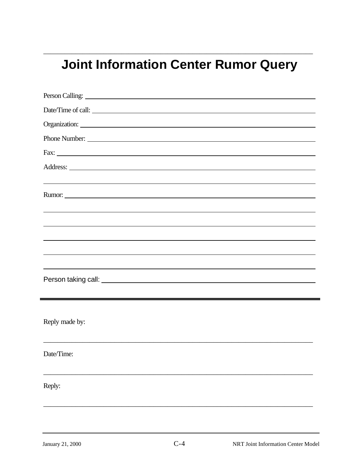# **Joint Information Center Rumor Query**

\_\_\_\_\_\_\_\_\_\_\_\_\_\_\_\_\_\_\_\_\_\_\_\_\_\_\_\_\_\_\_\_\_\_\_\_\_\_\_\_\_\_\_\_\_\_\_\_\_\_\_\_\_\_\_\_\_\_\_\_\_\_\_\_\_\_\_\_\_\_\_\_\_\_\_\_

| Date/Time of call:                                                               |
|----------------------------------------------------------------------------------|
|                                                                                  |
| Phone Number:                                                                    |
|                                                                                  |
|                                                                                  |
| ,我们也不会有什么。""我们的人,我们也不会有什么?""我们的人,我们也不会有什么?""我们的人,我们也不会有什么?""我们的人,我们也不会有什么?""我们的人 |
|                                                                                  |
| ,我们也不会有什么。""我们的人,我们也不会有什么?""我们的人,我们也不会有什么?""我们的人,我们也不会有什么?""我们的人,我们也不会有什么?""我们的人 |
| ,我们也不会有什么。""我们的人,我们也不会有什么?""我们的人,我们也不会有什么?""我们的人,我们也不会有什么?""我们的人,我们也不会有什么?""我们的人 |
| ,我们也不会有什么。""我们的人,我们也不会有什么?""我们的人,我们也不会有什么?""我们的人,我们也不会有什么?""我们的人,我们也不会有什么?""我们的人 |
| ,我们也不会有什么。""我们的人,我们也不会有什么?""我们的人,我们也不会有什么?""我们的人,我们也不会有什么?""我们的人,我们也不会有什么?""我们的人 |
| ,我们也不会有什么。""我们的人,我们也不会有什么?""我们的人,我们也不会有什么?""我们的人,我们也不会有什么?""我们的人,我们也不会有什么?""我们的人 |
|                                                                                  |
|                                                                                  |
|                                                                                  |
| Reply made by:                                                                   |
|                                                                                  |
| Date/Time:                                                                       |
|                                                                                  |
|                                                                                  |
| Reply:                                                                           |
|                                                                                  |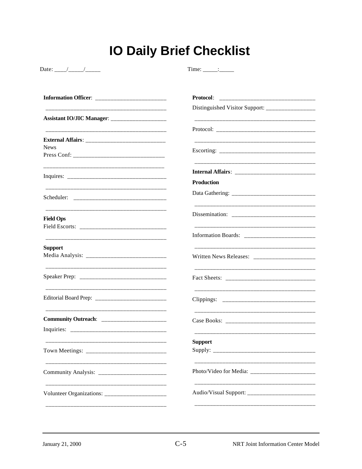# **IO Daily Brief Checklist**

Time:  $\frac{\cdot}{\cdot}$ 

|                                                  | <b>Protocol:</b>                                                                 |  |  |  |
|--------------------------------------------------|----------------------------------------------------------------------------------|--|--|--|
|                                                  | Distinguished Visitor Support: ________________                                  |  |  |  |
|                                                  |                                                                                  |  |  |  |
|                                                  |                                                                                  |  |  |  |
|                                                  |                                                                                  |  |  |  |
| <b>News</b>                                      |                                                                                  |  |  |  |
|                                                  |                                                                                  |  |  |  |
|                                                  |                                                                                  |  |  |  |
|                                                  | <b>Production</b>                                                                |  |  |  |
|                                                  |                                                                                  |  |  |  |
| <b>Field Ops</b>                                 |                                                                                  |  |  |  |
|                                                  | _________________________________                                                |  |  |  |
|                                                  |                                                                                  |  |  |  |
| <b>Support</b>                                   |                                                                                  |  |  |  |
|                                                  |                                                                                  |  |  |  |
|                                                  |                                                                                  |  |  |  |
|                                                  |                                                                                  |  |  |  |
|                                                  |                                                                                  |  |  |  |
|                                                  |                                                                                  |  |  |  |
|                                                  | <b>Support</b>                                                                   |  |  |  |
|                                                  |                                                                                  |  |  |  |
|                                                  |                                                                                  |  |  |  |
| Community Analysis: _________________________    |                                                                                  |  |  |  |
| Volunteer Organizations: _______________________ | ______________________________<br>Audio/Visual Support: ________________________ |  |  |  |
|                                                  |                                                                                  |  |  |  |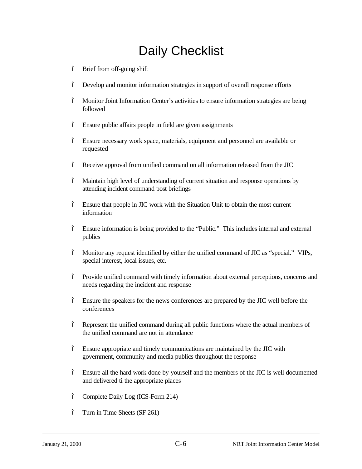# Daily Checklist

- " Brief from off-going shift
- " Develop and monitor information strategies in support of overall response efforts
- " Monitor Joint Information Center's activities to ensure information strategies are being followed
- " Ensure public affairs people in field are given assignments
- " Ensure necessary work space, materials, equipment and personnel are available or requested
- " Receive approval from unified command on all information released from the JIC
- " Maintain high level of understanding of current situation and response operations by attending incident command post briefings
- " Ensure that people in JIC work with the Situation Unit to obtain the most current information
- " Ensure information is being provided to the "Public." This includes internal and external publics
- " Monitor any request identified by either the unified command of JIC as "special." VIPs, special interest, local issues, etc.
- " Provide unified command with timely information about external perceptions, concerns and needs regarding the incident and response
- " Ensure the speakers for the news conferences are prepared by the JIC well before the conferences
- " Represent the unified command during all public functions where the actual members of the unified command are not in attendance
- " Ensure appropriate and timely communications are maintained by the JIC with government, community and media publics throughout the response
- " Ensure all the hard work done by yourself and the members of the JIC is well documented and delivered ti the appropriate places
- " Complete Daily Log (ICS-Form 214)
- " Turn in Time Sheets (SF 261)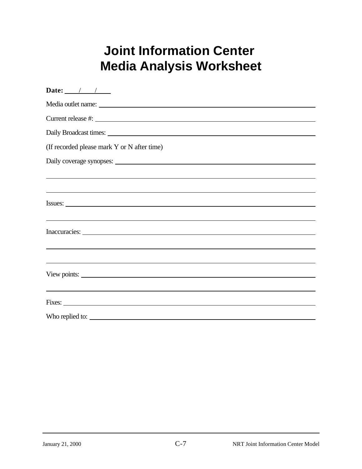# **Joint Information Center Media Analysis Worksheet**

| Date: $\frac{1}{\sqrt{1-\frac{1}{2}}}$                                           |
|----------------------------------------------------------------------------------|
|                                                                                  |
| Current release #:                                                               |
|                                                                                  |
| (If recorded please mark Y or N after time)                                      |
|                                                                                  |
|                                                                                  |
|                                                                                  |
| Issues:                                                                          |
| <u> 1999 - Johann Stoff, amerikansk politiker (d. 1989)</u>                      |
|                                                                                  |
|                                                                                  |
| ,我们也不会有什么。""我们的人,我们也不会有什么?""我们的人,我们也不会有什么?""我们的人,我们也不会有什么?""我们的人,我们也不会有什么?""我们的人 |
| View points:                                                                     |
|                                                                                  |
|                                                                                  |
| Who replied to:                                                                  |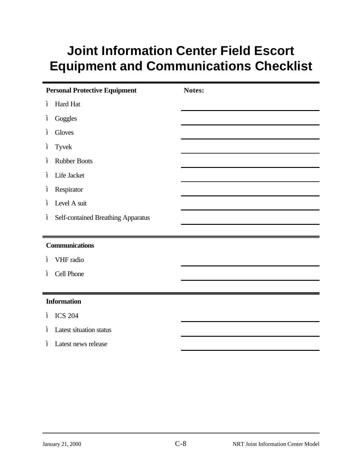# **Joint Information Center Field Escort Equipment and Communications Checklist**

| <b>Personal Protective Equipment</b>                   | Notes: |
|--------------------------------------------------------|--------|
| Hard Hat<br>$\boldsymbol{\mu}$                         |        |
| Goggles<br>$\boldsymbol{\mu}$                          |        |
| $\boldsymbol{\mu}$<br>Gloves                           |        |
| $\boldsymbol{\mu}$<br><b>Tyvek</b>                     |        |
| <b>Rubber Boots</b><br>$\boldsymbol{\mu}$              |        |
| Life Jacket<br>$\boldsymbol{\mu}$                      |        |
| Respirator<br>$\boldsymbol{\mu}$                       |        |
| Level A suit<br>$\boldsymbol{\mu}$                     |        |
| $\boldsymbol{u}$<br>Self-contained Breathing Apparatus |        |
|                                                        |        |
| <b>Communications</b>                                  |        |
| VHF radio<br>$\boldsymbol{\mu}$                        |        |
| Cell Phone<br>$\boldsymbol{\mu}$                       |        |
|                                                        |        |
| <b>Information</b>                                     |        |
| " ICS 204                                              |        |
| Latest situation status<br>$\boldsymbol{\mu}$          |        |
| Latest news release<br>$\boldsymbol{\mu}$              |        |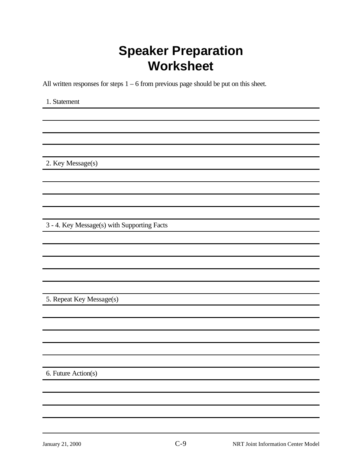## **Speaker Preparation Worksheet**

All written responses for steps  $1 - 6$  from previous page should be put on this sheet.

1. Statement

2. Key Message(s)

3 - 4. Key Message(s) with Supporting Facts

5. Repeat Key Message(s)

6. Future Action(s)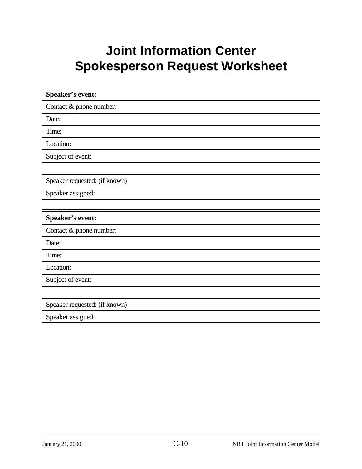# **Joint Information Center Spokesperson Request Worksheet**

| Speaker's event:              |
|-------------------------------|
| Contact & phone number:       |
| Date:                         |
| Time:                         |
| Location:                     |
| Subject of event:             |
|                               |
| Speaker requested: (if known) |
| Speaker assigned:             |
|                               |
| Speaker's event:              |
| Contact & phone number:       |
|                               |
| Date:                         |
| Time:                         |
| Location:                     |
| Subject of event:             |
|                               |
| Speaker requested: (if known) |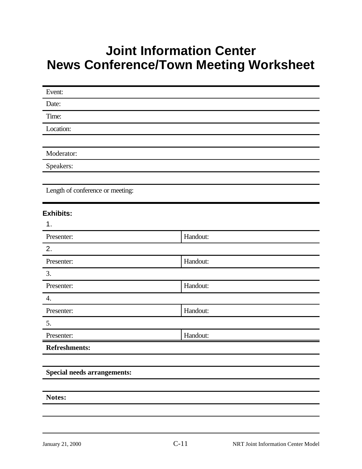### **Joint Information Center News Conference/Town Meeting Worksheet**

| Event:                             |          |  |
|------------------------------------|----------|--|
| Date:                              |          |  |
| Time:                              |          |  |
| Location:                          |          |  |
|                                    |          |  |
| Moderator:                         |          |  |
| Speakers:                          |          |  |
|                                    |          |  |
| Length of conference or meeting:   |          |  |
| <b>Exhibits:</b>                   |          |  |
| 1.                                 |          |  |
| Presenter:                         | Handout: |  |
| 2.                                 |          |  |
| Presenter:                         | Handout: |  |
| 3.                                 |          |  |
| Presenter:                         | Handout: |  |
| $\overline{4}$ .                   |          |  |
| Presenter:                         | Handout: |  |
| 5.                                 |          |  |
| Presenter:                         | Handout: |  |
| Refreshments:                      |          |  |
|                                    |          |  |
| <b>Special needs arrangements:</b> |          |  |
|                                    |          |  |
| Notes:                             |          |  |
|                                    |          |  |
|                                    |          |  |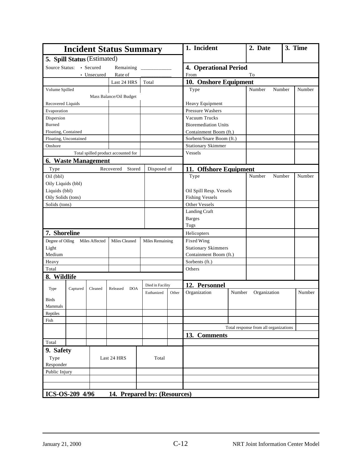| <b>Incident Status Summary</b>           |                              |                        |       | 1. Incident                  |        | 2. Date                               |        | 3. Time |
|------------------------------------------|------------------------------|------------------------|-------|------------------------------|--------|---------------------------------------|--------|---------|
| 5. Spill Status (Estimated)              |                              |                        |       |                              |        |                                       |        |         |
| • Secured<br>Source Status:<br>Remaining |                              |                        |       | <b>4. Operational Period</b> |        |                                       |        |         |
| • Unsecured                              | Rate of                      |                        |       | From                         |        | To                                    |        |         |
|                                          | Last 24 HRS                  | Total                  |       | 10. Onshore Equipment        |        |                                       |        |         |
| Volume Spilled                           |                              |                        |       | Type                         |        | Number                                | Number | Number  |
|                                          | Mass Balance/Oil Budget      |                        |       |                              |        |                                       |        |         |
| Recovered Liquids                        |                              |                        |       | Heavy Equipment              |        |                                       |        |         |
| Evaporation                              |                              |                        |       | <b>Pressure Washers</b>      |        |                                       |        |         |
| Dispersion                               |                              |                        |       | Vacuum Trucks                |        |                                       |        |         |
| <b>Burned</b>                            |                              |                        |       | <b>Bioremediation Units</b>  |        |                                       |        |         |
| Floating, Contained                      |                              |                        |       | Containment Boom (ft.)       |        |                                       |        |         |
| Floating, Uncontained                    |                              |                        |       | Sorbent/Snare Boom (ft.)     |        |                                       |        |         |
| Onshore                                  |                              |                        |       | <b>Stationary Skimmer</b>    |        |                                       |        |         |
| Total spilled product accounted for      |                              |                        |       | Vessels                      |        |                                       |        |         |
| 6. Waste Management                      |                              |                        |       |                              |        |                                       |        |         |
| Type                                     | Stored<br>Recovered          | Disposed of            |       | 11. Offshore Equipment       |        |                                       |        |         |
| Oil (bbl)                                |                              |                        |       | Type                         |        | Number                                | Number | Number  |
| Oily Liquids (bbl)                       |                              |                        |       |                              |        |                                       |        |         |
| Liquids (bbl)                            |                              |                        |       | Oil Spill Resp. Vessels      |        |                                       |        |         |
| Oily Solids (tons)                       |                              |                        |       | <b>Fishing Vessels</b>       |        |                                       |        |         |
| Solids (tons)                            |                              |                        |       | Other Vessels                |        |                                       |        |         |
|                                          |                              |                        |       | Landing Craft                |        |                                       |        |         |
|                                          |                              |                        |       | <b>Barges</b>                |        |                                       |        |         |
|                                          |                              |                        |       | Tugs                         |        |                                       |        |         |
| 7. Shoreline                             |                              |                        |       | Helicopters                  |        |                                       |        |         |
| Degree of Oiling<br>Miles Affected       | Miles Cleaned                | <b>Miles Remaining</b> |       | Fixed Wing                   |        |                                       |        |         |
| Light                                    |                              |                        |       | <b>Stationary Skimmers</b>   |        |                                       |        |         |
| Medium                                   |                              |                        |       | Containment Boom (ft.)       |        |                                       |        |         |
| Heavy                                    |                              |                        |       | Sorbents (ft.)               |        |                                       |        |         |
| Total                                    |                              |                        |       | Others                       |        |                                       |        |         |
| 8. Wildlife                              |                              |                        |       |                              |        |                                       |        |         |
|                                          |                              | Died in Facility       |       | 12. Personnel                |        |                                       |        |         |
| Type<br>Captured<br>Cleaned              | <b>DOA</b><br>Released       | Euthanized             | Other | Organization                 | Number | Organization                          |        | Number  |
| <b>Birds</b>                             |                              |                        |       |                              |        |                                       |        |         |
| Mammals                                  |                              |                        |       |                              |        |                                       |        |         |
| Reptiles                                 |                              |                        |       |                              |        |                                       |        |         |
| Fish                                     |                              |                        |       |                              |        |                                       |        |         |
|                                          |                              |                        |       |                              |        | Total response from all organizations |        |         |
|                                          |                              |                        |       | 13. Comments                 |        |                                       |        |         |
| Total                                    |                              |                        |       |                              |        |                                       |        |         |
| 9. Safety                                |                              |                        |       |                              |        |                                       |        |         |
| Type                                     | Last 24 HRS                  | Total                  |       |                              |        |                                       |        |         |
| Responder                                |                              |                        |       |                              |        |                                       |        |         |
| Public Injury                            |                              |                        |       |                              |        |                                       |        |         |
|                                          |                              |                        |       |                              |        |                                       |        |         |
|                                          |                              |                        |       |                              |        |                                       |        |         |
| ICS-OS-209 4/96                          | 14. Prepared by: (Resources) |                        |       |                              |        |                                       |        |         |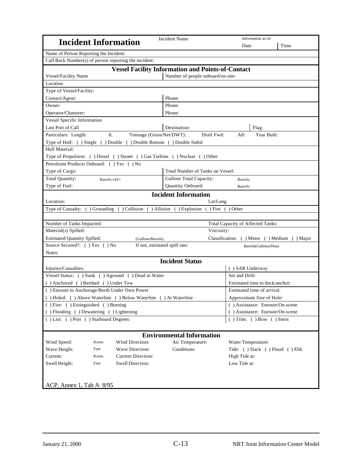| <b>Incident Information</b>                                                    | Incident Name                                            | Information as of:                             |      |  |
|--------------------------------------------------------------------------------|----------------------------------------------------------|------------------------------------------------|------|--|
|                                                                                |                                                          | Date                                           | Time |  |
| Name of Person Reporting the Incident:                                         |                                                          |                                                |      |  |
| Call Back Number(s) of person reporting the incident:                          |                                                          |                                                |      |  |
|                                                                                | <b>Vessel Facility Information and Points-of-Contact</b> |                                                |      |  |
| Vessel/Facility Name                                                           | Number of people onboard/on-site:                        |                                                |      |  |
| Location                                                                       |                                                          |                                                |      |  |
| Type of Vessel/Facility:                                                       |                                                          |                                                |      |  |
| Contact/Agent:                                                                 | Phone:                                                   |                                                |      |  |
| Owner:                                                                         | Phone:                                                   |                                                |      |  |
| Operator/Charterer:                                                            | Phone:                                                   |                                                |      |  |
| Vessel Specific Information                                                    |                                                          |                                                |      |  |
| Last Port of Call                                                              | Destination:                                             | Flag:                                          |      |  |
| ft.<br>Particulars: Length:<br>Tonnage (Gross/Net/DWT):                        | Draft Fwd:                                               | Year Built:<br>Aft:                            |      |  |
| Type of Hull: () Single () Double () Double Bottom () Double Sided             |                                                          |                                                |      |  |
| Hull Material:                                                                 |                                                          |                                                |      |  |
| Type of Propulsion: ( ) Diesel ( ) Steam ( ) Gas Turbine ( ) Nuclear ( ) Other |                                                          |                                                |      |  |
| Petroleum Products Onboard: () Yes () No                                       |                                                          |                                                |      |  |
| Type of Cargo:                                                                 | Total Number of Tanks on Vessel:                         |                                                |      |  |
| Total Quantity:<br>Barrels x42=                                                | Gallons Total Capacity:                                  | <b>Barrels</b>                                 |      |  |
| Type of Fuel:                                                                  | Quantity Onboard:                                        | <b>Barrels</b>                                 |      |  |
|                                                                                | <b>Incident Information</b>                              |                                                |      |  |
| Location:                                                                      | Lat/Long                                                 |                                                |      |  |
| Type of Casualty: () Grounding () Collision () Allision () Explosion           |                                                          | $( )$ Fire $( )$ Other                         |      |  |
|                                                                                |                                                          |                                                |      |  |
| Number of Tanks Impacted:                                                      |                                                          | Total Capacity of Affected Tanks:              |      |  |
| Material(s) Spilled:                                                           | Viscosity:                                               |                                                |      |  |
| <b>Estimated Quantity Spilled:</b><br>(Gallons/Barrels)                        |                                                          | Classification: ( ) Minor ( ) Medium ( ) Major |      |  |
| Source Secured?: () Yes () No                                                  | If not, estimated spill rate:                            | Barrels(Gallons)/Hour                          |      |  |
| Notes:                                                                         |                                                          |                                                |      |  |
|                                                                                | <b>Incident Status</b>                                   |                                                |      |  |
| Injuries/Casualties:                                                           |                                                          | () SAR Underway                                |      |  |
| Vessel Status: ( ) Sunk ( ) Aground ( ) Dead in Water                          |                                                          | Set and Drift:                                 |      |  |
| () Anchored () Berthed () Under Tow                                            |                                                          | Estimated time to dock/anchor:                 |      |  |
| () Enroute to Anchorage/Berth Under Own Power                                  |                                                          | Estimated time of arrival:                     |      |  |
| () Holed: () Above Waterline () Below Waterline () At Waterline                |                                                          | Approximate Size of Hole:                      |      |  |
| () Fire: () Extinguished () Burning                                            |                                                          | () Assistance: Enroute/On-scene                |      |  |
| () Flooding () Dewatering () Lightening                                        |                                                          | () Assistance: Enroute/On-scene                |      |  |
| () List: () Port () Starboard Degrees:                                         |                                                          | () Trim: () Bow () Stern                       |      |  |
|                                                                                |                                                          |                                                |      |  |
|                                                                                | <b>Environmental Information</b>                         |                                                |      |  |
| Wind Speed:<br>Wind Direction:<br>Knots                                        | Air Temperature:                                         | Water Temperature:                             |      |  |
| Wave Height:<br>Wave Direction:<br>Feet                                        | Conditions:                                              | Tide: () Slack () Flood () Ebb                 |      |  |
| Current:<br><b>Current Direction:</b><br>Knots                                 |                                                          | High Tide at:                                  |      |  |
| Swell Height:<br><b>Swell Direction:</b><br>Feet                               |                                                          | Low Tide at:                                   |      |  |
|                                                                                |                                                          |                                                |      |  |
|                                                                                |                                                          |                                                |      |  |
| ACP, Annex 1, Tab A 8/95                                                       |                                                          |                                                |      |  |
|                                                                                |                                                          |                                                |      |  |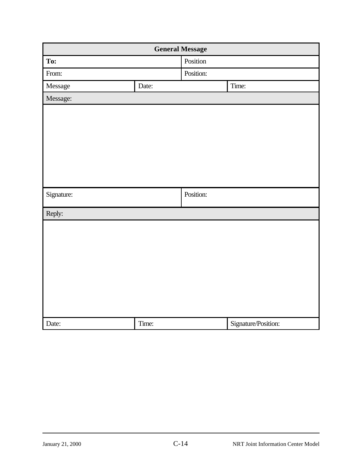|            | <b>General Message</b> |           |                     |
|------------|------------------------|-----------|---------------------|
| To:        |                        | Position  |                     |
| From:      |                        | Position: |                     |
| Message    | Date:                  |           | Time:               |
| Message:   |                        |           |                     |
|            |                        |           |                     |
|            |                        |           |                     |
|            |                        |           |                     |
|            |                        |           |                     |
|            |                        |           |                     |
|            |                        |           |                     |
|            |                        | Position: |                     |
| Signature: |                        |           |                     |
| Reply:     |                        |           |                     |
|            |                        |           |                     |
|            |                        |           |                     |
|            |                        |           |                     |
|            |                        |           |                     |
|            |                        |           |                     |
|            |                        |           |                     |
|            |                        |           |                     |
|            |                        |           |                     |
| Date:      | Time:                  |           | Signature/Position: |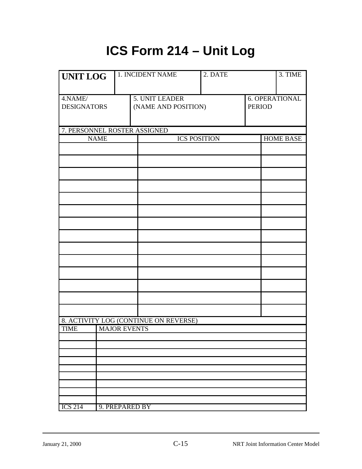# **ICS Form 214 – Unit Log**

| <b>UNIT LOG</b>    |  | 1. INCIDENT NAME                      | 2. DATE             |               | 3. TIME          |
|--------------------|--|---------------------------------------|---------------------|---------------|------------------|
|                    |  |                                       |                     |               |                  |
| 4.NAME/            |  | <b>5. UNIT LEADER</b>                 |                     |               | 6. OPERATIONAL   |
| <b>DESIGNATORS</b> |  | (NAME AND POSITION)                   |                     | <b>PERIOD</b> |                  |
|                    |  |                                       |                     |               |                  |
|                    |  |                                       |                     |               |                  |
|                    |  | 7. PERSONNEL ROSTER ASSIGNED          |                     |               |                  |
| <b>NAME</b>        |  |                                       | <b>ICS POSITION</b> |               | <b>HOME BASE</b> |
|                    |  |                                       |                     |               |                  |
|                    |  |                                       |                     |               |                  |
|                    |  |                                       |                     |               |                  |
|                    |  |                                       |                     |               |                  |
|                    |  |                                       |                     |               |                  |
|                    |  |                                       |                     |               |                  |
|                    |  |                                       |                     |               |                  |
|                    |  |                                       |                     |               |                  |
|                    |  |                                       |                     |               |                  |
|                    |  |                                       |                     |               |                  |
|                    |  |                                       |                     |               |                  |
|                    |  |                                       |                     |               |                  |
|                    |  |                                       |                     |               |                  |
|                    |  |                                       |                     |               |                  |
|                    |  |                                       |                     |               |                  |
|                    |  |                                       |                     |               |                  |
|                    |  |                                       |                     |               |                  |
|                    |  |                                       |                     |               |                  |
|                    |  |                                       |                     |               |                  |
|                    |  | 8. ACTIVITY LOG (CONTINUE ON REVERSE) |                     |               |                  |
| <b>TIME</b>        |  | <b>MAJOR EVENTS</b>                   |                     |               |                  |
|                    |  |                                       |                     |               |                  |
|                    |  |                                       |                     |               |                  |
|                    |  |                                       |                     |               |                  |
|                    |  |                                       |                     |               |                  |
|                    |  |                                       |                     |               |                  |
|                    |  |                                       |                     |               |                  |
|                    |  |                                       |                     |               |                  |
|                    |  |                                       |                     |               |                  |
| <b>ICS 214</b>     |  | 9. PREPARED BY                        |                     |               |                  |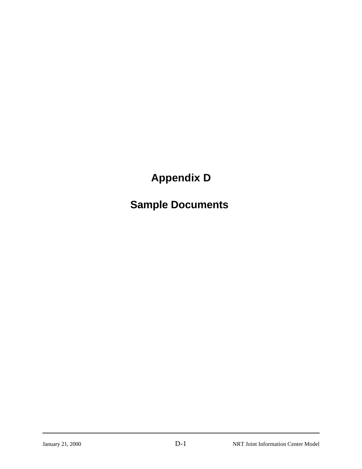## **Appendix D**

### **Sample Documents**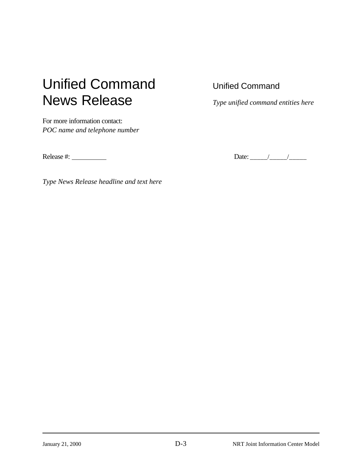# Unified Command Unified Command News Release *Type unified command entities here*

For more information contact: *POC name and telephone number*

Release #: Date: \_\_\_\_\_/\_\_\_\_\_/\_\_\_\_\_

*Type News Release headline and text here*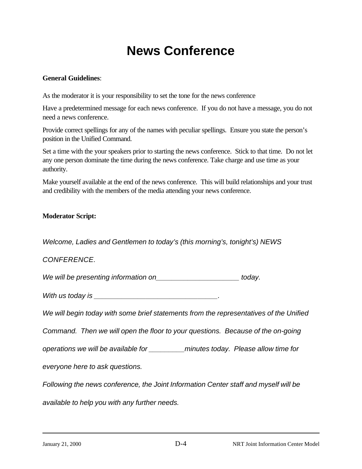### **News Conference**

#### **General Guidelines**:

As the moderator it is your responsibility to set the tone for the news conference

Have a predetermined message for each news conference. If you do not have a message, you do not need a news conference.

Provide correct spellings for any of the names with peculiar spellings. Ensure you state the person's position in the Unified Command.

Set a time with the your speakers prior to starting the news conference. Stick to that time. Do not let any one person dominate the time during the news conference. Take charge and use time as your authority.

Make yourself available at the end of the news conference. This will build relationships and your trust and credibility with the members of the media attending your news conference.

#### **Moderator Script:**

*Welcome, Ladies and Gentlemen to today's (this morning's, tonight's) NEWS*

#### *CONFERENCE.*

We will be presenting information on *We will be presenting information on* 

*With us today is \_\_\_\_\_\_\_\_\_\_\_\_\_\_\_\_\_\_\_\_\_\_\_\_\_\_\_\_\_\_\_.*

*We will begin today with some brief statements from the representatives of the Unified*

*Command. Then we will open the floor to your questions. Because of the on-going*

*operations we will be available for \_\_\_\_\_\_\_\_\_minutes today. Please allow time for*

*everyone here to ask questions.*

*Following the news conference, the Joint Information Center staff and myself will be*

*available to help you with any further needs.*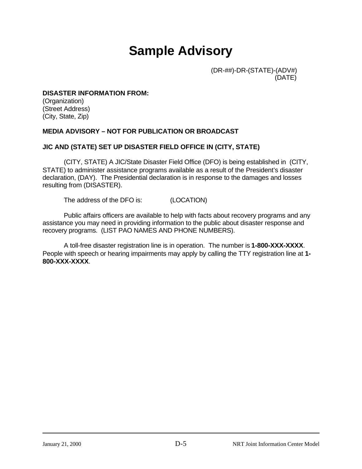### **Sample Advisory**

 (DR-##)-DR-(STATE)-(ADV#) (DATE)

#### **DISASTER INFORMATION FROM:**

(Organization) (Street Address) (City, State, Zip)

#### **MEDIA ADVISORY – NOT FOR PUBLICATION OR BROADCAST**

#### **JIC AND (STATE) SET UP DISASTER FIELD OFFICE IN (CITY, STATE)**

(CITY, STATE) A JIC/State Disaster Field Office (DFO) is being established in (CITY, STATE) to administer assistance programs available as a result of the President's disaster declaration, (DAY). The Presidential declaration is in response to the damages and losses resulting from (DISASTER).

The address of the DFO is: (LOCATION)

Public affairs officers are available to help with facts about recovery programs and any assistance you may need in providing information to the public about disaster response and recovery programs. (LIST PAO NAMES AND PHONE NUMBERS).

A toll-free disaster registration line is in operation. The number is **1-800-XXX-XXXX**. People with speech or hearing impairments may apply by calling the TTY registration line at **1- 800-XXX-XXXX**.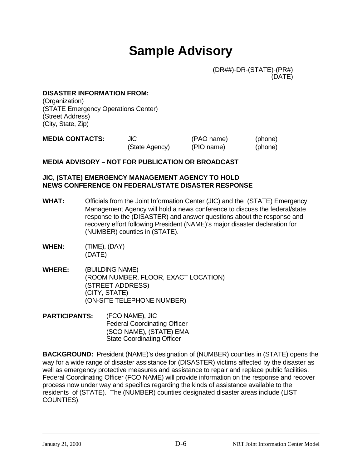### **Sample Advisory**

 (DR##)-DR-(STATE)-(PR#) (DATE)

#### **DISASTER INFORMATION FROM:**

(Organization) (STATE Emergency Operations Center) (Street Address) (City, State, Zip)

| <b>MEDIA CONTACTS:</b> | JIC            | (PAO name) | (phone) |
|------------------------|----------------|------------|---------|
|                        | (State Agency) | (PIO name) | (phone) |

#### **MEDIA ADVISORY – NOT FOR PUBLICATION OR BROADCAST**

#### **JIC, (STATE) EMERGENCY MANAGEMENT AGENCY TO HOLD NEWS CONFERENCE ON FEDERAL/STATE DISASTER RESPONSE**

- **WHAT:** Officials from the Joint Information Center (JIC) and the (STATE) Emergency Management Agency will hold a news conference to discuss the federal/state response to the (DISASTER) and answer questions about the response and recovery effort following President (NAME)'s major disaster declaration for (NUMBER) counties in (STATE).
- **WHEN:** (TIME), (DAY) (DATE)
- **WHERE:** (BUILDING NAME) (ROOM NUMBER, FLOOR, EXACT LOCATION) (STREET ADDRESS) (CITY, STATE) (ON-SITE TELEPHONE NUMBER)
- **PARTICIPANTS:** (FCO NAME), JIC Federal Coordinating Officer (SCO NAME), (STATE) EMA State Coordinating Officer

**BACKGROUND:** President (NAME)'s designation of (NUMBER) counties in (STATE) opens the way for a wide range of disaster assistance for (DISASTER) victims affected by the disaster as well as emergency protective measures and assistance to repair and replace public facilities. Federal Coordinating Officer (FCO NAME) will provide information on the response and recover process now under way and specifics regarding the kinds of assistance available to the residents of (STATE). The (NUMBER) counties designated disaster areas include (LIST COUNTIES).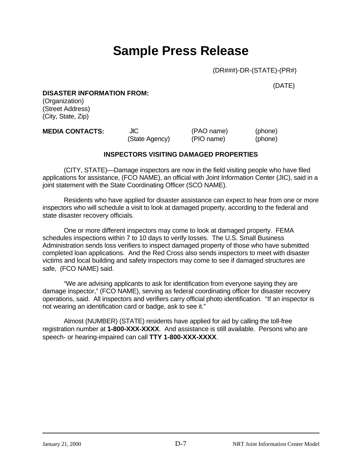### **Sample Press Release**

(DR###)-DR-(STATE)-(PR#)

(DATE)

#### **DISASTER INFORMATION FROM:**

(Organization) (Street Address) (City, State, Zip)

| <b>MEDIA CONTACTS:</b> | JIC            | (PAO name) | (phone) |
|------------------------|----------------|------------|---------|
|                        | (State Agency) | (PIO name) | (phone) |

#### **INSPECTORS VISITING DAMAGED PROPERTIES**

(CITY, STATE)—Damage inspectors are now in the field visiting people who have filed applications for assistance, (FCO NAME), an official with Joint Information Center (JIC), said in a joint statement with the State Coordinating Officer (SCO NAME).

Residents who have applied for disaster assistance can expect to hear from one or more inspectors who will schedule a visit to look at damaged property, according to the federal and state disaster recovery officials.

One or more different inspectors may come to look at damaged property. FEMA schedules inspections within 7 to 10 days to verify losses. The U.S. Small Business Administration sends loss verifiers to inspect damaged property of those who have submitted completed loan applications. And the Red Cross also sends inspectors to meet with disaster victims and local building and safety inspectors may come to see if damaged structures are safe, (FCO NAME) said.

"We are advising applicants to ask for identification from everyone saying they are damage inspector," (FCO NAME), serving as federal coordinating officer for disaster recovery operations, said. All inspectors and verifiers carry official photo identification. "If an inspector is not wearing an identification card or badge, ask to see it."

Almost (NUMBER) (STATE) residents have applied for aid by calling the toll-free registration number at **1-800-XXX-XXXX**. And assistance is still available. Persons who are speech- or hearing-impaired can call **TTY 1-800-XXX-XXXX**.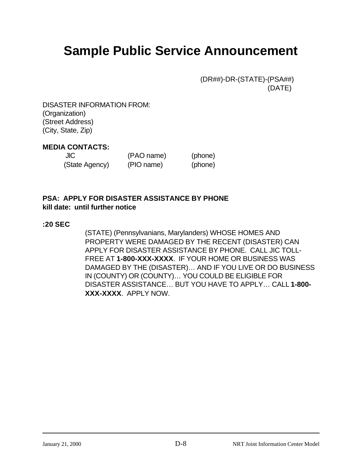### **Sample Public Service Announcement**

 (DR##)-DR-(STATE)-(PSA##) (DATE)

DISASTER INFORMATION FROM: (Organization) (Street Address) (City, State, Zip)

#### **MEDIA CONTACTS:**

| JIC            | (PAO name) | (phone) |
|----------------|------------|---------|
| (State Agency) | (PIO name) | (phone) |

### **PSA: APPLY FOR DISASTER ASSISTANCE BY PHONE kill date: until further notice**

#### **:20 SEC**

(STATE) (Pennsylvanians, Marylanders) WHOSE HOMES AND PROPERTY WERE DAMAGED BY THE RECENT (DISASTER) CAN APPLY FOR DISASTER ASSISTANCE BY PHONE. CALL JIC TOLL-FREE AT **1-800-XXX-XXXX**. IF YOUR HOME OR BUSINESS WAS DAMAGED BY THE (DISASTER)… AND IF YOU LIVE OR DO BUSINESS IN (COUNTY) OR (COUNTY)… YOU COULD BE ELIGIBLE FOR DISASTER ASSISTANCE… BUT YOU HAVE TO APPLY… CALL **1-800- XXX-XXXX**. APPLY NOW.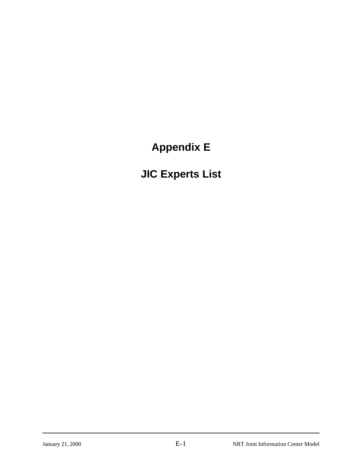**Appendix E**

**JIC Experts List**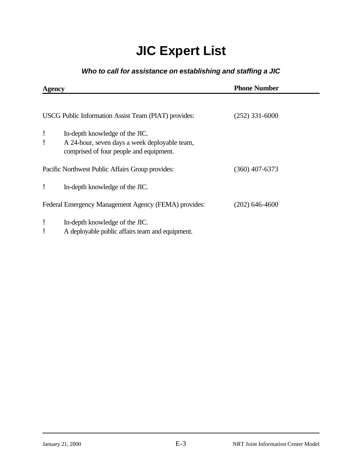# **JIC Expert List**

### *Who to call for assistance on establishing and staffing a JIC*

| Agency |                                                                                                                            | <b>Phone Number</b> |  |  |
|--------|----------------------------------------------------------------------------------------------------------------------------|---------------------|--|--|
|        | USCG Public Information Assist Team (PIAT) provides:                                                                       | $(252)$ 331-6000    |  |  |
| ļ      | In-depth knowledge of the JIC.<br>A 24-hour, seven days a week deployable team,<br>comprised of four people and equipment. |                     |  |  |
|        | Pacific Northwest Public Affairs Group provides:                                                                           | $(360)$ 407-6373    |  |  |
|        | In-depth knowledge of the JIC.                                                                                             |                     |  |  |
|        | Federal Emergency Management Agency (FEMA) provides:                                                                       | $(202)$ 646-4600    |  |  |
|        | In-depth knowledge of the JIC.<br>A deployable public affairs team and equipment.                                          |                     |  |  |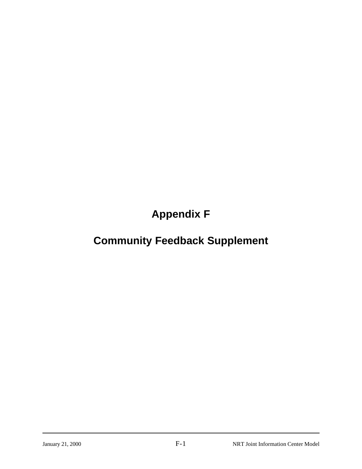**Appendix F**

# **Community Feedback Supplement**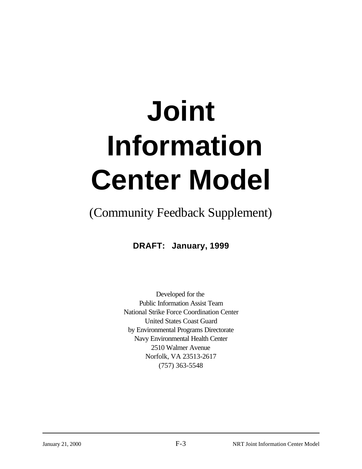# **Joint Information Center Model**

# (Community Feedback Supplement)

**DRAFT: January, 1999**

Developed for the Public Information Assist Team National Strike Force Coordination Center United States Coast Guard by Environmental Programs Directorate Navy Environmental Health Center 2510 Walmer Avenue Norfolk, VA 23513-2617 (757) 363-5548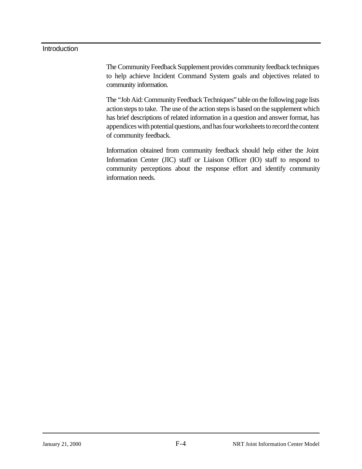#### **Introduction**

The Community Feedback Supplement provides community feedback techniques to help achieve Incident Command System goals and objectives related to community information.

The "Job Aid: Community Feedback Techniques" table on the following page lists action steps to take. The use of the action steps is based on the supplement which has brief descriptions of related information in a question and answer format, has appendices with potential questions, and has four worksheets to record the content of community feedback.

Information obtained from community feedback should help either the Joint Information Center (JIC) staff or Liaison Officer (IO) staff to respond to community perceptions about the response effort and identify community information needs.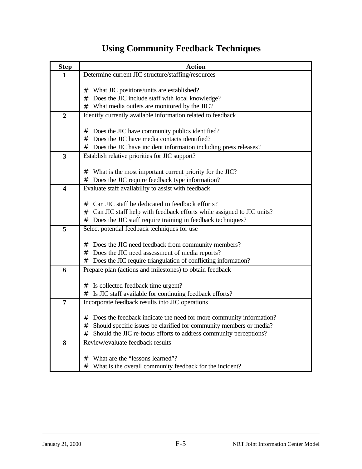# **Using Community Feedback Techniques**

| <b>Step</b>             | <b>Action</b>                                                              |  |  |  |
|-------------------------|----------------------------------------------------------------------------|--|--|--|
| $\mathbf{1}$            | Determine current JIC structure/staffing/resources                         |  |  |  |
|                         |                                                                            |  |  |  |
|                         | What JIC positions/units are established?<br>#                             |  |  |  |
|                         | Does the JIC include staff with local knowledge?<br>#                      |  |  |  |
|                         | What media outlets are monitored by the JIC?<br>#                          |  |  |  |
| $\boldsymbol{2}$        | Identify currently available information related to feedback               |  |  |  |
|                         | Does the JIC have community publics identified?<br>#                       |  |  |  |
|                         | Does the JIC have media contacts identified?<br>#                          |  |  |  |
|                         | Does the JIC have incident information including press releases?<br>#      |  |  |  |
| $\mathbf{3}$            | Establish relative priorities for JIC support?                             |  |  |  |
|                         |                                                                            |  |  |  |
|                         | What is the most important current priority for the JIC?<br>#              |  |  |  |
|                         | Does the JIC require feedback type information?<br>#                       |  |  |  |
| $\overline{\mathbf{4}}$ | Evaluate staff availability to assist with feedback                        |  |  |  |
|                         |                                                                            |  |  |  |
|                         | Can JIC staff be dedicated to feedback efforts?<br>#                       |  |  |  |
|                         | Can JIC staff help with feedback efforts while assigned to JIC units?<br># |  |  |  |
|                         | Does the JIC staff require training in feedback techniques?<br>#           |  |  |  |
| 5                       | Select potential feedback techniques for use                               |  |  |  |
|                         | Does the JIC need feedback from community members?<br>#                    |  |  |  |
|                         | Does the JIC need assessment of media reports?<br>#                        |  |  |  |
|                         | Does the JIC require triangulation of conflicting information?<br>#        |  |  |  |
| 6                       | Prepare plan (actions and milestones) to obtain feedback                   |  |  |  |
|                         |                                                                            |  |  |  |
|                         | Is collected feedback time urgent?<br>#                                    |  |  |  |
|                         | Is JIC staff available for continuing feedback efforts?<br>#               |  |  |  |
| 7                       | Incorporate feedback results into JIC operations                           |  |  |  |
|                         |                                                                            |  |  |  |
|                         | Does the feedback indicate the need for more community information?<br>#   |  |  |  |
|                         | Should specific issues be clarified for community members or media?        |  |  |  |
|                         | Should the JIC re-focus efforts to address community perceptions?<br>#     |  |  |  |
| 8                       | Review/evaluate feedback results                                           |  |  |  |
|                         | What are the "lessons learned"?<br>#                                       |  |  |  |
|                         | What is the overall community feedback for the incident?<br>#              |  |  |  |
|                         |                                                                            |  |  |  |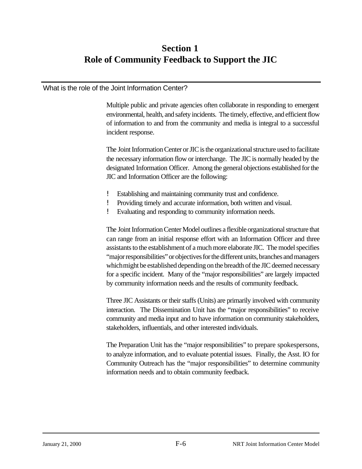## **Section 1 Role of Community Feedback to Support the JIC**

#### What is the role of the Joint Information Center?

Multiple public and private agencies often collaborate in responding to emergent environmental, health, and safety incidents. The timely, effective, and efficient flow of information to and from the community and media is integral to a successful incident response.

The Joint Information Center or JIC is the organizational structure used to facilitate the necessary information flow or interchange. The JIC is normally headed by the designated Information Officer. Among the general objections established for the JIC and Information Officer are the following:

- ! Establishing and maintaining community trust and confidence.
- ! Providing timely and accurate information, both written and visual.
- ! Evaluating and responding to community information needs.

The Joint Information Center Model outlines a flexible organizational structure that can range from an initial response effort with an Information Officer and three assistants to the establishment of a much more elaborate JIC. The model specifies "major responsibilities" or objectives for the different units, branches and managers which might be established depending on the breadth of the JIC deemed necessary for a specific incident. Many of the "major responsibilities" are largely impacted by community information needs and the results of community feedback.

Three JIC Assistants or their staffs (Units) are primarily involved with community interaction. The Dissemination Unit has the "major responsibilities" to receive community and media input and to have information on community stakeholders, stakeholders, influentials, and other interested individuals.

The Preparation Unit has the "major responsibilities" to prepare spokespersons, to analyze information, and to evaluate potential issues. Finally, the Asst. IO for Community Outreach has the "major responsibilities" to determine community information needs and to obtain community feedback.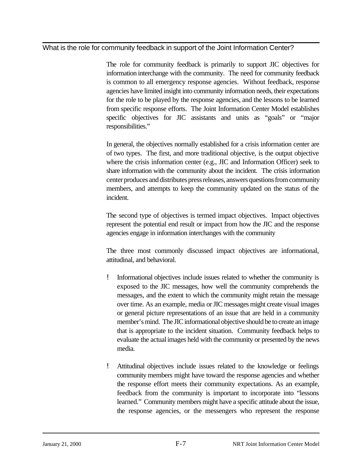What is the role for community feedback in support of the Joint Information Center?

The role for community feedback is primarily to support JIC objectives for information interchange with the community. The need for community feedback is common to all emergency response agencies. Without feedback, response agencies have limited insight into community information needs, their expectations for the role to be played by the response agencies, and the lessons to be learned from specific response efforts. The Joint Information Center Model establishes specific objectives for JIC assistants and units as "goals" or "major responsibilities."

In general, the objectives normally established for a crisis information center are of two types. The first, and more traditional objective, is the output objective where the crisis information center (e.g., JIC and Information Officer) seek to share information with the community about the incident. The crisis information center produces and distributes press releases, answers questions from community members, and attempts to keep the community updated on the status of the incident.

The second type of objectives is termed impact objectives. Impact objectives represent the potential end result or impact from how the JIC and the response agencies engage in information interchanges with the community

The three most commonly discussed impact objectives are informational, attitudinal, and behavioral.

- ! Informational objectives include issues related to whether the community is exposed to the JIC messages, how well the community comprehends the messages, and the extent to which the community might retain the message over time. As an example, media or JIC messages might create visual images or general picture representations of an issue that are held in a community member's mind. The JIC informational objective should be to create an image that is appropriate to the incident situation. Community feedback helps to evaluate the actual images held with the community or presented by the news media.
- ! Attitudinal objectives include issues related to the knowledge or feelings community members might have toward the response agencies and whether the response effort meets their community expectations. As an example, feedback from the community is important to incorporate into "lessons learned." Community members might have a specific attitude about the issue, the response agencies, or the messengers who represent the response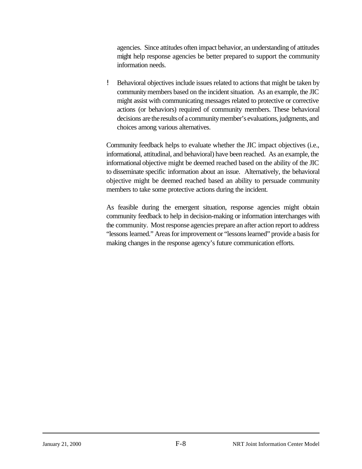agencies. Since attitudes often impact behavior, an understanding of attitudes might help response agencies be better prepared to support the community information needs.

! Behavioral objectives include issues related to actions that might be taken by community members based on the incident situation. As an example, the JIC might assist with communicating messages related to protective or corrective actions (or behaviors) required of community members. These behavioral decisions are the results of a community member's evaluations, judgments, and choices among various alternatives.

Community feedback helps to evaluate whether the JIC impact objectives (i.e., informational, attitudinal, and behavioral) have been reached. As an example, the informational objective might be deemed reached based on the ability of the JIC to disseminate specific information about an issue. Alternatively, the behavioral objective might be deemed reached based an ability to persuade community members to take some protective actions during the incident.

As feasible during the emergent situation, response agencies might obtain community feedback to help in decision-making or information interchanges with the community. Most response agencies prepare an after action report to address "lessons learned." Areas for improvement or "lessons learned" provide a basis for making changes in the response agency's future communication efforts.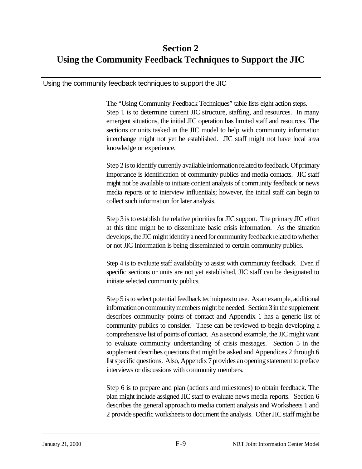## **Section 2 Using the Community Feedback Techniques to Support the JIC**

Using the community feedback techniques to support the JIC

The "Using Community Feedback Techniques" table lists eight action steps. Step 1 is to determine current JIC structure, staffing, and resources. In many emergent situations, the initial JIC operation has limited staff and resources. The sections or units tasked in the JIC model to help with community information interchange might not yet be established. JIC staff might not have local area knowledge or experience.

Step 2 is to identify currently available information related to feedback. Of primary importance is identification of community publics and media contacts. JIC staff might not be available to initiate content analysis of community feedback or news media reports or to interview influentials; however, the initial staff can begin to collect such information for later analysis.

Step 3 is to establish the relative priorities for JIC support. The primary JIC effort at this time might be to disseminate basic crisis information. As the situation develops, the JIC might identify a need for community feedback related to whether or not JIC Information is being disseminated to certain community publics.

Step 4 is to evaluate staff availability to assist with community feedback. Even if specific sections or units are not yet established, JIC staff can be designated to initiate selected community publics.

Step 5 is to select potential feedback techniques to use. As an example, additional information on community members might be needed. Section 3 in the supplement describes community points of contact and Appendix 1 has a generic list of community publics to consider. These can be reviewed to begin developing a comprehensive list of points of contact. As a second example, the JIC might want to evaluate community understanding of crisis messages. Section 5 in the supplement describes questions that might be asked and Appendices 2 through 6 list specific questions. Also, Appendix 7 provides an opening statement to preface interviews or discussions with community members.

Step 6 is to prepare and plan (actions and milestones) to obtain feedback. The plan might include assigned JIC staff to evaluate news media reports. Section 6 describes the general approach to media content analysis and Worksheets 1 and 2 provide specific worksheets to document the analysis. Other JIC staff might be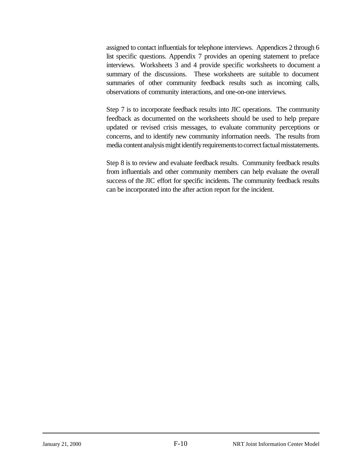assigned to contact influentials for telephone interviews. Appendices 2 through 6 list specific questions. Appendix 7 provides an opening statement to preface interviews. Worksheets 3 and 4 provide specific worksheets to document a summary of the discussions. These worksheets are suitable to document summaries of other community feedback results such as incoming calls, observations of community interactions, and one-on-one interviews.

Step 7 is to incorporate feedback results into JIC operations. The community feedback as documented on the worksheets should be used to help prepare updated or revised crisis messages, to evaluate community perceptions or concerns, and to identify new community information needs. The results from media content analysis might identify requirements to correct factual misstatements.

Step 8 is to review and evaluate feedback results. Community feedback results from influentials and other community members can help evaluate the overall success of the JIC effort for specific incidents. The community feedback results can be incorporated into the after action report for the incident.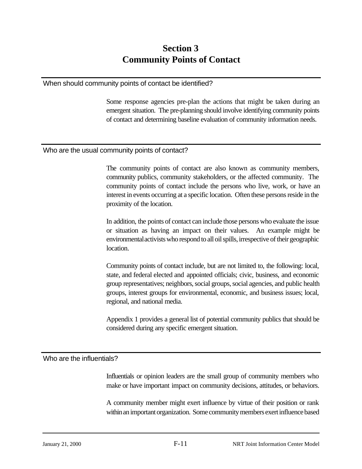## **Section 3 Community Points of Contact**

#### When should community points of contact be identified?

Some response agencies pre-plan the actions that might be taken during an emergent situation. The pre-planning should involve identifying community points of contact and determining baseline evaluation of community information needs.

#### Who are the usual community points of contact?

The community points of contact are also known as community members, community publics, community stakeholders, or the affected community. The community points of contact include the persons who live, work, or have an interest in events occurring at a specific location. Often these persons reside in the proximity of the location.

In addition, the points of contact can include those persons who evaluate the issue or situation as having an impact on their values. An example might be environmental activists who respond to all oil spills, irrespective of their geographic location.

Community points of contact include, but are not limited to, the following: local, state, and federal elected and appointed officials; civic, business, and economic group representatives; neighbors, social groups, social agencies, and public health groups, interest groups for environmental, economic, and business issues; local, regional, and national media.

Appendix 1 provides a general list of potential community publics that should be considered during any specific emergent situation.

#### Who are the influentials?

Influentials or opinion leaders are the small group of community members who make or have important impact on community decisions, attitudes, or behaviors.

A community member might exert influence by virtue of their position or rank within an important organization. Some community members exert influence based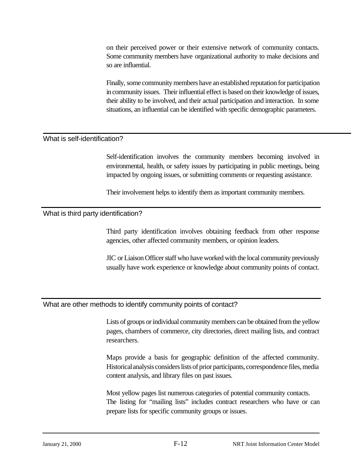on their perceived power or their extensive network of community contacts. Some community members have organizational authority to make decisions and so are influential.

Finally, some community members have an established reputation for participation in community issues. Their influential effect is based on their knowledge of issues, their ability to be involved, and their actual participation and interaction. In some situations, an influential can be identified with specific demographic parameters.

#### What is self-identification?

Self-identification involves the community members becoming involved in environmental, health, or safety issues by participating in public meetings, being impacted by ongoing issues, or submitting comments or requesting assistance.

Their involvement helps to identify them as important community members.

#### What is third party identification?

Third party identification involves obtaining feedback from other response agencies, other affected community members, or opinion leaders.

JIC or Liaison Officer staff who have worked with the local community previously usually have work experience or knowledge about community points of contact.

#### What are other methods to identify community points of contact?

Lists of groups or individual community members can be obtained from the yellow pages, chambers of commerce, city directories, direct mailing lists, and contract researchers.

Maps provide a basis for geographic definition of the affected community. Historical analysis considers lists of prior participants, correspondence files, media content analysis, and library files on past issues.

Most yellow pages list numerous categories of potential community contacts. The listing for "mailing lists" includes contract researchers who have or can prepare lists for specific community groups or issues.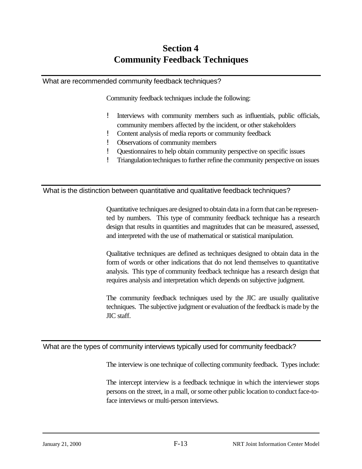## **Section 4 Community Feedback Techniques**

#### What are recommended community feedback techniques?

Community feedback techniques include the following:

- ! Interviews with community members such as influentials, public officials, community members affected by the incident, or other stakeholders
- ! Content analysis of media reports or community feedback
- ! Observations of community members
- ! Questionnaires to help obtain community perspective on specific issues
- ! Triangulation techniques to further refine the community perspective on issues

What is the distinction between quantitative and qualitative feedback techniques?

Quantitative techniques are designed to obtain data in a form that can be represented by numbers. This type of community feedback technique has a research design that results in quantities and magnitudes that can be measured, assessed, and interpreted with the use of mathematical or statistical manipulation.

Qualitative techniques are defined as techniques designed to obtain data in the form of words or other indications that do not lend themselves to quantitative analysis. This type of community feedback technique has a research design that requires analysis and interpretation which depends on subjective judgment.

The community feedback techniques used by the JIC are usually qualitative techniques. The subjective judgment or evaluation of the feedback is made by the JIC staff.

What are the types of community interviews typically used for community feedback?

The interview is one technique of collecting community feedback. Types include:

The intercept interview is a feedback technique in which the interviewer stops persons on the street, in a mall, or some other public location to conduct face-toface interviews or multi-person interviews.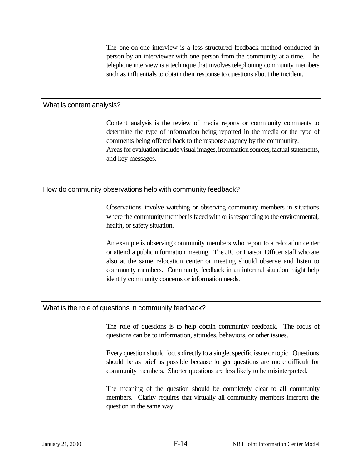The one-on-one interview is a less structured feedback method conducted in person by an interviewer with one person from the community at a time. The telephone interview is a technique that involves telephoning community members such as influentials to obtain their response to questions about the incident.

#### What is content analysis?

Content analysis is the review of media reports or community comments to determine the type of information being reported in the media or the type of comments being offered back to the response agency by the community. Areas for evaluation include visual images, information sources, factual statements, and key messages.

#### How do community observations help with community feedback?

Observations involve watching or observing community members in situations where the community member is faced with or is responding to the environmental, health, or safety situation.

An example is observing community members who report to a relocation center or attend a public information meeting. The JIC or Liaison Officer staff who are also at the same relocation center or meeting should observe and listen to community members. Community feedback in an informal situation might help identify community concerns or information needs.

#### What is the role of questions in community feedback?

The role of questions is to help obtain community feedback. The focus of questions can be to information, attitudes, behaviors, or other issues.

 Every question should focus directly to a single, specific issue or topic. Questions should be as brief as possible because longer questions are more difficult for community members. Shorter questions are less likely to be misinterpreted.

The meaning of the question should be completely clear to all community members. Clarity requires that virtually all community members interpret the question in the same way.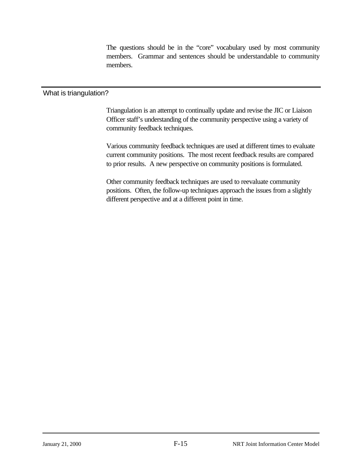The questions should be in the "core" vocabulary used by most community members. Grammar and sentences should be understandable to community members.

#### What is triangulation?

Triangulation is an attempt to continually update and revise the JIC or Liaison Officer staff's understanding of the community perspective using a variety of community feedback techniques.

Various community feedback techniques are used at different times to evaluate current community positions. The most recent feedback results are compared to prior results. A new perspective on community positions is formulated.

Other community feedback techniques are used to reevaluate community positions. Often, the follow-up techniques approach the issues from a slightly different perspective and at a different point in time.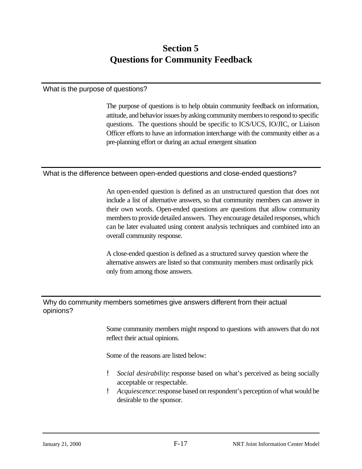## **Section 5 Questions for Community Feedback**

#### What is the purpose of questions?

The purpose of questions is to help obtain community feedback on information, attitude, and behavior issues by asking community members to respond to specific questions. The questions should be specific to ICS/UCS, IO/JIC, or Liaison Officer efforts to have an information interchange with the community either as a pre-planning effort or during an actual emergent situation

#### What is the difference between open-ended questions and close-ended questions?

An open-ended question is defined as an unstructured question that does not include a list of alternative answers, so that community members can answer in their own words. Open-ended questions are questions that allow community members to provide detailed answers. They encourage detailed responses, which can be later evaluated using content analysis techniques and combined into an overall community response.

A close-ended question is defined as a structured survey question where the alternative answers are listed so that community members must ordinarily pick only from among those answers.

#### Why do community members sometimes give answers different from their actual opinions?

Some community members might respond to questions with answers that do not reflect their actual opinions.

Some of the reasons are listed below:

- ! *Social desirability*: response based on what's perceived as being socially acceptable or respectable.
- ! *Acquiescence*: response based on respondent's perception of what would be desirable to the sponsor.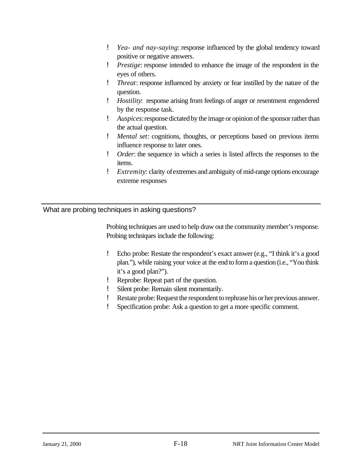- ! *Yea- and nay-saying*: response influenced by the global tendency toward positive or negative answers.
- ! *Prestige*: response intended to enhance the image of the respondent in the eyes of others.
- ! *Threat*: response influenced by anxiety or fear instilled by the nature of the question.
- ! *Hostility*: response arising from feelings of anger or resentment engendered by the response task.
- ! *Auspices*: response dictated by the image or opinion of the sponsor rather than the actual question.
- ! *Mental set*: cognitions, thoughts, or perceptions based on previous items influence response to later ones.
- ! *Order*: the sequence in which a series is listed affects the responses to the items.
- ! *Extremity*: clarity of extremes and ambiguity of mid-range options encourage extreme responses

#### What are probing techniques in asking questions?

Probing techniques are used to help draw out the community member's response. Probing techniques include the following:

- ! Echo probe: Restate the respondent's exact answer (e.g., "I think it's a good plan."), while raising your voice at the end to form a question (i.e., "You think it's a good plan?").
- ! Reprobe: Repeat part of the question.
- ! Silent probe: Remain silent momentarily.
- ! Restate probe: Request the respondent to rephrase his or her previous answer.
- ! Specification probe: Ask a question to get a more specific comment.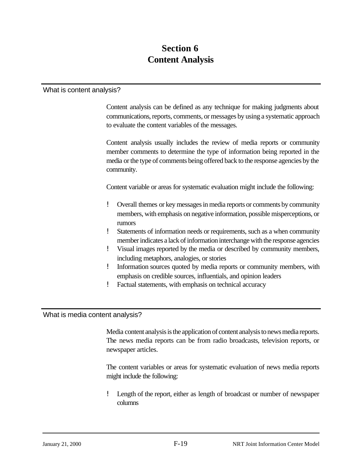## **Section 6 Content Analysis**

#### What is content analysis?

Content analysis can be defined as any technique for making judgments about communications, reports, comments, or messages by using a systematic approach to evaluate the content variables of the messages.

Content analysis usually includes the review of media reports or community member comments to determine the type of information being reported in the media or the type of comments being offered back to the response agencies by the community.

Content variable or areas for systematic evaluation might include the following:

- ! Overall themes or key messages in media reports or comments by community members, with emphasis on negative information, possible misperceptions, or rumors
- ! Statements of information needs or requirements, such as a when community member indicates a lack of information interchange with the response agencies
- ! Visual images reported by the media or described by community members, including metaphors, analogies, or stories
- ! Information sources quoted by media reports or community members, with emphasis on credible sources, influentials, and opinion leaders
- ! Factual statements, with emphasis on technical accuracy

#### What is media content analysis?

Media content analysis is the application of content analysis to news media reports. The news media reports can be from radio broadcasts, television reports, or newspaper articles.

The content variables or areas for systematic evaluation of news media reports might include the following:

! Length of the report, either as length of broadcast or number of newspaper columns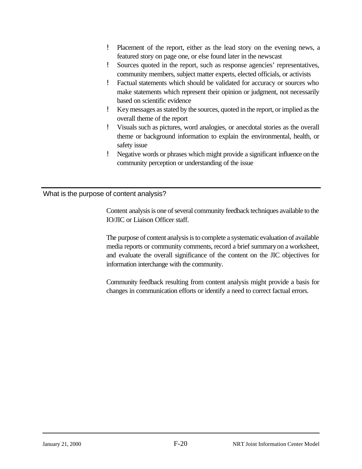- ! Placement of the report, either as the lead story on the evening news, a featured story on page one, or else found later in the newscast
- ! Sources quoted in the report, such as response agencies' representatives, community members, subject matter experts, elected officials, or activists
- ! Factual statements which should be validated for accuracy or sources who make statements which represent their opinion or judgment, not necessarily based on scientific evidence
- ! Key messages as stated by the sources, quoted in the report, or implied as the overall theme of the report
- ! Visuals such as pictures, word analogies, or anecdotal stories as the overall theme or background information to explain the environmental, health, or safety issue
- ! Negative words or phrases which might provide a significant influence on the community perception or understanding of the issue

What is the purpose of content analysis?

Content analysis is one of several community feedback techniques available to the IO/JIC or Liaison Officer staff.

The purpose of content analysis is to complete a systematic evaluation of available media reports or community comments, record a brief summary on a worksheet, and evaluate the overall significance of the content on the JIC objectives for information interchange with the community.

Community feedback resulting from content analysis might provide a basis for changes in communication efforts or identify a need to correct factual errors.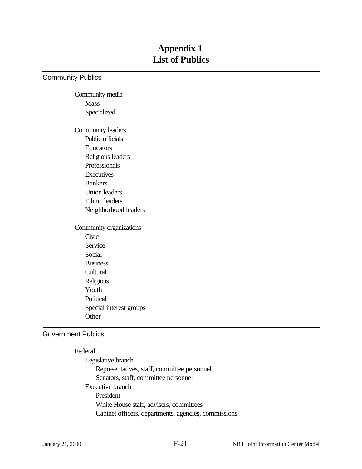## **Appendix 1 List of Publics**

Community Publics

Community media Mass Specialized

Community leaders Public officials Educators Religious leaders Professionals **Executives** Bankers Union leaders Ethnic leaders Neighborhood leaders

Community organizations Civic Service Social **Business Cultural** Religious Youth Political Special interest groups **Other** 

#### Government Publics

Federal Legislative branch Representatives, staff, committee personnel Senators, staff, committee personnel Executive branch President White House staff, advisers, committees Cabinet officers, departments, agencies, commissions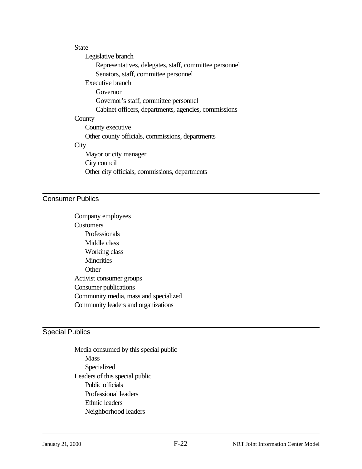#### **State**

Legislative branch Representatives, delegates, staff, committee personnel Senators, staff, committee personnel Executive branch Governor Governor's staff, committee personnel Cabinet officers, departments, agencies, commissions **County** County executive Other county officials, commissions, departments **City** Mayor or city manager City council Other city officials, commissions, departments

#### Consumer Publics

Company employees **Customers** Professionals Middle class Working class **Minorities Other** Activist consumer groups Consumer publications Community media, mass and specialized Community leaders and organizations

#### Special Publics

Media consumed by this special public Mass Specialized Leaders of this special public Public officials Professional leaders Ethnic leaders Neighborhood leaders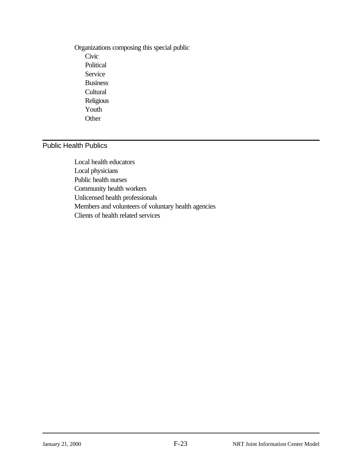Organizations composing this special public Civic Political Service Business **Cultural** Religious Youth **Other** 

#### Public Health Publics

Local health educators Local physicians Public health nurses Community health workers Unlicensed health professionals Members and volunteers of voluntary health agencies Clients of health related services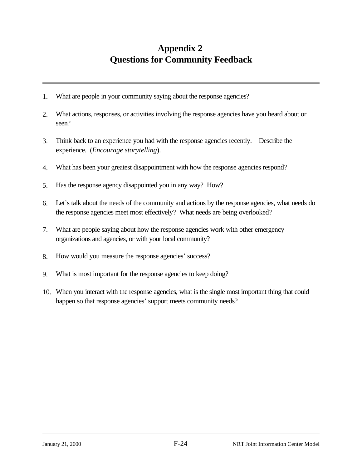## **Appendix 2 Questions for Community Feedback**

- 1. What are people in your community saying about the response agencies?
- 2. What actions, responses, or activities involving the response agencies have you heard about or seen?
- 3. Think back to an experience you had with the response agencies recently. Describe the experience. (*Encourage storytelling*).
- 4. What has been your greatest disappointment with how the response agencies respond?
- 5. Has the response agency disappointed you in any way? How?
- 6. Let's talk about the needs of the community and actions by the response agencies, what needs do the response agencies meet most effectively? What needs are being overlooked?
- 7. What are people saying about how the response agencies work with other emergency organizations and agencies, or with your local community?
- 8. How would you measure the response agencies' success?
- 9. What is most important for the response agencies to keep doing?
- 10. When you interact with the response agencies, what is the single most important thing that could happen so that response agencies' support meets community needs?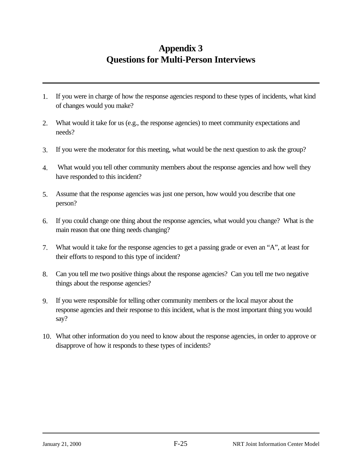## **Appendix 3 Questions for Multi-Person Interviews**

- 1. If you were in charge of how the response agencies respond to these types of incidents, what kind of changes would you make?
- 2. What would it take for us (e.g., the response agencies) to meet community expectations and needs?
- 3. If you were the moderator for this meeting, what would be the next question to ask the group?
- 4. What would you tell other community members about the response agencies and how well they have responded to this incident?
- 5. Assume that the response agencies was just one person, how would you describe that one person?
- 6. If you could change one thing about the response agencies, what would you change? What is the main reason that one thing needs changing?
- 7. What would it take for the response agencies to get a passing grade or even an "A", at least for their efforts to respond to this type of incident?
- 8. Can you tell me two positive things about the response agencies? Can you tell me two negative things about the response agencies?
- 9. If you were responsible for telling other community members or the local mayor about the response agencies and their response to this incident, what is the most important thing you would say?
- 10. What other information do you need to know about the response agencies, in order to approve or disapprove of how it responds to these types of incidents?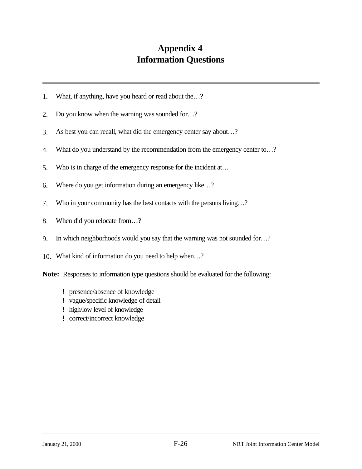## **Appendix 4 Information Questions**

- 1. What, if anything, have you heard or read about the…?
- 2. Do you know when the warning was sounded for…?
- 3. As best you can recall, what did the emergency center say about…?
- 4. What do you understand by the recommendation from the emergency center to…?
- 5. Who is in charge of the emergency response for the incident at…
- 6. Where do you get information during an emergency like…?
- 7. Who in your community has the best contacts with the persons living…?
- 8. When did you relocate from…?
- 9. In which neighborhoods would you say that the warning was not sounded for…?
- 10. What kind of information do you need to help when…?

**Note:** Responses to information type questions should be evaluated for the following:

- ! presence/absence of knowledge
- ! vague/specific knowledge of detail
- ! high/low level of knowledge
- ! correct/incorrect knowledge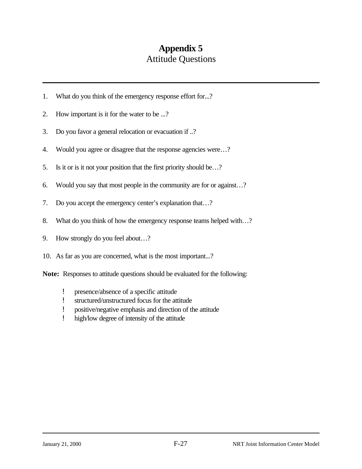## **Appendix 5** Attitude Questions

- 1. What do you think of the emergency response effort for...?
- 2. How important is it for the water to be ...?
- 3. Do you favor a general relocation or evacuation if ..?
- 4. Would you agree or disagree that the response agencies were…?
- 5. Is it or is it not your position that the first priority should be…?
- 6. Would you say that most people in the community are for or against…?
- 7. Do you accept the emergency center's explanation that…?
- 8. What do you think of how the emergency response teams helped with…?
- 9. How strongly do you feel about…?
- 10. As far as you are concerned, what is the most important...?

**Note:** Responses to attitude questions should be evaluated for the following:

- ! presence/absence of a specific attitude
- ! structured/unstructured focus for the attitude
- ! positive/negative emphasis and direction of the attitude
- ! high/low degree of intensity of the attitude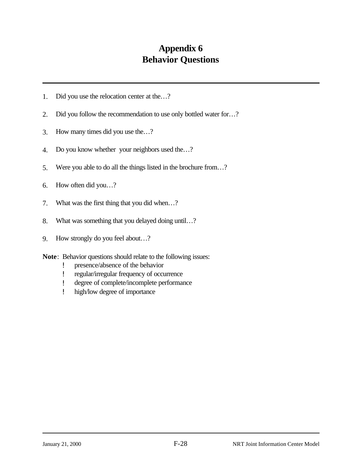## **Appendix 6 Behavior Questions**

- 1. Did you use the relocation center at the…?
- 2. Did you follow the recommendation to use only bottled water for…?
- 3. How many times did you use the…?
- 4. Do you know whether your neighbors used the…?
- 5. Were you able to do all the things listed in the brochure from…?
- 6. How often did you…?
- 7. What was the first thing that you did when…?
- 8. What was something that you delayed doing until…?
- 9. How strongly do you feel about…?
- **Note**: Behavior questions should relate to the following issues:
	- ! presence/absence of the behavior
	- ! regular/irregular frequency of occurrence
	- ! degree of complete/incomplete performance
	- ! high/low degree of importance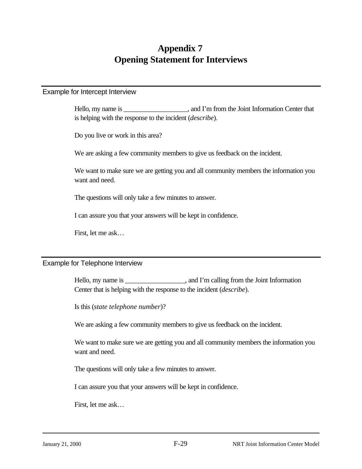## **Appendix 7 Opening Statement for Interviews**

#### Example for Intercept Interview

Hello, my name is  $\ldots$ , and I'm from the Joint Information Center that is helping with the response to the incident (*describe*).

Do you live or work in this area?

We are asking a few community members to give us feedback on the incident.

We want to make sure we are getting you and all community members the information you want and need.

The questions will only take a few minutes to answer.

I can assure you that your answers will be kept in confidence.

First, let me ask…

#### Example for Telephone Interview

Hello, my name is \_\_\_\_\_\_\_\_\_\_\_\_\_\_\_, and I'm calling from the Joint Information Center that is helping with the response to the incident (*describe*).

Is this (*state telephone number*)?

We are asking a few community members to give us feedback on the incident.

We want to make sure we are getting you and all community members the information you want and need.

The questions will only take a few minutes to answer.

I can assure you that your answers will be kept in confidence.

First, let me ask…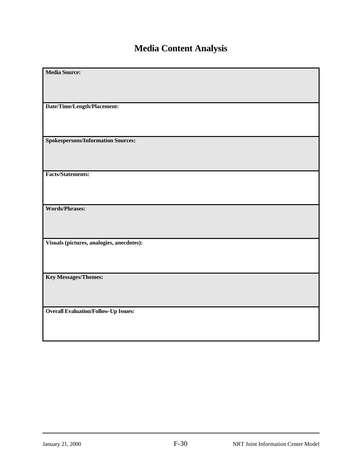# **Media Content Analysis**

| <b>Media Source:</b>                        |
|---------------------------------------------|
|                                             |
|                                             |
|                                             |
|                                             |
| Date/Time/Length/Placement:                 |
|                                             |
|                                             |
|                                             |
|                                             |
| <b>Spokespersons/Information Sources:</b>   |
|                                             |
|                                             |
|                                             |
|                                             |
| <b>Facts/Statements:</b>                    |
|                                             |
|                                             |
|                                             |
|                                             |
| <b>Words/Phrases:</b>                       |
|                                             |
|                                             |
|                                             |
|                                             |
| Visuals (pictures, analogies, anecdotes):   |
|                                             |
|                                             |
|                                             |
|                                             |
|                                             |
| <b>Key Messages/Themes:</b>                 |
|                                             |
|                                             |
|                                             |
|                                             |
| <b>Overall Evaluation/Follow-Up Issues:</b> |
|                                             |
|                                             |
|                                             |
|                                             |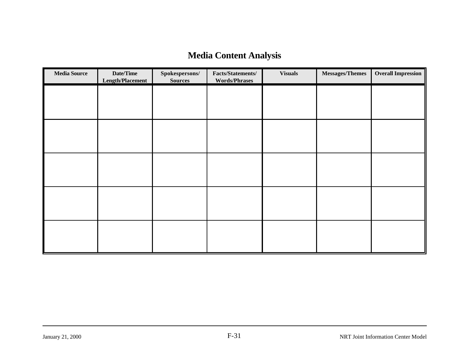## **Media Content Analysis**

| <b>Media Source</b> | Date/Time<br><b>Length/Placement</b> | Spokespersons/<br><b>Sources</b> | Facts/Statements/<br><b>Words/Phrases</b> | <b>Visuals</b> | Messages/Themes | <b>Overall Impression</b> |
|---------------------|--------------------------------------|----------------------------------|-------------------------------------------|----------------|-----------------|---------------------------|
|                     |                                      |                                  |                                           |                |                 |                           |
|                     |                                      |                                  |                                           |                |                 |                           |
|                     |                                      |                                  |                                           |                |                 |                           |
|                     |                                      |                                  |                                           |                |                 |                           |
|                     |                                      |                                  |                                           |                |                 |                           |
|                     |                                      |                                  |                                           |                |                 |                           |
|                     |                                      |                                  |                                           |                |                 |                           |
|                     |                                      |                                  |                                           |                |                 |                           |
|                     |                                      |                                  |                                           |                |                 |                           |
|                     |                                      |                                  |                                           |                |                 |                           |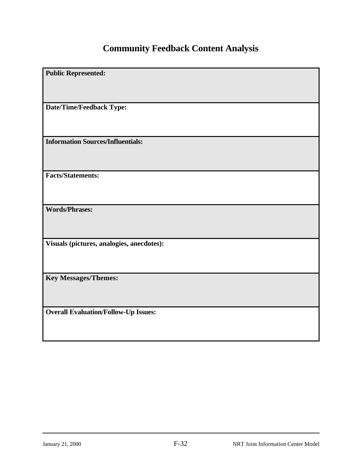# **Community Feedback Content Analysis**

| <b>Public Represented:</b>                  |
|---------------------------------------------|
|                                             |
| Date/Time/Feedback Type:                    |
|                                             |
| <b>Information Sources/Influentials:</b>    |
|                                             |
| <b>Facts/Statements:</b>                    |
|                                             |
| <b>Words/Phrases:</b>                       |
|                                             |
| Visuals (pictures, analogies, anecdotes):   |
|                                             |
| <b>Key Messages/Themes:</b>                 |
|                                             |
| <b>Overall Evaluation/Follow-Up Issues:</b> |
|                                             |
|                                             |